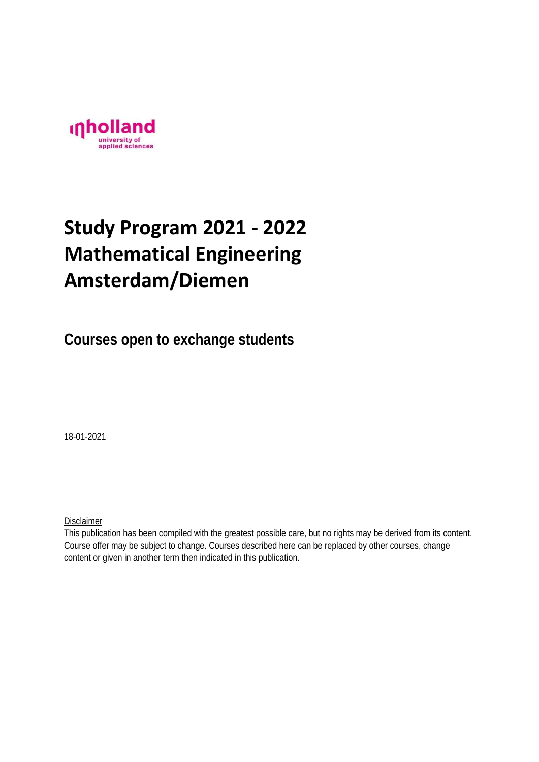

# **Study Program 2021 - 2022 Mathematical Engineering Amsterdam/Diemen**

**Courses open to exchange students**

18-01-2021

**Disclaimer** 

This publication has been compiled with the greatest possible care, but no rights may be derived from its content. Course offer may be subject to change. Courses described here can be replaced by other courses, change content or given in another term then indicated in this publication.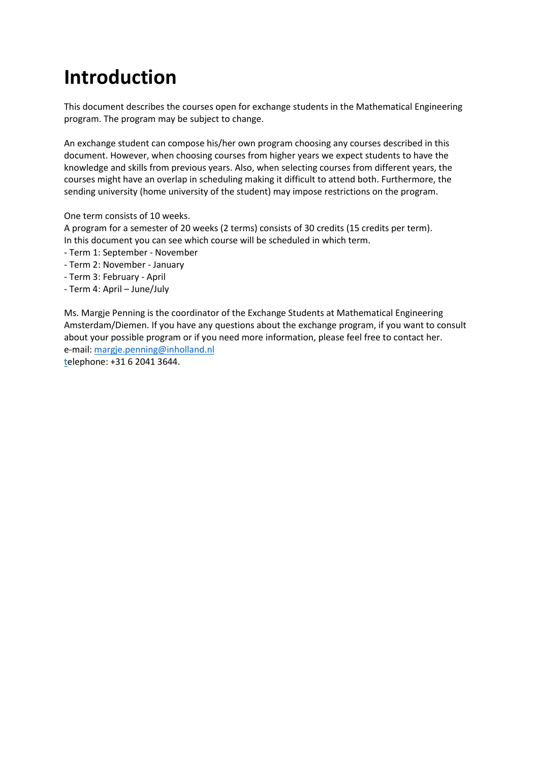# **Introduction**

This document describes the courses open for exchange students in the Mathematical Engineering program. The program may be subject to change.

An exchange student can compose his/her own program choosing any courses described in this document. However, when choosing courses from higher years we expect students to have the knowledge and skills from previous years. Also, when selecting courses from different years, the courses might have an overlap in scheduling making it difficult to attend both. Furthermore, the sending university (home university of the student) may impose restrictions on the program.

One term consists of 10 weeks.

A program for a semester of 20 weeks (2 terms) consists of 30 credits (15 credits per term). In this document you can see which course will be scheduled in which term.

- Term 1: September November
- Term 2: November January
- Term 3: February April
- Term 4: April June/July

Ms. Margje Penning is the coordinator of the Exchange Students at Mathematical Engineering Amsterdam/Diemen. If you have any questions about the exchange program, if you want to consult about your possible program or if you need more information, please feel free to contact her. e-mail: [margje.penning@inholland.nl](mailto:margje.penning@inholland.nl) telephone: +31 6 2041 3644.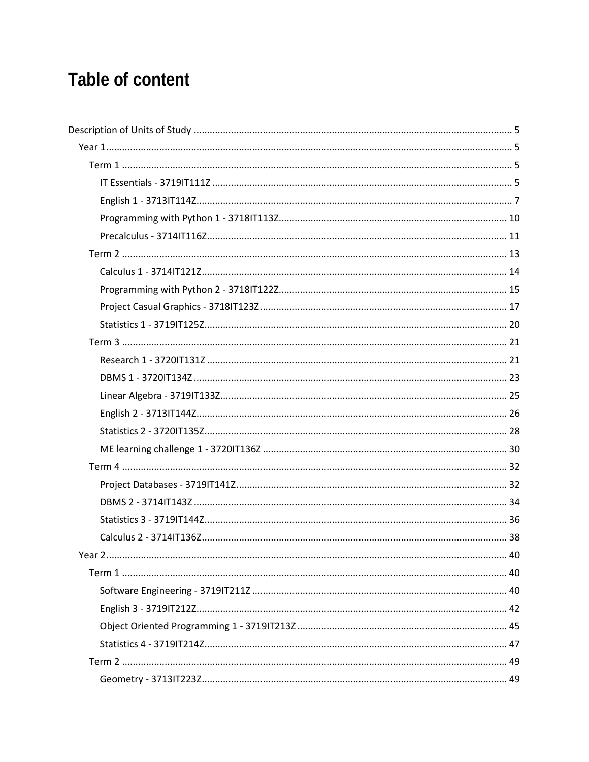# Table of content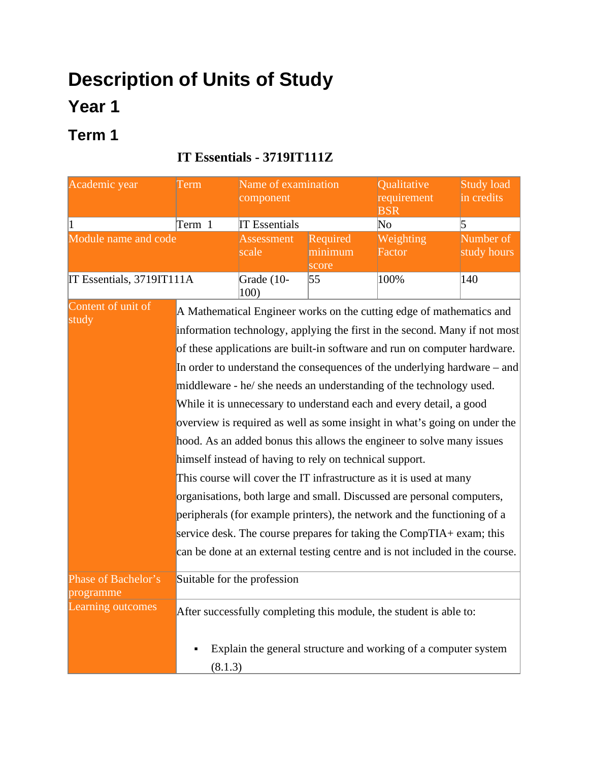# <span id="page-4-1"></span><span id="page-4-0"></span>**Description of Units of Study Year 1**

### <span id="page-4-3"></span><span id="page-4-2"></span>**Term 1**

### **IT Essentials - 3719IT111Z**

| Academic year                    | Term    | Name of examination<br>component                        |                     | Qualitative<br>requirement<br><b>BSR</b>                                                                                                                                                                                                                                                                                                                                                                                                                                                                                                                                                                                                                                                                                                                         | <b>Study load</b><br>in credits |
|----------------------------------|---------|---------------------------------------------------------|---------------------|------------------------------------------------------------------------------------------------------------------------------------------------------------------------------------------------------------------------------------------------------------------------------------------------------------------------------------------------------------------------------------------------------------------------------------------------------------------------------------------------------------------------------------------------------------------------------------------------------------------------------------------------------------------------------------------------------------------------------------------------------------------|---------------------------------|
| $\vert$ 1                        | Term 1  | <b>IT Essentials</b>                                    |                     | $\rm No$                                                                                                                                                                                                                                                                                                                                                                                                                                                                                                                                                                                                                                                                                                                                                         | $\overline{5}$                  |
| Module name and code             |         | <b>Assessment</b><br>scale                              | Required<br>minimum | Weighting<br>Factor                                                                                                                                                                                                                                                                                                                                                                                                                                                                                                                                                                                                                                                                                                                                              | Number of<br>study hours        |
| IT Essentials, 3719IT111A        |         | Grade (10-<br>100)                                      | score<br>55         | 100%                                                                                                                                                                                                                                                                                                                                                                                                                                                                                                                                                                                                                                                                                                                                                             | 140                             |
| Content of unit of<br>study      |         |                                                         |                     | A Mathematical Engineer works on the cutting edge of mathematics and<br>information technology, applying the first in the second. Many if not most<br>of these applications are built-in software and run on computer hardware.                                                                                                                                                                                                                                                                                                                                                                                                                                                                                                                                  |                                 |
|                                  |         | himself instead of having to rely on technical support. |                     | In order to understand the consequences of the underlying hardware - and<br>middleware - he/ she needs an understanding of the technology used.<br>While it is unnecessary to understand each and every detail, a good<br>overview is required as well as some insight in what's going on under the<br>hood. As an added bonus this allows the engineer to solve many issues<br>This course will cover the IT infrastructure as it is used at many<br>organisations, both large and small. Discussed are personal computers,<br>peripherals (for example printers), the network and the functioning of a<br>service desk. The course prepares for taking the CompTIA+ exam; this<br>can be done at an external testing centre and is not included in the course. |                                 |
| Phase of Bachelor's<br>programme |         | Suitable for the profession                             |                     |                                                                                                                                                                                                                                                                                                                                                                                                                                                                                                                                                                                                                                                                                                                                                                  |                                 |
| Learning outcomes                | (8.1.3) |                                                         |                     | After successfully completing this module, the student is able to:<br>Explain the general structure and working of a computer system                                                                                                                                                                                                                                                                                                                                                                                                                                                                                                                                                                                                                             |                                 |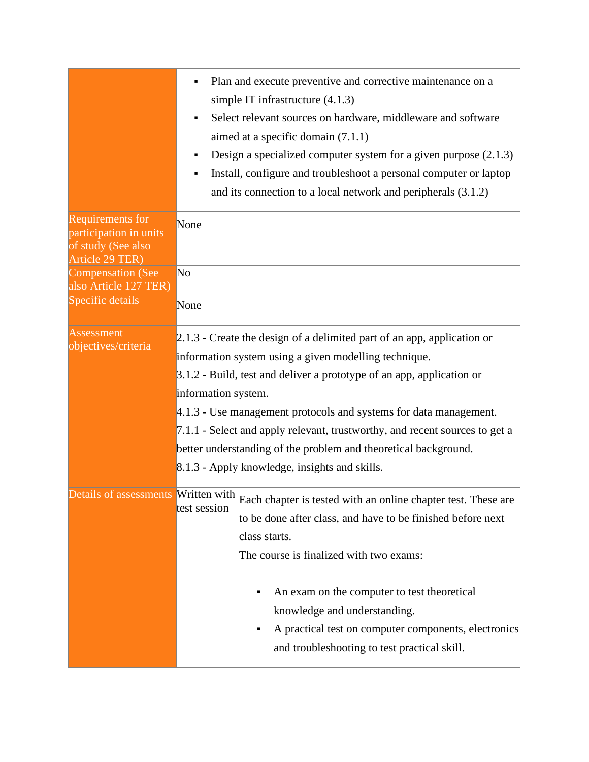|                                                                                     | Plan and execute preventive and corrective maintenance on a<br>simple IT infrastructure $(4.1.3)$<br>Select relevant sources on hardware, middleware and software<br>aimed at a specific domain (7.1.1)<br>Design a specialized computer system for a given purpose $(2.1.3)$<br>Install, configure and troubleshoot a personal computer or laptop<br>and its connection to a local network and peripherals $(3.1.2)$ |  |  |  |
|-------------------------------------------------------------------------------------|-----------------------------------------------------------------------------------------------------------------------------------------------------------------------------------------------------------------------------------------------------------------------------------------------------------------------------------------------------------------------------------------------------------------------|--|--|--|
| Requirements for<br>participation in units<br>of study (See also<br>Article 29 TER) | None                                                                                                                                                                                                                                                                                                                                                                                                                  |  |  |  |
| <b>Compensation (See</b>                                                            | No                                                                                                                                                                                                                                                                                                                                                                                                                    |  |  |  |
| also Article 127 TER)<br>Specific details                                           | None                                                                                                                                                                                                                                                                                                                                                                                                                  |  |  |  |
| <b>Assessment</b>                                                                   | $2.1.3$ - Create the design of a delimited part of an app, application or                                                                                                                                                                                                                                                                                                                                             |  |  |  |
| objectives/criteria                                                                 | information system using a given modelling technique.                                                                                                                                                                                                                                                                                                                                                                 |  |  |  |
|                                                                                     | 3.1.2 - Build, test and deliver a prototype of an app, application or                                                                                                                                                                                                                                                                                                                                                 |  |  |  |
|                                                                                     | information system.                                                                                                                                                                                                                                                                                                                                                                                                   |  |  |  |
|                                                                                     | 4.1.3 - Use management protocols and systems for data management.                                                                                                                                                                                                                                                                                                                                                     |  |  |  |
|                                                                                     | 7.1.1 - Select and apply relevant, trustworthy, and recent sources to get a                                                                                                                                                                                                                                                                                                                                           |  |  |  |
|                                                                                     | better understanding of the problem and theoretical background.                                                                                                                                                                                                                                                                                                                                                       |  |  |  |
|                                                                                     | 8.1.3 - Apply knowledge, insights and skills.                                                                                                                                                                                                                                                                                                                                                                         |  |  |  |
| Details of assessments                                                              | Written with Each chapter is tested with an online chapter test. These are<br>test session<br>to be done after class, and have to be finished before next<br>class starts.<br>The course is finalized with two exams:                                                                                                                                                                                                 |  |  |  |
|                                                                                     | An exam on the computer to test theoretical<br>knowledge and understanding.<br>A practical test on computer components, electronics<br>and troubleshooting to test practical skill.                                                                                                                                                                                                                                   |  |  |  |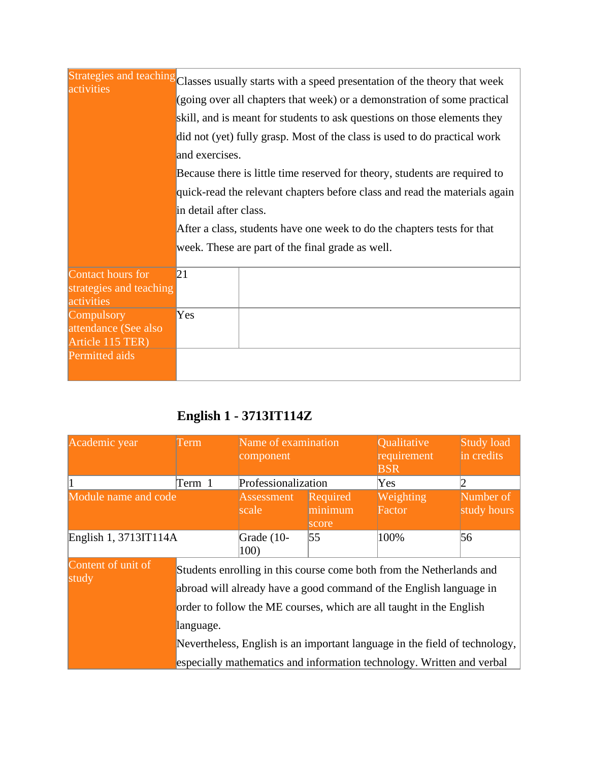| activities                                                 |                        | Strategies and teaching Classes usually starts with a speed presentation of the theory that week |
|------------------------------------------------------------|------------------------|--------------------------------------------------------------------------------------------------|
|                                                            |                        | (going over all chapters that week) or a demonstration of some practical                         |
|                                                            |                        | skill, and is meant for students to ask questions on those elements they                         |
|                                                            |                        | did not (yet) fully grasp. Most of the class is used to do practical work                        |
|                                                            | and exercises.         |                                                                                                  |
|                                                            |                        | Because there is little time reserved for theory, students are required to                       |
|                                                            |                        | quick-read the relevant chapters before class and read the materials again                       |
|                                                            | in detail after class. |                                                                                                  |
|                                                            |                        | After a class, students have one week to do the chapters tests for that                          |
|                                                            |                        | week. These are part of the final grade as well.                                                 |
| Contact hours for<br>strategies and teaching<br>activities | 21                     |                                                                                                  |
| Compulsory<br>attendance (See also<br>Article 115 TER)     | Yes                    |                                                                                                  |
| Permitted aids                                             |                        |                                                                                                  |

### **English 1 - 3713IT114Z**

<span id="page-6-0"></span>

| Academic year               | Term      | Name of examination<br>component |                              | <b>Qualitative</b><br>requirement<br><b>BSR</b>                                                                                                                                                                                                                                                                                                                          | <b>Study load</b><br>in credits |
|-----------------------------|-----------|----------------------------------|------------------------------|--------------------------------------------------------------------------------------------------------------------------------------------------------------------------------------------------------------------------------------------------------------------------------------------------------------------------------------------------------------------------|---------------------------------|
|                             | Term 1    | Professionalization              |                              | Yes                                                                                                                                                                                                                                                                                                                                                                      | 2                               |
| Module name and code        |           | <b>Assessment</b><br>scale       | Required<br>minimum<br>score | Weighting<br>Factor                                                                                                                                                                                                                                                                                                                                                      | Number of<br>study hours        |
| English 1, 3713IT114A       |           | Grade (10-<br>100)               | 55                           | 100%                                                                                                                                                                                                                                                                                                                                                                     | 56                              |
| Content of unit of<br>study | language. |                                  |                              | Students enrolling in this course come both from the Netherlands and<br>abroad will already have a good command of the English language in<br>order to follow the ME courses, which are all taught in the English<br>Nevertheless, English is an important language in the field of technology,<br>especially mathematics and information technology. Written and verbal |                                 |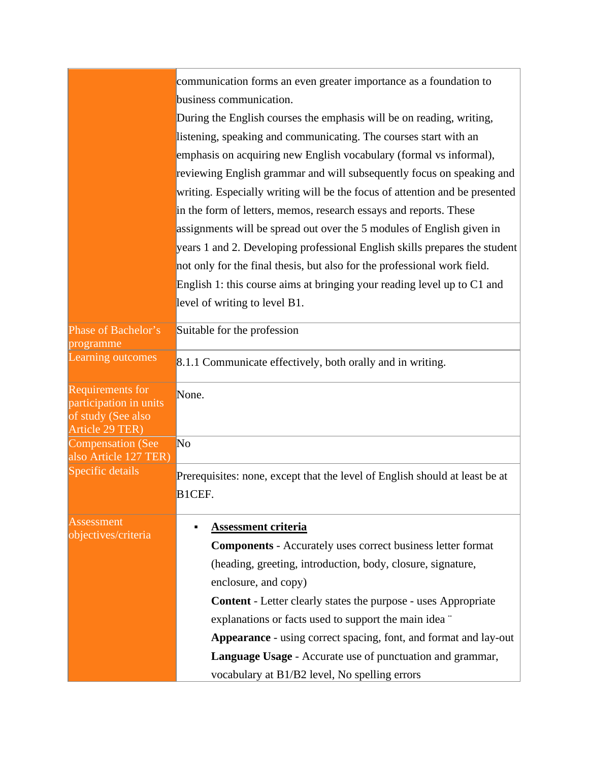|                                                                                            | communication forms an even greater importance as a foundation to           |  |  |  |  |
|--------------------------------------------------------------------------------------------|-----------------------------------------------------------------------------|--|--|--|--|
|                                                                                            | business communication.                                                     |  |  |  |  |
|                                                                                            | During the English courses the emphasis will be on reading, writing,        |  |  |  |  |
|                                                                                            | listening, speaking and communicating. The courses start with an            |  |  |  |  |
|                                                                                            | emphasis on acquiring new English vocabulary (formal vs informal),          |  |  |  |  |
|                                                                                            | reviewing English grammar and will subsequently focus on speaking and       |  |  |  |  |
|                                                                                            | writing. Especially writing will be the focus of attention and be presented |  |  |  |  |
|                                                                                            | in the form of letters, memos, research essays and reports. These           |  |  |  |  |
|                                                                                            | assignments will be spread out over the 5 modules of English given in       |  |  |  |  |
|                                                                                            | years 1 and 2. Developing professional English skills prepares the student  |  |  |  |  |
|                                                                                            | not only for the final thesis, but also for the professional work field.    |  |  |  |  |
|                                                                                            | English 1: this course aims at bringing your reading level up to $C1$ and   |  |  |  |  |
|                                                                                            | level of writing to level B1.                                               |  |  |  |  |
| Phase of Bachelor's<br>programme                                                           | Suitable for the profession                                                 |  |  |  |  |
| Learning outcomes                                                                          | 8.1.1 Communicate effectively, both orally and in writing.                  |  |  |  |  |
| <b>Requirements for</b><br>participation in units<br>of study (See also<br>Article 29 TER) | None.                                                                       |  |  |  |  |
| <b>Compensation (See</b><br>also Article 127 TER)                                          | No                                                                          |  |  |  |  |
| Specific details                                                                           | Prerequisites: none, except that the level of English should at least be at |  |  |  |  |
|                                                                                            | B1CEF.                                                                      |  |  |  |  |
| Assessment                                                                                 | <b>Assessment criteria</b>                                                  |  |  |  |  |
| objectives/criteria                                                                        | <b>Components</b> - Accurately uses correct business letter format          |  |  |  |  |
|                                                                                            | (heading, greeting, introduction, body, closure, signature,                 |  |  |  |  |
|                                                                                            | enclosure, and copy)                                                        |  |  |  |  |
|                                                                                            | <b>Content</b> - Letter clearly states the purpose - uses Appropriate       |  |  |  |  |
|                                                                                            | explanations or facts used to support the main idea "                       |  |  |  |  |
|                                                                                            | Appearance - using correct spacing, font, and format and lay-out            |  |  |  |  |
|                                                                                            | Language Usage - Accurate use of punctuation and grammar,                   |  |  |  |  |
|                                                                                            | vocabulary at B1/B2 level, No spelling errors                               |  |  |  |  |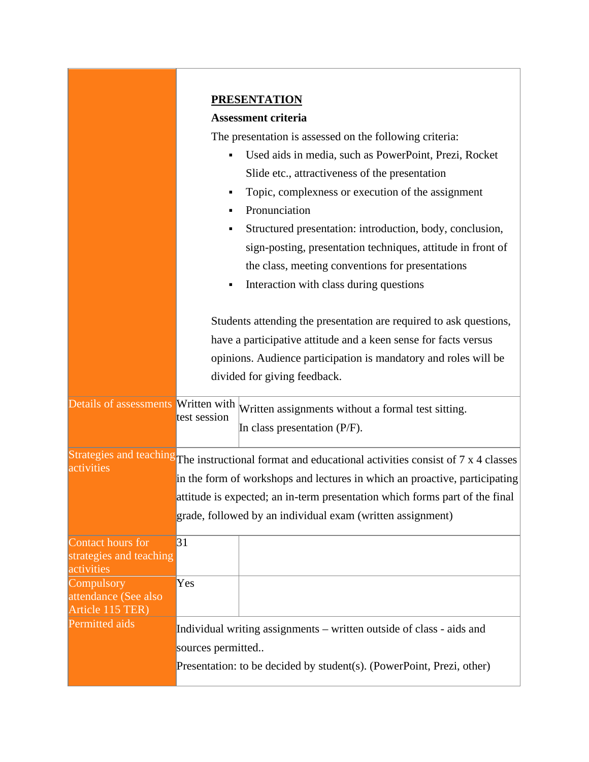|                                       |                   | <b>PRESENTATION</b>                                                                                  |
|---------------------------------------|-------------------|------------------------------------------------------------------------------------------------------|
|                                       |                   | <b>Assessment criteria</b>                                                                           |
|                                       |                   | The presentation is assessed on the following criteria:                                              |
|                                       |                   | Used aids in media, such as PowerPoint, Prezi, Rocket                                                |
|                                       |                   | Slide etc., attractiveness of the presentation                                                       |
|                                       | ٠                 | Topic, complexness or execution of the assignment                                                    |
|                                       |                   | Pronunciation                                                                                        |
|                                       | ٠                 | Structured presentation: introduction, body, conclusion,                                             |
|                                       |                   | sign-posting, presentation techniques, attitude in front of                                          |
|                                       |                   | the class, meeting conventions for presentations                                                     |
|                                       | ٠                 | Interaction with class during questions                                                              |
|                                       |                   |                                                                                                      |
|                                       |                   | Students attending the presentation are required to ask questions,                                   |
|                                       |                   | have a participative attitude and a keen sense for facts versus                                      |
|                                       |                   | opinions. Audience participation is mandatory and roles will be                                      |
|                                       |                   | divided for giving feedback.                                                                         |
| Details of assessments                | test session      | Written with Written assignments without a formal test sitting.<br>In class presentation (P/F).      |
|                                       |                   | Strategies and teaching The instructional format and educational activities consist of 7 x 4 classes |
| activities                            |                   | in the form of workshops and lectures in which an proactive, participating                           |
|                                       |                   | attitude is expected; an in-term presentation which forms part of the final                          |
|                                       |                   | grade, followed by an individual exam (written assignment)                                           |
| Contact hours for                     | 31                |                                                                                                      |
| strategies and teaching<br>activities |                   |                                                                                                      |
| Compulsory                            | Yes               |                                                                                                      |
| attendance (See also                  |                   |                                                                                                      |
| Article 115 TER)<br>Permitted aids    |                   |                                                                                                      |
|                                       |                   | Individual writing assignments – written outside of class - aids and                                 |
|                                       | sources permitted |                                                                                                      |
|                                       |                   | Presentation: to be decided by student(s). (PowerPoint, Prezi, other)                                |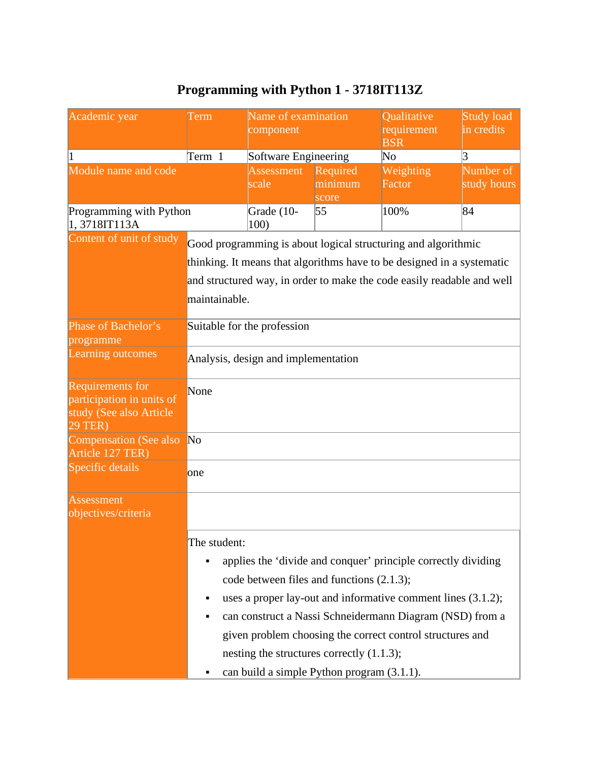<span id="page-9-0"></span>

| Academic year                                                                         | Term          | Name of examination<br>component             |             | Qualitative<br>requirement                                             | Study load<br>in credits |
|---------------------------------------------------------------------------------------|---------------|----------------------------------------------|-------------|------------------------------------------------------------------------|--------------------------|
|                                                                                       |               |                                              |             | <b>BSR</b>                                                             |                          |
|                                                                                       | Term 1        | Software Engineering                         |             | $\rm No$                                                               | $\vert 3 \vert$          |
| Module name and code                                                                  |               | Assessment                                   | Required    | Weighting                                                              | Number of                |
|                                                                                       |               | scale                                        | minimum     | Factor                                                                 | study hours              |
| Programming with Python<br>1,3718IT113A                                               |               | Grade (10-<br>100)                           | score<br>55 | 100%                                                                   | 84                       |
| Content of unit of study                                                              |               |                                              |             | Good programming is about logical structuring and algorithmic          |                          |
|                                                                                       |               |                                              |             | thinking. It means that algorithms have to be designed in a systematic |                          |
|                                                                                       |               |                                              |             | and structured way, in order to make the code easily readable and well |                          |
|                                                                                       | maintainable. |                                              |             |                                                                        |                          |
| Phase of Bachelor's<br>programme                                                      |               | Suitable for the profession                  |             |                                                                        |                          |
| Learning outcomes                                                                     |               | Analysis, design and implementation          |             |                                                                        |                          |
| Requirements for<br>participation in units of<br>study (See also Article<br>$29$ TER) | None          |                                              |             |                                                                        |                          |
| Compensation (See also<br>Article 127 TER)                                            | No            |                                              |             |                                                                        |                          |
| Specific details                                                                      | one           |                                              |             |                                                                        |                          |
| Assessment<br>objectives/criteria                                                     |               |                                              |             |                                                                        |                          |
|                                                                                       | The student:  |                                              |             |                                                                        |                          |
|                                                                                       |               |                                              |             | applies the 'divide and conquer' principle correctly dividing          |                          |
|                                                                                       |               | code between files and functions (2.1.3);    |             |                                                                        |                          |
|                                                                                       |               |                                              |             | uses a proper lay-out and informative comment lines (3.1.2);           |                          |
|                                                                                       |               |                                              |             | can construct a Nassi Schneidermann Diagram (NSD) from a               |                          |
|                                                                                       |               |                                              |             | given problem choosing the correct control structures and              |                          |
|                                                                                       |               | nesting the structures correctly $(1.1.3)$ ; |             |                                                                        |                          |
|                                                                                       |               | can build a simple Python program (3.1.1).   |             |                                                                        |                          |

# **Programming with Python 1 - 3718IT113Z**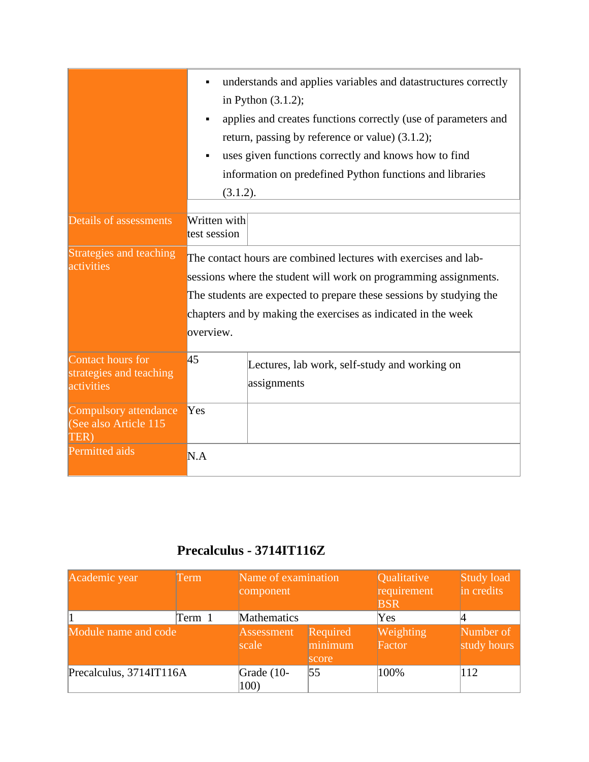|                                                            | understands and applies variables and datastructures correctly<br>in Python $(3.1.2)$ ;<br>applies and creates functions correctly (use of parameters and<br>return, passing by reference or value) (3.1.2);<br>uses given functions correctly and knows how to find<br>information on predefined Python functions and libraries<br>(3.1.2). |
|------------------------------------------------------------|----------------------------------------------------------------------------------------------------------------------------------------------------------------------------------------------------------------------------------------------------------------------------------------------------------------------------------------------|
| Details of assessments                                     | Written with<br>test session                                                                                                                                                                                                                                                                                                                 |
| Strategies and teaching<br>activities                      | The contact hours are combined lectures with exercises and lab-<br>sessions where the student will work on programming assignments.<br>The students are expected to prepare these sessions by studying the<br>chapters and by making the exercises as indicated in the week<br>overview.                                                     |
| Contact hours for<br>strategies and teaching<br>activities | 45 <br>Lectures, lab work, self-study and working on<br>assignments                                                                                                                                                                                                                                                                          |
| Compulsory attendance<br>(See also Article 115<br>TER)     | Yes                                                                                                                                                                                                                                                                                                                                          |
| <b>Permitted aids</b>                                      | N.A                                                                                                                                                                                                                                                                                                                                          |

#### **Precalculus - 3714IT116Z**

<span id="page-10-0"></span>

| Academic year           | Term   | Name of examination<br>component |                              | Qualitative<br>requirement<br><b>BSR</b> | Study load<br>in credits |
|-------------------------|--------|----------------------------------|------------------------------|------------------------------------------|--------------------------|
|                         | Term 1 | Mathematics                      |                              | Yes                                      |                          |
| Module name and code    |        | <b>Assessment</b><br>scale       | Required<br>minimum<br>score | Weighting<br>Factor                      | Number of<br>study hours |
| Precalculus, 3714IT116A |        | Grade $(10-$<br>100)             | $\overline{55}$              | 100%                                     | 112                      |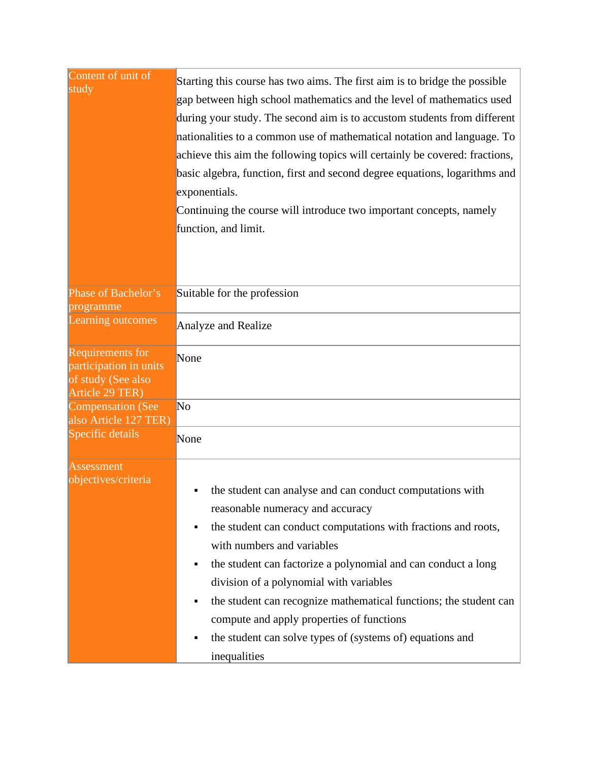| Content of unit of<br>study                                                         | Starting this course has two aims. The first aim is to bridge the possible<br>gap between high school mathematics and the level of mathematics used<br>during your study. The second aim is to accustom students from different<br>nationalities to a common use of mathematical notation and language. To<br>achieve this aim the following topics will certainly be covered: fractions,<br>basic algebra, function, first and second degree equations, logarithms and<br>exponentials.<br>Continuing the course will introduce two important concepts, namely<br>function, and limit. |
|-------------------------------------------------------------------------------------|-----------------------------------------------------------------------------------------------------------------------------------------------------------------------------------------------------------------------------------------------------------------------------------------------------------------------------------------------------------------------------------------------------------------------------------------------------------------------------------------------------------------------------------------------------------------------------------------|
| Phase of Bachelor's                                                                 | Suitable for the profession                                                                                                                                                                                                                                                                                                                                                                                                                                                                                                                                                             |
| programme<br>Learning outcomes                                                      | Analyze and Realize                                                                                                                                                                                                                                                                                                                                                                                                                                                                                                                                                                     |
| Requirements for<br>participation in units<br>of study (See also<br>Article 29 TER) | None                                                                                                                                                                                                                                                                                                                                                                                                                                                                                                                                                                                    |
| Compensation (See<br>also Article 127 TER)                                          | N <sub>o</sub>                                                                                                                                                                                                                                                                                                                                                                                                                                                                                                                                                                          |
| Specific details                                                                    | None                                                                                                                                                                                                                                                                                                                                                                                                                                                                                                                                                                                    |
| Assessment<br>objectives/criteria                                                   | the student can analyse and can conduct computations with<br>reasonable numeracy and accuracy<br>the student can conduct computations with fractions and roots,<br>٠<br>with numbers and variables<br>the student can factorize a polynomial and can conduct a long<br>٠<br>division of a polynomial with variables<br>the student can recognize mathematical functions; the student can<br>compute and apply properties of functions<br>the student can solve types of (systems of) equations and<br>inequalities                                                                      |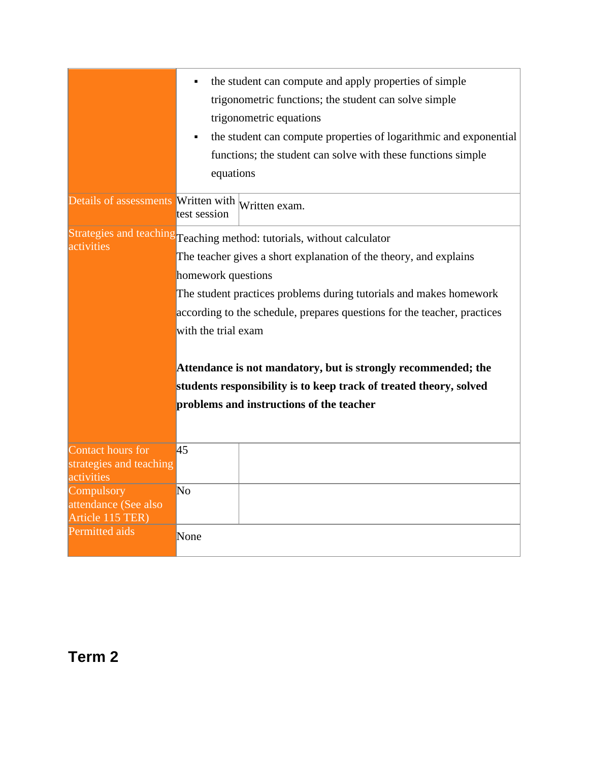|                                                            | equations                                 | the student can compute and apply properties of simple<br>trigonometric functions; the student can solve simple<br>trigonometric equations<br>the student can compute properties of logarithmic and exponential<br>functions; the student can solve with these functions simple                                                                                                                                                                                                  |  |  |
|------------------------------------------------------------|-------------------------------------------|----------------------------------------------------------------------------------------------------------------------------------------------------------------------------------------------------------------------------------------------------------------------------------------------------------------------------------------------------------------------------------------------------------------------------------------------------------------------------------|--|--|
| Details of assessments Written with Written exam.          | test session                              |                                                                                                                                                                                                                                                                                                                                                                                                                                                                                  |  |  |
| activities                                                 | homework questions<br>with the trial exam | Strategies and teaching Teaching method: tutorials, without calculator<br>The teacher gives a short explanation of the theory, and explains<br>The student practices problems during tutorials and makes homework<br>according to the schedule, prepares questions for the teacher, practices<br>Attendance is not mandatory, but is strongly recommended; the<br>students responsibility is to keep track of treated theory, solved<br>problems and instructions of the teacher |  |  |
| Contact hours for<br>strategies and teaching<br>activities | 45                                        |                                                                                                                                                                                                                                                                                                                                                                                                                                                                                  |  |  |
| Compulsory<br>attendance (See also<br>Article 115 TER)     | No                                        |                                                                                                                                                                                                                                                                                                                                                                                                                                                                                  |  |  |
| Permitted aids                                             | None                                      |                                                                                                                                                                                                                                                                                                                                                                                                                                                                                  |  |  |

<span id="page-12-0"></span>**Term 2**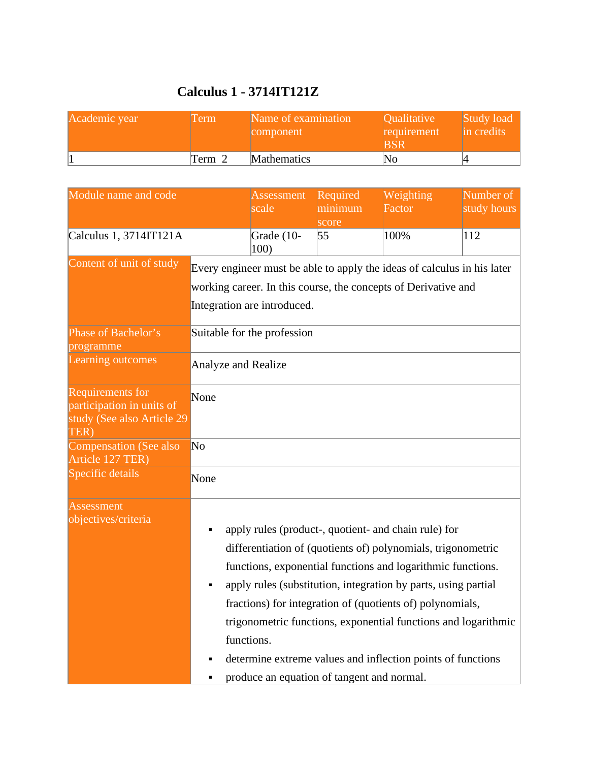<span id="page-13-0"></span>

| Academic year | erm    | Name of examination<br>component | <i><b>Oualitative</b></i><br>requirement | Study load<br>in credits |
|---------------|--------|----------------------------------|------------------------------------------|--------------------------|
|               | Term 2 | <b>Mathematics</b>               | lΝo                                      |                          |

### **Calculus 1 - 3714IT121Z**

| Module name and code                                                                       |                        | Assessment<br>scale                                                                                                                                                                                                                                                                                                                                                                                                                                                                                             | Required<br>minimum<br>score | Weighting<br>Factor | Number of<br>study hours |
|--------------------------------------------------------------------------------------------|------------------------|-----------------------------------------------------------------------------------------------------------------------------------------------------------------------------------------------------------------------------------------------------------------------------------------------------------------------------------------------------------------------------------------------------------------------------------------------------------------------------------------------------------------|------------------------------|---------------------|--------------------------|
| Calculus 1, 3714IT121A                                                                     |                        | Grade (10-<br>100)                                                                                                                                                                                                                                                                                                                                                                                                                                                                                              | 55                           | 100%                | 112                      |
| Content of unit of study                                                                   |                        | Every engineer must be able to apply the ideas of calculus in his later<br>working career. In this course, the concepts of Derivative and<br>Integration are introduced.                                                                                                                                                                                                                                                                                                                                        |                              |                     |                          |
| Phase of Bachelor's<br>programme<br>Learning outcomes                                      |                        | Suitable for the profession<br>Analyze and Realize                                                                                                                                                                                                                                                                                                                                                                                                                                                              |                              |                     |                          |
| <b>Requirements for</b><br>participation in units of<br>study (See also Article 29<br>TER) | None                   |                                                                                                                                                                                                                                                                                                                                                                                                                                                                                                                 |                              |                     |                          |
| <b>Compensation (See also</b><br>Article 127 TER)                                          | $\overline{\text{No}}$ |                                                                                                                                                                                                                                                                                                                                                                                                                                                                                                                 |                              |                     |                          |
| Specific details                                                                           | None                   |                                                                                                                                                                                                                                                                                                                                                                                                                                                                                                                 |                              |                     |                          |
| Assessment<br>objectives/criteria                                                          |                        | apply rules (product-, quotient- and chain rule) for<br>differentiation of (quotients of) polynomials, trigonometric<br>functions, exponential functions and logarithmic functions.<br>apply rules (substitution, integration by parts, using partial<br>fractions) for integration of (quotients of) polynomials,<br>trigonometric functions, exponential functions and logarithmic<br>functions.<br>determine extreme values and inflection points of functions<br>produce an equation of tangent and normal. |                              |                     |                          |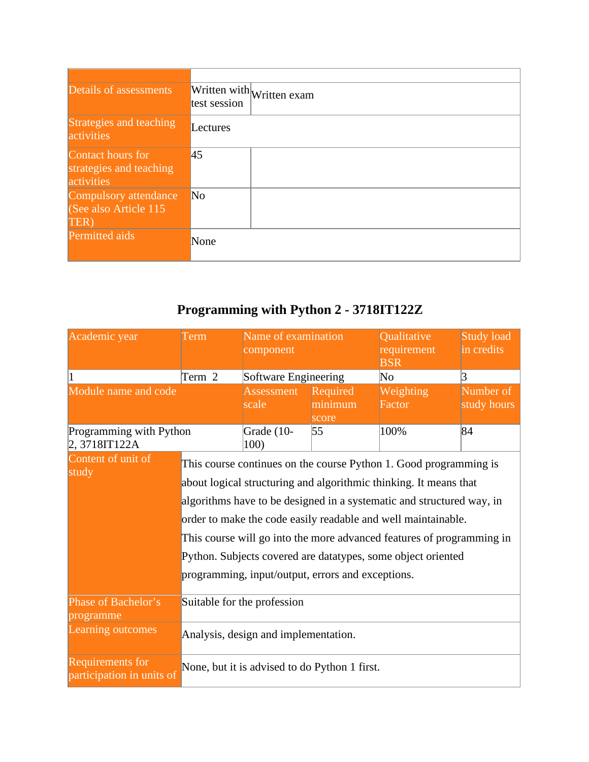| Details of assessments                                     | Written with Written exam<br>test session |
|------------------------------------------------------------|-------------------------------------------|
| Strategies and teaching<br>activities                      | Lectures                                  |
| Contact hours for<br>strategies and teaching<br>activities | 45                                        |
| Compulsory attendance<br>(See also Article 115)<br>TER)    | N <sub>o</sub>                            |
| <b>Permitted aids</b>                                      | None                                      |

# **Programming with Python 2 - 3718IT122Z**

<span id="page-14-0"></span>

| Academic year                                 | Term                                                                                                                                                                                                                                                                                                                                                                                                                                                                           | Name of examination<br>component |                              | Qualitative<br>requirement<br><b>BSR</b> | <b>Study load</b><br>in credits |
|-----------------------------------------------|--------------------------------------------------------------------------------------------------------------------------------------------------------------------------------------------------------------------------------------------------------------------------------------------------------------------------------------------------------------------------------------------------------------------------------------------------------------------------------|----------------------------------|------------------------------|------------------------------------------|---------------------------------|
|                                               | Term 2                                                                                                                                                                                                                                                                                                                                                                                                                                                                         | Software Engineering             |                              | No                                       | $\vert 3 \vert$                 |
| Module name and code                          |                                                                                                                                                                                                                                                                                                                                                                                                                                                                                | <b>Assessment</b><br>scale       | Required<br>minimum<br>score | Weighting<br>Factor                      | Number of<br>study hours        |
| Programming with Python<br>2,3718IT122A       |                                                                                                                                                                                                                                                                                                                                                                                                                                                                                | Grade (10-<br>100)               | 55                           | 100%                                     | 84                              |
| Content of unit of<br>study                   | This course continues on the course Python 1. Good programming is<br>about logical structuring and algorithmic thinking. It means that<br>algorithms have to be designed in a systematic and structured way, in<br>order to make the code easily readable and well maintainable.<br>This course will go into the more advanced features of programming in<br>Python. Subjects covered are datatypes, some object oriented<br>programming, input/output, errors and exceptions. |                                  |                              |                                          |                                 |
| Phase of Bachelor's<br>programme              | Suitable for the profession                                                                                                                                                                                                                                                                                                                                                                                                                                                    |                                  |                              |                                          |                                 |
| Learning outcomes                             | Analysis, design and implementation.                                                                                                                                                                                                                                                                                                                                                                                                                                           |                                  |                              |                                          |                                 |
| Requirements for<br>participation in units of | None, but it is advised to do Python 1 first.                                                                                                                                                                                                                                                                                                                                                                                                                                  |                                  |                              |                                          |                                 |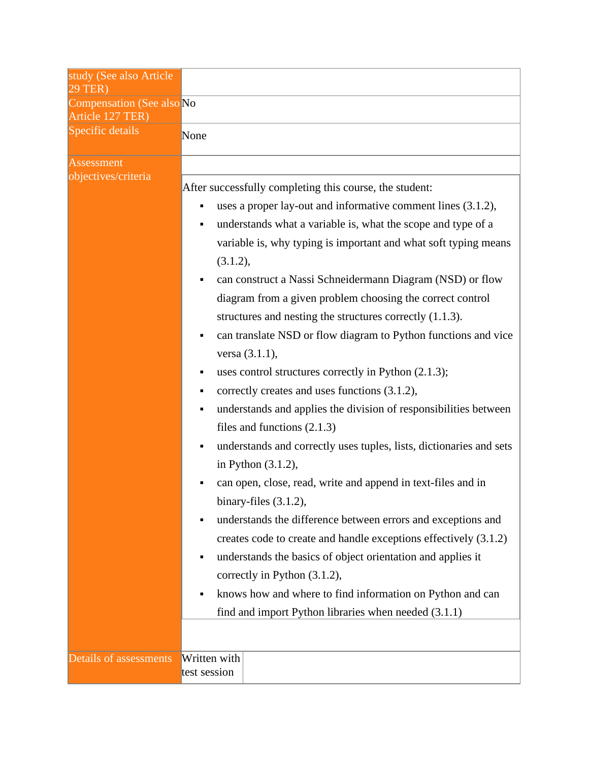| study (See also Article<br>29 TER)            |                                                                                                                                                                                                                                                                                                                                                                                                                                                                                                                                                                                                                                                                                                                                                                                                                                                                                                                                                                                                                                                                                                                                                                                                                                                                                                                                                              |
|-----------------------------------------------|--------------------------------------------------------------------------------------------------------------------------------------------------------------------------------------------------------------------------------------------------------------------------------------------------------------------------------------------------------------------------------------------------------------------------------------------------------------------------------------------------------------------------------------------------------------------------------------------------------------------------------------------------------------------------------------------------------------------------------------------------------------------------------------------------------------------------------------------------------------------------------------------------------------------------------------------------------------------------------------------------------------------------------------------------------------------------------------------------------------------------------------------------------------------------------------------------------------------------------------------------------------------------------------------------------------------------------------------------------------|
| Compensation (See also No<br>Article 127 TER) |                                                                                                                                                                                                                                                                                                                                                                                                                                                                                                                                                                                                                                                                                                                                                                                                                                                                                                                                                                                                                                                                                                                                                                                                                                                                                                                                                              |
| Specific details                              | None                                                                                                                                                                                                                                                                                                                                                                                                                                                                                                                                                                                                                                                                                                                                                                                                                                                                                                                                                                                                                                                                                                                                                                                                                                                                                                                                                         |
| <b>Assessment</b><br>objectives/criteria      | After successfully completing this course, the student:<br>uses a proper lay-out and informative comment lines (3.1.2),<br>understands what a variable is, what the scope and type of a<br>٠<br>variable is, why typing is important and what soft typing means<br>(3.1.2),<br>can construct a Nassi Schneidermann Diagram (NSD) or flow<br>diagram from a given problem choosing the correct control<br>structures and nesting the structures correctly (1.1.3).<br>can translate NSD or flow diagram to Python functions and vice<br>٠<br>versa (3.1.1),<br>uses control structures correctly in Python (2.1.3);<br>correctly creates and uses functions (3.1.2),<br>٠<br>understands and applies the division of responsibilities between<br>٠<br>files and functions $(2.1.3)$<br>understands and correctly uses tuples, lists, dictionaries and sets<br>٠<br>in Python $(3.1.2)$ ,<br>can open, close, read, write and append in text-files and in<br>binary-files $(3.1.2)$ ,<br>understands the difference between errors and exceptions and<br>п<br>creates code to create and handle exceptions effectively (3.1.2)<br>understands the basics of object orientation and applies it<br>٠<br>correctly in Python (3.1.2),<br>knows how and where to find information on Python and can<br>٠<br>find and import Python libraries when needed $(3.1.1)$ |
| Details of assessments                        | Written with<br>test session                                                                                                                                                                                                                                                                                                                                                                                                                                                                                                                                                                                                                                                                                                                                                                                                                                                                                                                                                                                                                                                                                                                                                                                                                                                                                                                                 |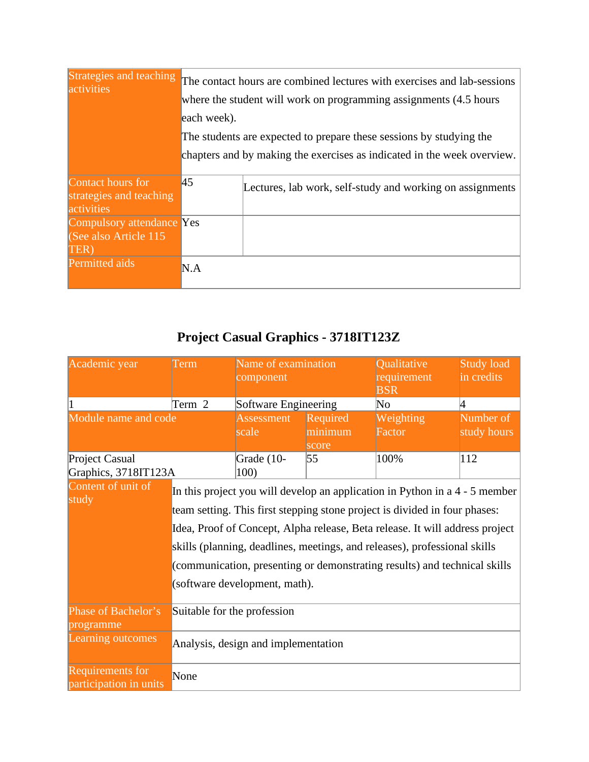| Strategies and teaching<br>activities                             | The contact hours are combined lectures with exercises and lab-sessions<br>where the student will work on programming assignments (4.5 hours<br>each week).<br>The students are expected to prepare these sessions by studying the<br>chapters and by making the exercises as indicated in the week overview. |                                                           |  |
|-------------------------------------------------------------------|---------------------------------------------------------------------------------------------------------------------------------------------------------------------------------------------------------------------------------------------------------------------------------------------------------------|-----------------------------------------------------------|--|
| Contact hours for<br>strategies and teaching<br>activities        | 45                                                                                                                                                                                                                                                                                                            | Lectures, lab work, self-study and working on assignments |  |
| Compulsory attendance Yes<br>(See also Article 115<br><b>TER)</b> |                                                                                                                                                                                                                                                                                                               |                                                           |  |
| <b>Permitted aids</b>                                             | N.A                                                                                                                                                                                                                                                                                                           |                                                           |  |

# **Project Casual Graphics - 3718IT123Z**

<span id="page-16-0"></span>

| Academic year                                     | Term                                                                                                                                                                                                                                                                                                                                                                                                                                 | Name of examination<br>component |                              | Qualitative<br>requirement<br><b>BSR</b> | <b>Study load</b><br>in credits |
|---------------------------------------------------|--------------------------------------------------------------------------------------------------------------------------------------------------------------------------------------------------------------------------------------------------------------------------------------------------------------------------------------------------------------------------------------------------------------------------------------|----------------------------------|------------------------------|------------------------------------------|---------------------------------|
|                                                   | Term 2                                                                                                                                                                                                                                                                                                                                                                                                                               | Software Engineering             |                              | No                                       | 4                               |
| Module name and code                              |                                                                                                                                                                                                                                                                                                                                                                                                                                      | <b>Assessment</b><br>scale       | Required<br>minimum<br>score | Weighting<br>Factor                      | Number of<br>study hours        |
| Project Casual<br>Graphics, 3718IT123A            |                                                                                                                                                                                                                                                                                                                                                                                                                                      | Grade (10-<br>100)               | 55                           | 100%                                     | 112                             |
| Content of unit of<br>study                       | In this project you will develop an application in Python in a 4 - 5 member<br>team setting. This first stepping stone project is divided in four phases:<br>Idea, Proof of Concept, Alpha release, Beta release. It will address project<br>skills (planning, deadlines, meetings, and releases), professional skills<br>(communication, presenting or demonstrating results) and technical skills<br>(software development, math). |                                  |                              |                                          |                                 |
| Phase of Bachelor's<br>programme                  | Suitable for the profession                                                                                                                                                                                                                                                                                                                                                                                                          |                                  |                              |                                          |                                 |
| <b>Learning outcomes</b>                          | Analysis, design and implementation                                                                                                                                                                                                                                                                                                                                                                                                  |                                  |                              |                                          |                                 |
| <b>Requirements for</b><br>participation in units | None                                                                                                                                                                                                                                                                                                                                                                                                                                 |                                  |                              |                                          |                                 |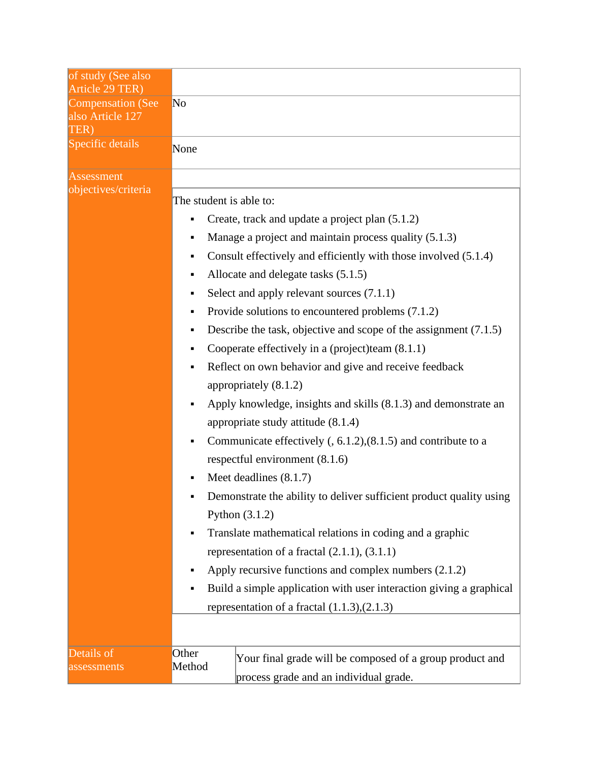| of study (See also<br>Article 29 TER)                |                                                                            |                                                                                                          |  |  |  |
|------------------------------------------------------|----------------------------------------------------------------------------|----------------------------------------------------------------------------------------------------------|--|--|--|
| <b>Compensation (See</b><br>also Article 127<br>TER) | No                                                                         |                                                                                                          |  |  |  |
| Specific details                                     | None                                                                       |                                                                                                          |  |  |  |
| Assessment<br>objectives/criteria                    |                                                                            |                                                                                                          |  |  |  |
|                                                      | The student is able to:<br>Create, track and update a project plan (5.1.2) |                                                                                                          |  |  |  |
|                                                      |                                                                            |                                                                                                          |  |  |  |
|                                                      |                                                                            | Manage a project and maintain process quality (5.1.3)                                                    |  |  |  |
|                                                      | ٠                                                                          | Consult effectively and efficiently with those involved (5.1.4)                                          |  |  |  |
|                                                      |                                                                            | Allocate and delegate tasks (5.1.5)                                                                      |  |  |  |
|                                                      | ٠                                                                          | Select and apply relevant sources (7.1.1)                                                                |  |  |  |
|                                                      | ٠                                                                          | Provide solutions to encountered problems (7.1.2)                                                        |  |  |  |
|                                                      | ٠                                                                          | Describe the task, objective and scope of the assignment $(7.1.5)$                                       |  |  |  |
|                                                      | ٠                                                                          | Cooperate effectively in a (project)team (8.1.1)                                                         |  |  |  |
|                                                      |                                                                            | Reflect on own behavior and give and receive feedback<br>appropriately (8.1.2)                           |  |  |  |
|                                                      | $\blacksquare$                                                             | Apply knowledge, insights and skills (8.1.3) and demonstrate an<br>appropriate study attitude $(8.1.4)$  |  |  |  |
|                                                      | ٠                                                                          | Communicate effectively $(0, 6.1.2)$ , $(8.1.5)$ and contribute to a<br>respectful environment $(8.1.6)$ |  |  |  |
|                                                      |                                                                            | Meet deadlines $(8.1.7)$                                                                                 |  |  |  |
|                                                      | Demonstrate the ability to deliver sufficient product quality using        |                                                                                                          |  |  |  |
|                                                      | Python $(3.1.2)$                                                           |                                                                                                          |  |  |  |
|                                                      |                                                                            | Translate mathematical relations in coding and a graphic                                                 |  |  |  |
|                                                      | representation of a fractal $(2.1.1)$ , $(3.1.1)$                          |                                                                                                          |  |  |  |
|                                                      | Apply recursive functions and complex numbers (2.1.2)                      |                                                                                                          |  |  |  |
|                                                      | Build a simple application with user interaction giving a graphical        |                                                                                                          |  |  |  |
|                                                      |                                                                            | representation of a fractal $(1.1.3)$ , $(2.1.3)$                                                        |  |  |  |
|                                                      |                                                                            |                                                                                                          |  |  |  |
| Details of<br>assessments                            | Other<br>Method                                                            | Your final grade will be composed of a group product and<br>process grade and an individual grade.       |  |  |  |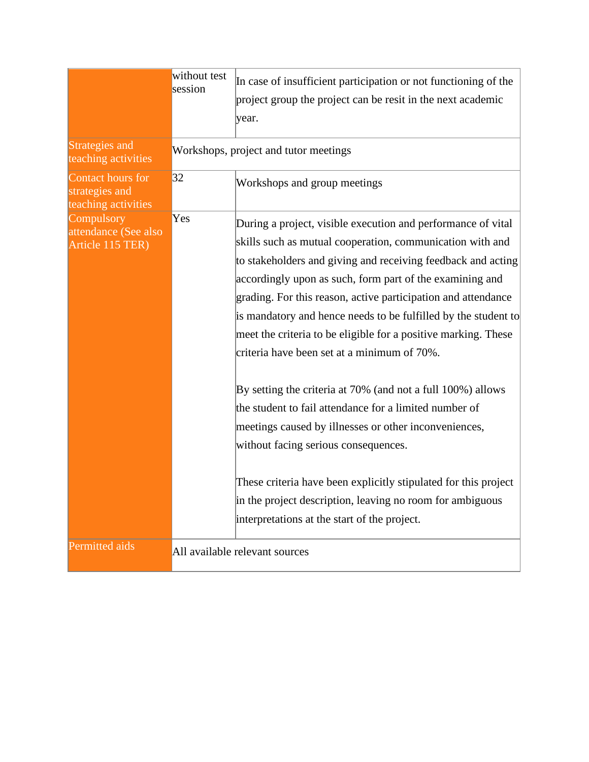|                                                            | without test<br>session | In case of insufficient participation or not functioning of the<br>project group the project can be resit in the next academic<br>year.                                                                                                                                                                                                                                                                                                                                                                                                                                                                                                                                                     |
|------------------------------------------------------------|-------------------------|---------------------------------------------------------------------------------------------------------------------------------------------------------------------------------------------------------------------------------------------------------------------------------------------------------------------------------------------------------------------------------------------------------------------------------------------------------------------------------------------------------------------------------------------------------------------------------------------------------------------------------------------------------------------------------------------|
| Strategies and<br>teaching activities                      |                         | Workshops, project and tutor meetings                                                                                                                                                                                                                                                                                                                                                                                                                                                                                                                                                                                                                                                       |
| Contact hours for<br>strategies and<br>teaching activities | 32                      | Workshops and group meetings                                                                                                                                                                                                                                                                                                                                                                                                                                                                                                                                                                                                                                                                |
| Compulsory<br>attendance (See also<br>Article 115 TER)     | Yes                     | During a project, visible execution and performance of vital<br>skills such as mutual cooperation, communication with and<br>to stakeholders and giving and receiving feedback and acting<br>accordingly upon as such, form part of the examining and<br>grading. For this reason, active participation and attendance<br>is mandatory and hence needs to be fulfilled by the student to<br>meet the criteria to be eligible for a positive marking. These<br>criteria have been set at a minimum of 70%.<br>By setting the criteria at 70% (and not a full 100%) allows<br>the student to fail attendance for a limited number of<br>meetings caused by illnesses or other inconveniences, |
|                                                            |                         | without facing serious consequences.<br>These criteria have been explicitly stipulated for this project<br>in the project description, leaving no room for ambiguous<br>interpretations at the start of the project.                                                                                                                                                                                                                                                                                                                                                                                                                                                                        |
| Permitted aids                                             |                         | All available relevant sources                                                                                                                                                                                                                                                                                                                                                                                                                                                                                                                                                                                                                                                              |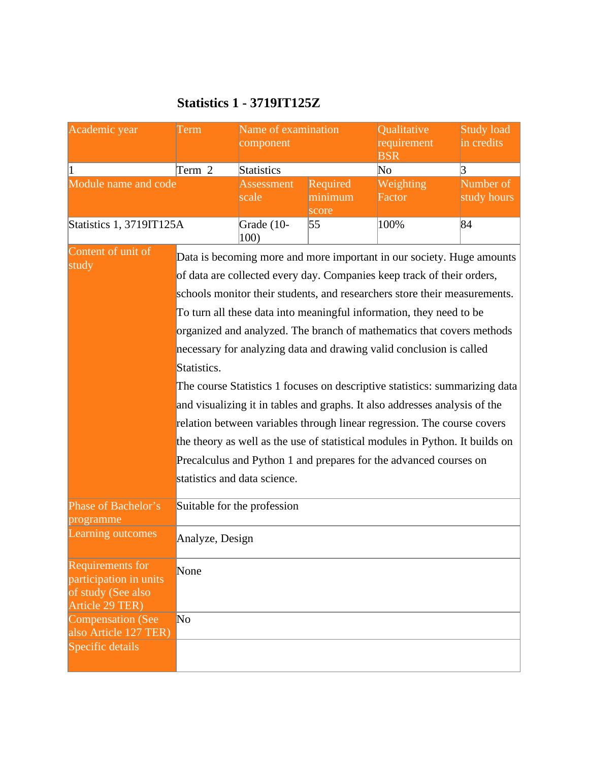#### **Statistics 1 - 3719IT125Z**

<span id="page-19-0"></span>

| Academic year                                                                              | Term                                                                                                                                                                     | Name of examination                                                          |             | Qualitative                                                               | <b>Study load</b> |  |
|--------------------------------------------------------------------------------------------|--------------------------------------------------------------------------------------------------------------------------------------------------------------------------|------------------------------------------------------------------------------|-------------|---------------------------------------------------------------------------|-------------------|--|
|                                                                                            |                                                                                                                                                                          | component                                                                    |             | requirement                                                               | in credits        |  |
|                                                                                            |                                                                                                                                                                          |                                                                              |             | <b>BSR</b>                                                                |                   |  |
| 1                                                                                          | Term 2                                                                                                                                                                   | Statistics                                                                   |             | No                                                                        | 3                 |  |
| Module name and code                                                                       |                                                                                                                                                                          | <b>Assessment</b>                                                            | Required    | Weighting                                                                 | Number of         |  |
|                                                                                            |                                                                                                                                                                          | scale                                                                        | minimum     | Factor                                                                    | study hours       |  |
| Statistics 1, 3719IT125A                                                                   |                                                                                                                                                                          | Grade (10-<br>100)                                                           | score<br>55 | 100%                                                                      | 84                |  |
| Content of unit of                                                                         |                                                                                                                                                                          |                                                                              |             | Data is becoming more and more important in our society. Huge amounts     |                   |  |
| study                                                                                      |                                                                                                                                                                          |                                                                              |             | of data are collected every day. Companies keep track of their orders,    |                   |  |
|                                                                                            |                                                                                                                                                                          |                                                                              |             | schools monitor their students, and researchers store their measurements. |                   |  |
|                                                                                            |                                                                                                                                                                          |                                                                              |             | To turn all these data into meaningful information, they need to be       |                   |  |
|                                                                                            |                                                                                                                                                                          |                                                                              |             | organized and analyzed. The branch of mathematics that covers methods     |                   |  |
|                                                                                            |                                                                                                                                                                          |                                                                              |             | necessary for analyzing data and drawing valid conclusion is called       |                   |  |
|                                                                                            | Statistics.<br>The course Statistics 1 focuses on descriptive statistics: summarizing data<br>and visualizing it in tables and graphs. It also addresses analysis of the |                                                                              |             |                                                                           |                   |  |
|                                                                                            |                                                                                                                                                                          |                                                                              |             |                                                                           |                   |  |
|                                                                                            |                                                                                                                                                                          |                                                                              |             |                                                                           |                   |  |
|                                                                                            |                                                                                                                                                                          | relation between variables through linear regression. The course covers      |             |                                                                           |                   |  |
|                                                                                            |                                                                                                                                                                          | the theory as well as the use of statistical modules in Python. It builds on |             |                                                                           |                   |  |
|                                                                                            |                                                                                                                                                                          |                                                                              |             | Precalculus and Python 1 and prepares for the advanced courses on         |                   |  |
|                                                                                            | statistics and data science.                                                                                                                                             |                                                                              |             |                                                                           |                   |  |
| Phase of Bachelor's<br>programme                                                           | Suitable for the profession                                                                                                                                              |                                                                              |             |                                                                           |                   |  |
| <b>Learning outcomes</b>                                                                   | Analyze, Design                                                                                                                                                          |                                                                              |             |                                                                           |                   |  |
| <b>Requirements</b> for<br>participation in units<br>of study (See also<br>Article 29 TER) | None                                                                                                                                                                     |                                                                              |             |                                                                           |                   |  |
| <b>Compensation (See</b><br>also Article 127 TER)                                          | No                                                                                                                                                                       |                                                                              |             |                                                                           |                   |  |
|                                                                                            |                                                                                                                                                                          |                                                                              |             |                                                                           |                   |  |
| Specific details                                                                           |                                                                                                                                                                          |                                                                              |             |                                                                           |                   |  |
|                                                                                            |                                                                                                                                                                          |                                                                              |             |                                                                           |                   |  |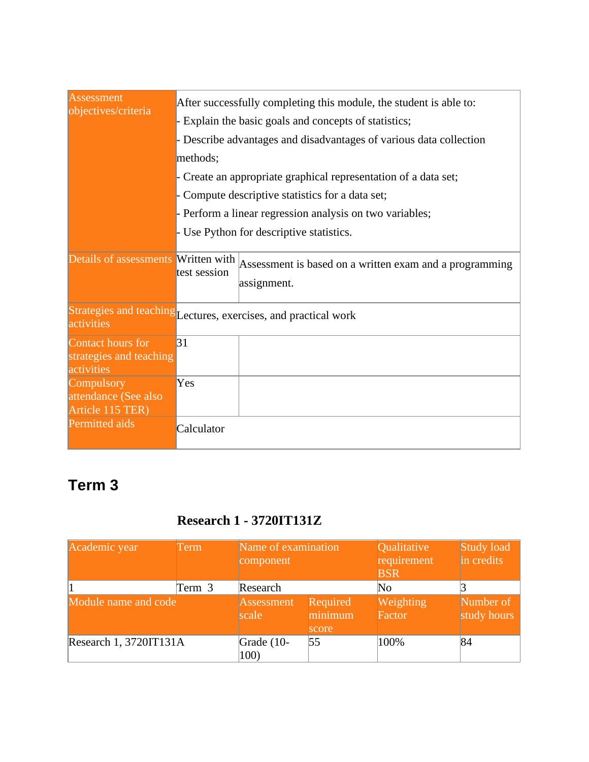| Assessment<br>objectives/criteria                          | methods;                     | After successfully completing this module, the student is able to:<br>Explain the basic goals and concepts of statistics;<br>Describe advantages and disadvantages of various data collection<br>Create an appropriate graphical representation of a data set; |
|------------------------------------------------------------|------------------------------|----------------------------------------------------------------------------------------------------------------------------------------------------------------------------------------------------------------------------------------------------------------|
|                                                            |                              | Compute descriptive statistics for a data set;<br>Perform a linear regression analysis on two variables;<br>- Use Python for descriptive statistics.                                                                                                           |
| Details of assessments                                     | Written with<br>test session | Assessment is based on a written exam and a programming<br>assignment.                                                                                                                                                                                         |
| activities                                                 |                              | Strategies and teaching Lectures, exercises, and practical work                                                                                                                                                                                                |
| Contact hours for<br>strategies and teaching<br>activities | 31                           |                                                                                                                                                                                                                                                                |
| Compulsory<br>attendance (See also<br>Article 115 TER)     | Yes                          |                                                                                                                                                                                                                                                                |
| Permitted aids                                             | Calculator                   |                                                                                                                                                                                                                                                                |

# <span id="page-20-0"></span>**Term 3**

#### **Research 1 - 3720IT131Z**

<span id="page-20-1"></span>

| Academic year          | Term   | Name of examination<br>component |                              | Qualitative<br>requirement<br><b>BSR</b> | Study load<br>in credits |
|------------------------|--------|----------------------------------|------------------------------|------------------------------------------|--------------------------|
|                        | Term 3 | Research                         |                              | $\overline{\text{No}}$                   |                          |
| Module name and code   |        | Assessment<br>scale              | Required<br>minimum<br>score | Weighting<br>Factor                      | Number of<br>study hours |
| Research 1, 3720IT131A |        | Grade $(10-$<br>100)             | 55                           | 100%                                     | 84                       |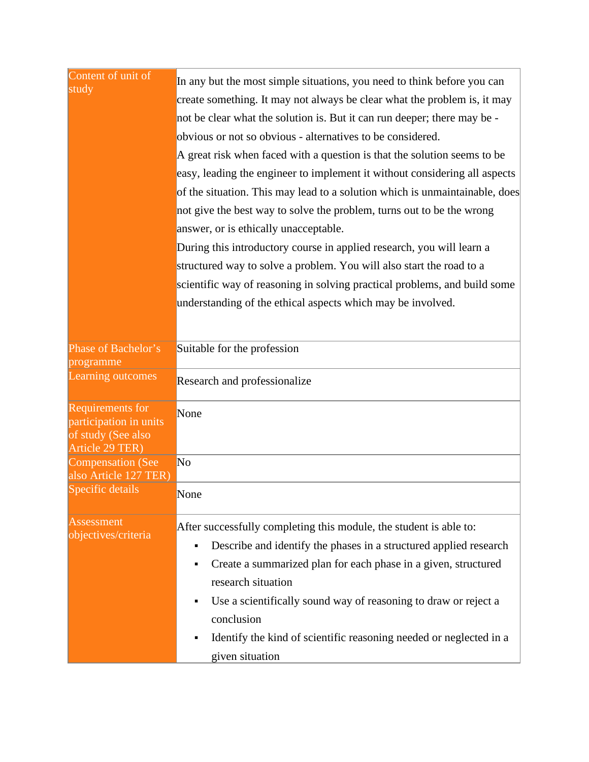| Content of unit of<br>study                                                         | In any but the most simple situations, you need to think before you can<br>create something. It may not always be clear what the problem is, it may<br>not be clear what the solution is. But it can run deeper; there may be -<br>obvious or not so obvious - alternatives to be considered.<br>A great risk when faced with a question is that the solution seems to be<br>easy, leading the engineer to implement it without considering all aspects<br>of the situation. This may lead to a solution which is unmaintainable, does<br>not give the best way to solve the problem, turns out to be the wrong<br>answer, or is ethically unacceptable.<br>During this introductory course in applied research, you will learn a<br>structured way to solve a problem. You will also start the road to a<br>scientific way of reasoning in solving practical problems, and build some<br>understanding of the ethical aspects which may be involved. |  |  |  |  |
|-------------------------------------------------------------------------------------|-------------------------------------------------------------------------------------------------------------------------------------------------------------------------------------------------------------------------------------------------------------------------------------------------------------------------------------------------------------------------------------------------------------------------------------------------------------------------------------------------------------------------------------------------------------------------------------------------------------------------------------------------------------------------------------------------------------------------------------------------------------------------------------------------------------------------------------------------------------------------------------------------------------------------------------------------------|--|--|--|--|
| Phase of Bachelor's<br>programme                                                    | Suitable for the profession<br>Research and professionalize                                                                                                                                                                                                                                                                                                                                                                                                                                                                                                                                                                                                                                                                                                                                                                                                                                                                                           |  |  |  |  |
| Learning outcomes                                                                   |                                                                                                                                                                                                                                                                                                                                                                                                                                                                                                                                                                                                                                                                                                                                                                                                                                                                                                                                                       |  |  |  |  |
| Requirements for<br>participation in units<br>of study (See also<br>Article 29 TER) | None                                                                                                                                                                                                                                                                                                                                                                                                                                                                                                                                                                                                                                                                                                                                                                                                                                                                                                                                                  |  |  |  |  |
| <b>Compensation (See</b><br>also Article 127 TER)                                   | No                                                                                                                                                                                                                                                                                                                                                                                                                                                                                                                                                                                                                                                                                                                                                                                                                                                                                                                                                    |  |  |  |  |
| Specific details                                                                    | None                                                                                                                                                                                                                                                                                                                                                                                                                                                                                                                                                                                                                                                                                                                                                                                                                                                                                                                                                  |  |  |  |  |
| Assessmen<br>objectives/criteria                                                    | After successfully completing this module, the student is able to:<br>Describe and identify the phases in a structured applied research<br>٠<br>Create a summarized plan for each phase in a given, structured<br>٠<br>research situation<br>Use a scientifically sound way of reasoning to draw or reject a<br>٠<br>conclusion<br>Identify the kind of scientific reasoning needed or neglected in a<br>given situation                                                                                                                                                                                                                                                                                                                                                                                                                                                                                                                              |  |  |  |  |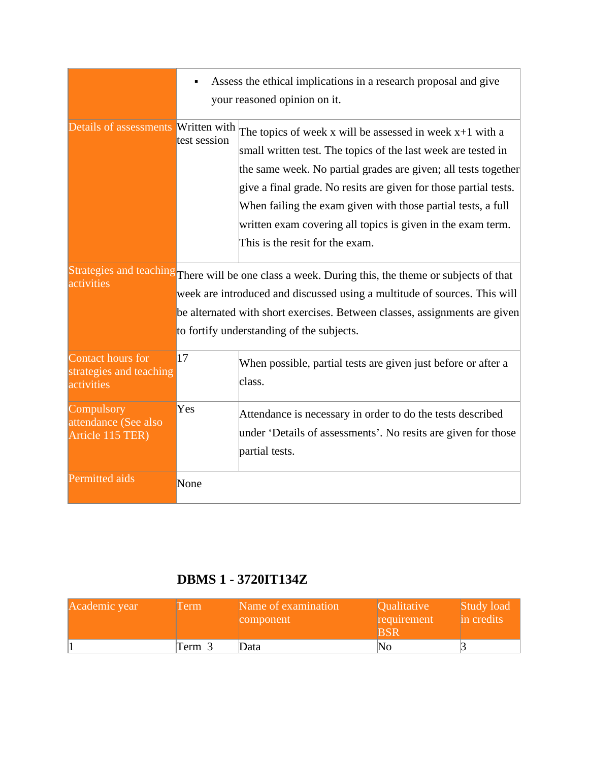|                                                            | Assess the ethical implications in a research proposal and give<br>your reasoned opinion on it. |                                                                                                                                                                                                                                                                                                                                                                                                                                     |  |  |  |
|------------------------------------------------------------|-------------------------------------------------------------------------------------------------|-------------------------------------------------------------------------------------------------------------------------------------------------------------------------------------------------------------------------------------------------------------------------------------------------------------------------------------------------------------------------------------------------------------------------------------|--|--|--|
| Details of assessments                                     | Written with<br>test session                                                                    | The topics of week x will be assessed in week $x+1$ with a<br>small written test. The topics of the last week are tested in<br>the same week. No partial grades are given; all tests together<br>give a final grade. No resits are given for those partial tests.<br>When failing the exam given with those partial tests, a full<br>written exam covering all topics is given in the exam term.<br>This is the resit for the exam. |  |  |  |
| activities                                                 |                                                                                                 | Strategies and teaching There will be one class a week. During this, the theme or subjects of that<br>week are introduced and discussed using a multitude of sources. This will<br>be alternated with short exercises. Between classes, assignments are given<br>to fortify understanding of the subjects.                                                                                                                          |  |  |  |
| Contact hours for<br>strategies and teaching<br>activities | 17                                                                                              | When possible, partial tests are given just before or after a<br>class.                                                                                                                                                                                                                                                                                                                                                             |  |  |  |
| Compulsory<br>attendance (See also<br>Article 115 TER)     | Yes                                                                                             | Attendance is necessary in order to do the tests described<br>under 'Details of assessments'. No resits are given for those<br>partial tests.                                                                                                                                                                                                                                                                                       |  |  |  |
| Permitted aids                                             | None                                                                                            |                                                                                                                                                                                                                                                                                                                                                                                                                                     |  |  |  |

### **DBMS 1 - 3720IT134Z**

<span id="page-22-0"></span>

| Academic year | l'erm  | Name of examination<br>component | <i><b>Oualitative</b></i><br>requirement | Study load<br>in credits |
|---------------|--------|----------------------------------|------------------------------------------|--------------------------|
|               | Term 3 | Data                             | 'No                                      |                          |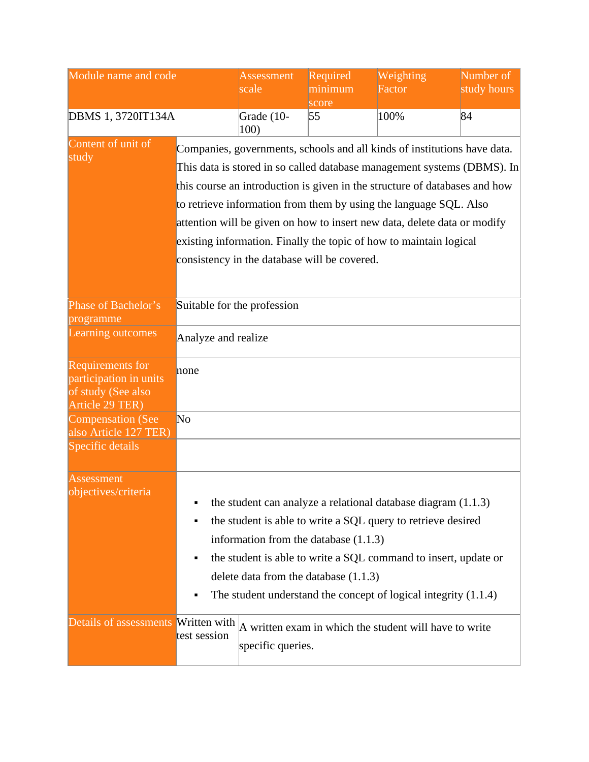| Module name and code                                                                |                                                                                                                                                                                                                                                                                                                                                                                                                                                                                                          | <b>Assessment</b><br>scale | Required<br>minimum<br>score                                                     | Weighting<br>Factor                                                                                                                                                                                                                                                     | Number of<br>study hours |  |  |
|-------------------------------------------------------------------------------------|----------------------------------------------------------------------------------------------------------------------------------------------------------------------------------------------------------------------------------------------------------------------------------------------------------------------------------------------------------------------------------------------------------------------------------------------------------------------------------------------------------|----------------------------|----------------------------------------------------------------------------------|-------------------------------------------------------------------------------------------------------------------------------------------------------------------------------------------------------------------------------------------------------------------------|--------------------------|--|--|
| DBMS 1, 3720IT134A                                                                  |                                                                                                                                                                                                                                                                                                                                                                                                                                                                                                          | Grade (10-<br>100)         | 55                                                                               | 100%                                                                                                                                                                                                                                                                    | 84                       |  |  |
| Content of unit of<br>study                                                         | Companies, governments, schools and all kinds of institutions have data.<br>This data is stored in so called database management systems (DBMS). In<br>this course an introduction is given in the structure of databases and how<br>to retrieve information from them by using the language SQL. Also<br>attention will be given on how to insert new data, delete data or modify<br>existing information. Finally the topic of how to maintain logical<br>consistency in the database will be covered. |                            |                                                                                  |                                                                                                                                                                                                                                                                         |                          |  |  |
| Phase of Bachelor's<br>programme<br>Learning outcomes                               | Suitable for the profession<br>Analyze and realize                                                                                                                                                                                                                                                                                                                                                                                                                                                       |                            |                                                                                  |                                                                                                                                                                                                                                                                         |                          |  |  |
| Requirements for<br>participation in units<br>of study (See also<br>Article 29 TER) | none                                                                                                                                                                                                                                                                                                                                                                                                                                                                                                     |                            |                                                                                  |                                                                                                                                                                                                                                                                         |                          |  |  |
| <b>Compensation (See</b><br>also Article 127 TER)<br>Specific details               | No                                                                                                                                                                                                                                                                                                                                                                                                                                                                                                       |                            |                                                                                  |                                                                                                                                                                                                                                                                         |                          |  |  |
| <b>Assessment</b><br>objectives/criteria<br>Details of assessments                  | ٠<br>Written with                                                                                                                                                                                                                                                                                                                                                                                                                                                                                        |                            | information from the database $(1.1.3)$<br>delete data from the database (1.1.3) | the student can analyze a relational database diagram $(1.1.3)$<br>the student is able to write a SQL query to retrieve desired<br>the student is able to write a SQL command to insert, update or<br>The student understand the concept of logical integrity $(1.1.4)$ |                          |  |  |
|                                                                                     | test session                                                                                                                                                                                                                                                                                                                                                                                                                                                                                             | specific queries.          |                                                                                  | A written exam in which the student will have to write                                                                                                                                                                                                                  |                          |  |  |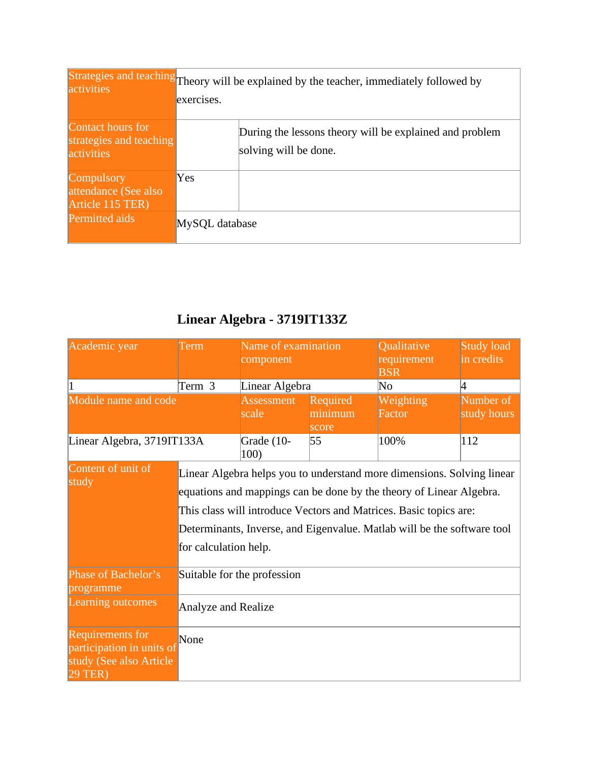| activities                                                 | exercises.     | Strategies and teaching Theory will be explained by the teacher, immediately followed by |
|------------------------------------------------------------|----------------|------------------------------------------------------------------------------------------|
| Contact hours for<br>strategies and teaching<br>activities |                | During the lessons theory will be explained and problem<br>solving will be done.         |
| Compulsory<br>attendance (See also<br>Article 115 TER)     | Yes            |                                                                                          |
| Permitted aids                                             | MySQL database |                                                                                          |

### **Linear Algebra - 3719IT133Z**

<span id="page-24-0"></span>

| Academic year                                                                              | Term                                                                                                                                                                                                                                                                                                                   | Name of examination<br>component |                              | Qualitative<br>requirement<br><b>BSR</b> | <b>Study load</b><br>in credits |  |
|--------------------------------------------------------------------------------------------|------------------------------------------------------------------------------------------------------------------------------------------------------------------------------------------------------------------------------------------------------------------------------------------------------------------------|----------------------------------|------------------------------|------------------------------------------|---------------------------------|--|
|                                                                                            | Term 3                                                                                                                                                                                                                                                                                                                 | Linear Algebra                   |                              | $\overline{\text{No}}$                   | 4                               |  |
| Module name and code                                                                       |                                                                                                                                                                                                                                                                                                                        | <b>Assessment</b><br>scale       | Required<br>minimum<br>score | Weighting<br>Factor                      | Number of<br>study hours        |  |
| Linear Algebra, 3719IT133A                                                                 |                                                                                                                                                                                                                                                                                                                        | Grade (10-<br>100)               | 55                           | 100%                                     | 112                             |  |
| Content of unit of<br>study                                                                | Linear Algebra helps you to understand more dimensions. Solving linear<br>equations and mappings can be done by the theory of Linear Algebra.<br>This class will introduce Vectors and Matrices. Basic topics are:<br>Determinants, Inverse, and Eigenvalue. Matlab will be the software tool<br>for calculation help. |                                  |                              |                                          |                                 |  |
| Phase of Bachelor's<br>programme                                                           |                                                                                                                                                                                                                                                                                                                        | Suitable for the profession      |                              |                                          |                                 |  |
| Learning outcomes                                                                          | Analyze and Realize                                                                                                                                                                                                                                                                                                    |                                  |                              |                                          |                                 |  |
| <b>Requirements for</b><br>participation in units of<br>study (See also Article<br>29 TER) | None                                                                                                                                                                                                                                                                                                                   |                                  |                              |                                          |                                 |  |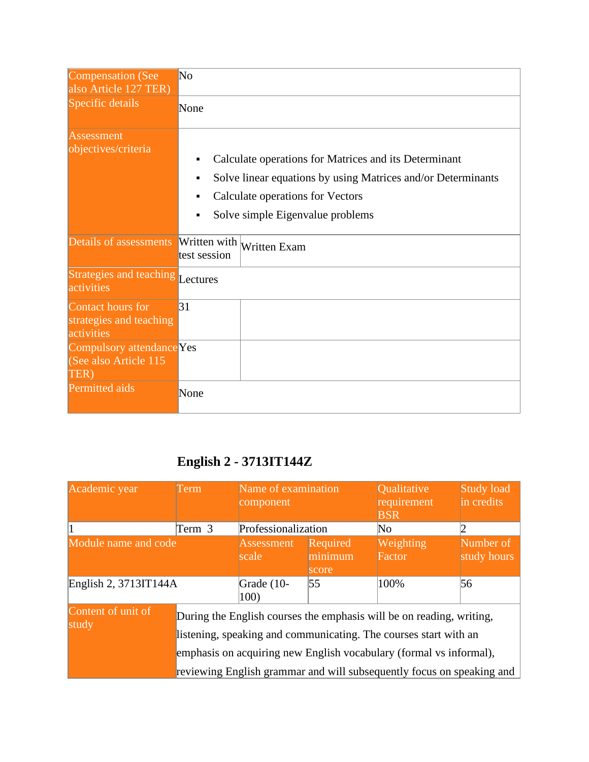| <b>Compensation (See</b><br>also Article 127 TER)                 | N <sub>o</sub>                                                                                                                                                                                                                              |
|-------------------------------------------------------------------|---------------------------------------------------------------------------------------------------------------------------------------------------------------------------------------------------------------------------------------------|
| Specific details                                                  | None                                                                                                                                                                                                                                        |
| <b>Assessment</b><br>objectives/criteria                          | Calculate operations for Matrices and its Determinant<br>$\blacksquare$<br>Solve linear equations by using Matrices and/or Determinants<br>٠<br>Calculate operations for Vectors<br>٠<br>Solve simple Eigenvalue problems<br>$\blacksquare$ |
| Details of assessments                                            | Written with<br>Written Exam<br>test session                                                                                                                                                                                                |
| <b>Strategies and teaching Lectures</b><br>activities             |                                                                                                                                                                                                                                             |
| Contact hours for<br>strategies and teaching<br>activities        | 31                                                                                                                                                                                                                                          |
| <b>Compulsory attendance Yes</b><br>(See also Article 115<br>TER) |                                                                                                                                                                                                                                             |
| Permitted aids                                                    | None                                                                                                                                                                                                                                        |

# **English 2 - 3713IT144Z**

<span id="page-25-0"></span>

| Academic year               | Term                                                                                                                                                                                                                                                                                    | Name of examination<br>component |                              | <b>Qualitative</b><br>requirement<br><b>BSR</b> | Study load<br>in credits |
|-----------------------------|-----------------------------------------------------------------------------------------------------------------------------------------------------------------------------------------------------------------------------------------------------------------------------------------|----------------------------------|------------------------------|-------------------------------------------------|--------------------------|
|                             | Term 3                                                                                                                                                                                                                                                                                  | Professionalization              |                              | $\overline{\text{No}}$                          |                          |
| Module name and code        |                                                                                                                                                                                                                                                                                         | <b>Assessment</b><br>scale       | Required<br>minimum<br>score | Weighting<br>Factor                             | Number of<br>study hours |
| English 2, 3713IT144A       |                                                                                                                                                                                                                                                                                         | Grade (10-<br>100)               | 55                           | 100%                                            | 56                       |
| Content of unit of<br>study | During the English courses the emphasis will be on reading, writing,<br>listening, speaking and communicating. The courses start with an<br>emphasis on acquiring new English vocabulary (formal vs informal),<br>reviewing English grammar and will subsequently focus on speaking and |                                  |                              |                                                 |                          |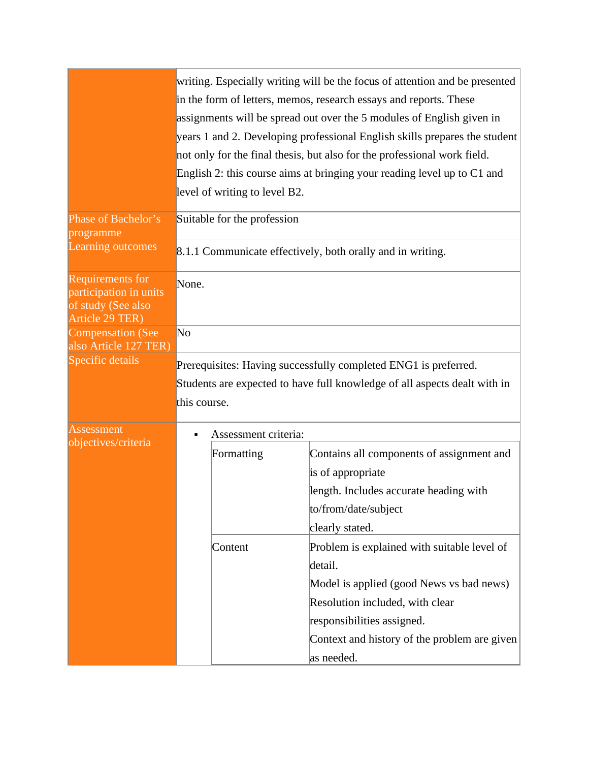|                                                                                     | writing. Especially writing will be the focus of attention and be presented<br>in the form of letters, memos, research essays and reports. These<br>assignments will be spread out over the 5 modules of English given in<br>years 1 and 2. Developing professional English skills prepares the student<br>not only for the final thesis, but also for the professional work field.<br>English 2: this course aims at bringing your reading level up to $C1$ and<br>level of writing to level B2. |                             |                                                                |  |  |  |
|-------------------------------------------------------------------------------------|---------------------------------------------------------------------------------------------------------------------------------------------------------------------------------------------------------------------------------------------------------------------------------------------------------------------------------------------------------------------------------------------------------------------------------------------------------------------------------------------------|-----------------------------|----------------------------------------------------------------|--|--|--|
| Phase of Bachelor's<br>programme                                                    |                                                                                                                                                                                                                                                                                                                                                                                                                                                                                                   | Suitable for the profession |                                                                |  |  |  |
| Learning outcomes                                                                   | 8.1.1 Communicate effectively, both orally and in writing.                                                                                                                                                                                                                                                                                                                                                                                                                                        |                             |                                                                |  |  |  |
| Requirements for<br>participation in units<br>of study (See also<br>Article 29 TER) | None.                                                                                                                                                                                                                                                                                                                                                                                                                                                                                             |                             |                                                                |  |  |  |
| <b>Compensation (See</b><br>also Article 127 TER)                                   | No                                                                                                                                                                                                                                                                                                                                                                                                                                                                                                |                             |                                                                |  |  |  |
| Specific details                                                                    | Prerequisites: Having successfully completed ENG1 is preferred.                                                                                                                                                                                                                                                                                                                                                                                                                                   |                             |                                                                |  |  |  |
|                                                                                     | Students are expected to have full knowledge of all aspects dealt with in                                                                                                                                                                                                                                                                                                                                                                                                                         |                             |                                                                |  |  |  |
|                                                                                     | this course.                                                                                                                                                                                                                                                                                                                                                                                                                                                                                      |                             |                                                                |  |  |  |
| <b>Assessment</b><br>objectives/criteria                                            |                                                                                                                                                                                                                                                                                                                                                                                                                                                                                                   | Assessment criteria:        |                                                                |  |  |  |
|                                                                                     |                                                                                                                                                                                                                                                                                                                                                                                                                                                                                                   | Formatting                  | Contains all components of assignment and<br>is of appropriate |  |  |  |
|                                                                                     |                                                                                                                                                                                                                                                                                                                                                                                                                                                                                                   |                             | length. Includes accurate heading with<br>to/from/date/subject |  |  |  |
|                                                                                     |                                                                                                                                                                                                                                                                                                                                                                                                                                                                                                   |                             | clearly stated.                                                |  |  |  |
|                                                                                     |                                                                                                                                                                                                                                                                                                                                                                                                                                                                                                   | Content                     | Problem is explained with suitable level of                    |  |  |  |
|                                                                                     |                                                                                                                                                                                                                                                                                                                                                                                                                                                                                                   |                             | detail.                                                        |  |  |  |
|                                                                                     |                                                                                                                                                                                                                                                                                                                                                                                                                                                                                                   |                             | Model is applied (good News vs bad news)                       |  |  |  |
|                                                                                     |                                                                                                                                                                                                                                                                                                                                                                                                                                                                                                   |                             | Resolution included, with clear                                |  |  |  |
|                                                                                     |                                                                                                                                                                                                                                                                                                                                                                                                                                                                                                   |                             | responsibilities assigned.                                     |  |  |  |
|                                                                                     |                                                                                                                                                                                                                                                                                                                                                                                                                                                                                                   |                             | Context and history of the problem are given                   |  |  |  |
|                                                                                     |                                                                                                                                                                                                                                                                                                                                                                                                                                                                                                   |                             | as needed.                                                     |  |  |  |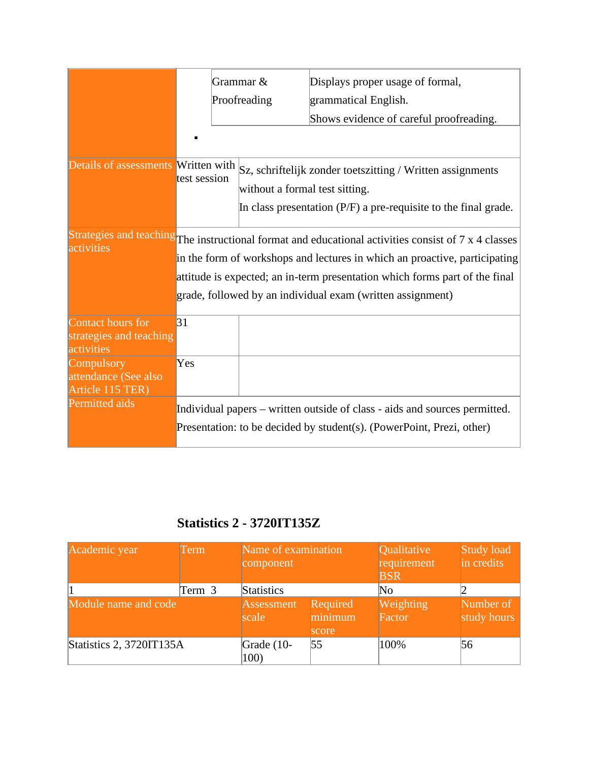|                                                            |                              | Grammar &<br>Proofreading      | Displays proper usage of formal,<br>grammatical English.<br>Shows evidence of careful proofreading.                                                                                                                                                                                                                             |
|------------------------------------------------------------|------------------------------|--------------------------------|---------------------------------------------------------------------------------------------------------------------------------------------------------------------------------------------------------------------------------------------------------------------------------------------------------------------------------|
|                                                            |                              |                                |                                                                                                                                                                                                                                                                                                                                 |
| Details of assessments                                     | Written with<br>test session | without a formal test sitting. | Sz, schriftelijk zonder toetszitting / Written assignments<br>In class presentation (P/F) a pre-requisite to the final grade.                                                                                                                                                                                                   |
| activities                                                 |                              |                                | Strategies and teaching The instructional format and educational activities consist of 7 x 4 classes<br>in the form of workshops and lectures in which an proactive, participating<br>attitude is expected; an in-term presentation which forms part of the final<br>grade, followed by an individual exam (written assignment) |
| Contact hours for<br>strategies and teaching<br>activities | 31                           |                                |                                                                                                                                                                                                                                                                                                                                 |
| Compulsory<br>attendance (See also<br>Article 115 TER)     | Yes                          |                                |                                                                                                                                                                                                                                                                                                                                 |
| Permitted aids                                             |                              |                                | Individual papers – written outside of class - aids and sources permitted.<br>Presentation: to be decided by student(s). (PowerPoint, Prezi, other)                                                                                                                                                                             |

### **Statistics 2 - 3720IT135Z**

<span id="page-27-0"></span>

| Academic year            | Term   | Name of examination<br>component |                               | Qualitative<br>requirement<br><b>BSR</b> | Study load<br>in credits |
|--------------------------|--------|----------------------------------|-------------------------------|------------------------------------------|--------------------------|
|                          | Term 3 | Statistics                       |                               | $\overline{\text{No}}$                   |                          |
| Module name and code     |        | Assessment<br>scale              | Required<br>minimum/<br>score | Weighting<br>Factor                      | Number of<br>study hours |
| Statistics 2, 3720IT135A |        | Grade $(10-$<br>100)             | 55                            | 100%                                     | 56                       |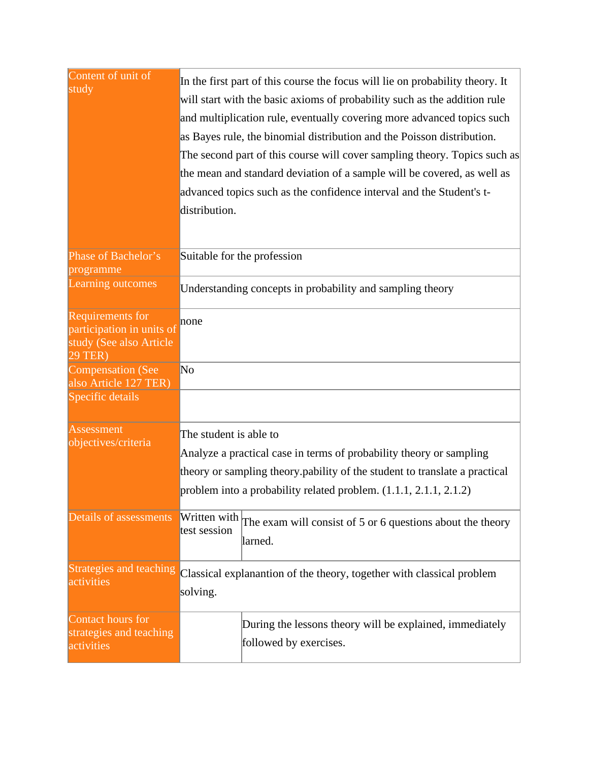| Content of unit of<br>study                                                         | distribution.                                                                      | In the first part of this course the focus will lie on probability theory. It<br>will start with the basic axioms of probability such as the addition rule<br>and multiplication rule, eventually covering more advanced topics such<br>as Bayes rule, the binomial distribution and the Poisson distribution.<br>The second part of this course will cover sampling theory. Topics such as<br>the mean and standard deviation of a sample will be covered, as well as<br>advanced topics such as the confidence interval and the Student's t- |  |  |  |  |
|-------------------------------------------------------------------------------------|------------------------------------------------------------------------------------|------------------------------------------------------------------------------------------------------------------------------------------------------------------------------------------------------------------------------------------------------------------------------------------------------------------------------------------------------------------------------------------------------------------------------------------------------------------------------------------------------------------------------------------------|--|--|--|--|
| Phase of Bachelor's<br>programme                                                    |                                                                                    | Suitable for the profession                                                                                                                                                                                                                                                                                                                                                                                                                                                                                                                    |  |  |  |  |
| Learning outcomes                                                                   |                                                                                    | Understanding concepts in probability and sampling theory                                                                                                                                                                                                                                                                                                                                                                                                                                                                                      |  |  |  |  |
| Requirements for<br>participation in units of<br>study (See also Article<br>29 TER) | none                                                                               |                                                                                                                                                                                                                                                                                                                                                                                                                                                                                                                                                |  |  |  |  |
| <b>Compensation</b> (See<br>also Article 127 TER)                                   | No                                                                                 |                                                                                                                                                                                                                                                                                                                                                                                                                                                                                                                                                |  |  |  |  |
| Specific details                                                                    |                                                                                    |                                                                                                                                                                                                                                                                                                                                                                                                                                                                                                                                                |  |  |  |  |
| Assessment<br>objectives/criteria                                                   | The student is able to                                                             | Analyze a practical case in terms of probability theory or sampling<br>theory or sampling theory pability of the student to translate a practical<br>problem into a probability related problem. (1.1.1, 2.1.1, 2.1.2)                                                                                                                                                                                                                                                                                                                         |  |  |  |  |
| Details of assessments                                                              | Written with<br>test session                                                       | The exam will consist of 5 or 6 questions about the theory<br>larned.                                                                                                                                                                                                                                                                                                                                                                                                                                                                          |  |  |  |  |
| <b>Strategies and teaching</b><br>activities                                        | solving.                                                                           | Classical explanantion of the theory, together with classical problem                                                                                                                                                                                                                                                                                                                                                                                                                                                                          |  |  |  |  |
| Contact hours for<br>strategies and teaching<br>activities                          | During the lessons theory will be explained, immediately<br>followed by exercises. |                                                                                                                                                                                                                                                                                                                                                                                                                                                                                                                                                |  |  |  |  |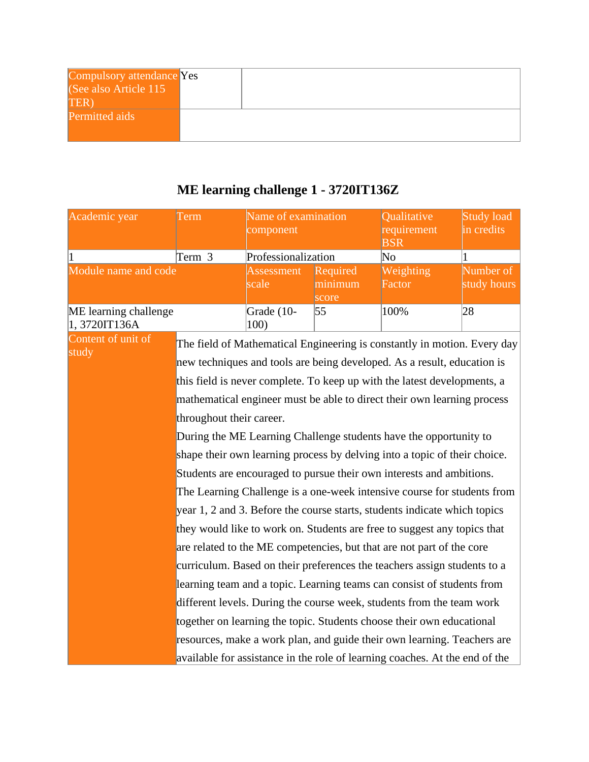| Compulsory attendance Yes<br>(See also Article 115 |  |  |
|----------------------------------------------------|--|--|
| <b>TER</b><br>Permitted aids                       |  |  |
|                                                    |  |  |

### **ME learning challenge 1 - 3720IT136Z**

<span id="page-29-0"></span>

| Academic year         | Term                                                                      | Name of examination<br>component |             | Qualitative<br>requirement                                                  | <b>Study load</b><br>in credits |  |
|-----------------------|---------------------------------------------------------------------------|----------------------------------|-------------|-----------------------------------------------------------------------------|---------------------------------|--|
|                       |                                                                           |                                  |             | <b>BSR</b>                                                                  |                                 |  |
|                       | Term 3                                                                    | Professionalization              |             | No                                                                          | 1                               |  |
| Module name and code  |                                                                           | <b>Assessment</b>                | Required    | Weighting                                                                   | Number of                       |  |
|                       |                                                                           | scale                            | minimum     | Factor                                                                      | study hours                     |  |
| ME learning challenge |                                                                           | Grade (10-                       | score<br>55 | 100%                                                                        | 28                              |  |
| $ 1, 3720$ IT136A     |                                                                           | 100)                             |             |                                                                             |                                 |  |
| Content of unit of    |                                                                           |                                  |             | The field of Mathematical Engineering is constantly in motion. Every day    |                                 |  |
| study                 | new techniques and tools are being developed. As a result, education is   |                                  |             |                                                                             |                                 |  |
|                       |                                                                           |                                  |             | this field is never complete. To keep up with the latest developments, a    |                                 |  |
|                       |                                                                           |                                  |             | mathematical engineer must be able to direct their own learning process     |                                 |  |
|                       | throughout their career.                                                  |                                  |             |                                                                             |                                 |  |
|                       | During the ME Learning Challenge students have the opportunity to         |                                  |             |                                                                             |                                 |  |
|                       | shape their own learning process by delving into a topic of their choice. |                                  |             |                                                                             |                                 |  |
|                       |                                                                           |                                  |             | Students are encouraged to pursue their own interests and ambitions.        |                                 |  |
|                       |                                                                           |                                  |             | The Learning Challenge is a one-week intensive course for students from     |                                 |  |
|                       |                                                                           |                                  |             | year 1, 2 and 3. Before the course starts, students indicate which topics   |                                 |  |
|                       |                                                                           |                                  |             | they would like to work on. Students are free to suggest any topics that    |                                 |  |
|                       |                                                                           |                                  |             | are related to the ME competencies, but that are not part of the core       |                                 |  |
|                       |                                                                           |                                  |             | curriculum. Based on their preferences the teachers assign students to a    |                                 |  |
|                       |                                                                           |                                  |             | learning team and a topic. Learning teams can consist of students from      |                                 |  |
|                       | different levels. During the course week, students from the team work     |                                  |             |                                                                             |                                 |  |
|                       |                                                                           |                                  |             | together on learning the topic. Students choose their own educational       |                                 |  |
|                       |                                                                           |                                  |             | resources, make a work plan, and guide their own learning. Teachers are     |                                 |  |
|                       |                                                                           |                                  |             | available for assistance in the role of learning coaches. At the end of the |                                 |  |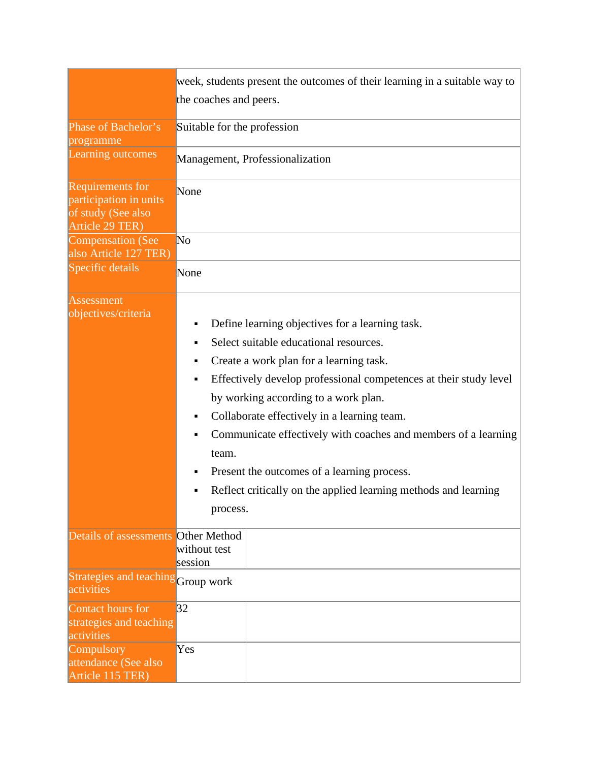|                                                                                     | week, students present the outcomes of their learning in a suitable way to                                                                                                                                                                                                                                                                                                                                                                                                                                                         |  |  |  |  |
|-------------------------------------------------------------------------------------|------------------------------------------------------------------------------------------------------------------------------------------------------------------------------------------------------------------------------------------------------------------------------------------------------------------------------------------------------------------------------------------------------------------------------------------------------------------------------------------------------------------------------------|--|--|--|--|
|                                                                                     | the coaches and peers.                                                                                                                                                                                                                                                                                                                                                                                                                                                                                                             |  |  |  |  |
| Phase of Bachelor's<br>programme                                                    | Suitable for the profession                                                                                                                                                                                                                                                                                                                                                                                                                                                                                                        |  |  |  |  |
| Learning outcomes                                                                   | Management, Professionalization                                                                                                                                                                                                                                                                                                                                                                                                                                                                                                    |  |  |  |  |
| Requirements for<br>participation in units<br>of study (See also<br>Article 29 TER) | None                                                                                                                                                                                                                                                                                                                                                                                                                                                                                                                               |  |  |  |  |
| <b>Compensation (See</b><br>also Article 127 TER)                                   | N <sub>o</sub>                                                                                                                                                                                                                                                                                                                                                                                                                                                                                                                     |  |  |  |  |
| Specific details                                                                    | None                                                                                                                                                                                                                                                                                                                                                                                                                                                                                                                               |  |  |  |  |
| Assessment<br>objectives/criteria                                                   | Define learning objectives for a learning task.<br>٠<br>Select suitable educational resources.<br>Create a work plan for a learning task.<br>٠<br>Effectively develop professional competences at their study level<br>٠<br>by working according to a work plan.<br>Collaborate effectively in a learning team.<br>٠<br>Communicate effectively with coaches and members of a learning<br>team.<br>Present the outcomes of a learning process.<br>٠<br>Reflect critically on the applied learning methods and learning<br>process. |  |  |  |  |
| <b>Details of assessments Other Method</b>                                          | without test<br>session                                                                                                                                                                                                                                                                                                                                                                                                                                                                                                            |  |  |  |  |
| Strategies and teaching Group work<br>activities                                    |                                                                                                                                                                                                                                                                                                                                                                                                                                                                                                                                    |  |  |  |  |
| Contact hours for<br>strategies and teaching<br>activities                          | 32                                                                                                                                                                                                                                                                                                                                                                                                                                                                                                                                 |  |  |  |  |
| Compulsory<br>attendance (See also<br>Article 115 TER)                              | Yes                                                                                                                                                                                                                                                                                                                                                                                                                                                                                                                                |  |  |  |  |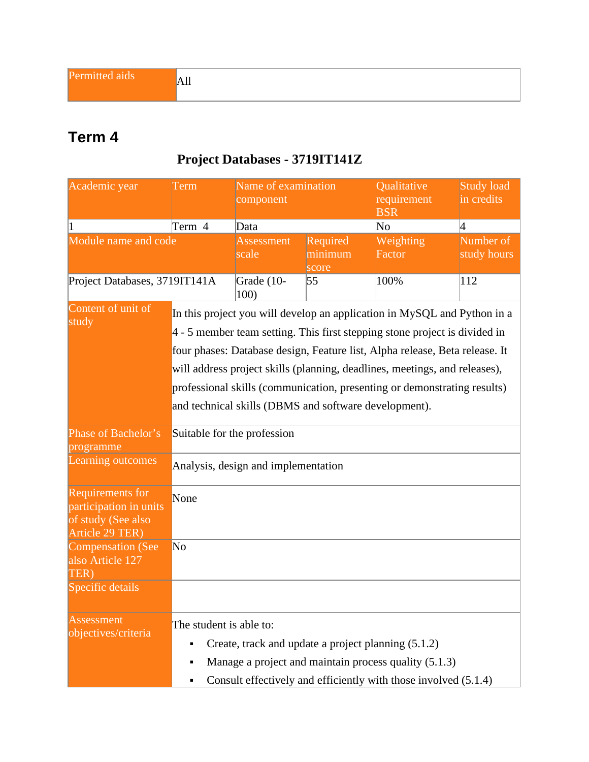## <span id="page-31-1"></span><span id="page-31-0"></span>**Term 4**

### **Project Databases - 3719IT141Z**

| Academic year                                                                       | Term                                | Name of examination<br>component                      |                              | <b>Qualitative</b><br>requirement<br><b>BSR</b>                                                                                                                                                                                                                                                                                                                                                 | <b>Study load</b><br>in credits |  |
|-------------------------------------------------------------------------------------|-------------------------------------|-------------------------------------------------------|------------------------------|-------------------------------------------------------------------------------------------------------------------------------------------------------------------------------------------------------------------------------------------------------------------------------------------------------------------------------------------------------------------------------------------------|---------------------------------|--|
| 1                                                                                   | Term 4                              | Data                                                  |                              | $\rm No$                                                                                                                                                                                                                                                                                                                                                                                        | 4                               |  |
| Module name and code                                                                |                                     | <b>Assessment</b><br>scale                            | Required<br>minimum<br>score | Weighting<br>Factor                                                                                                                                                                                                                                                                                                                                                                             | Number of<br>study hours        |  |
| Project Databases, 3719IT141A                                                       |                                     | Grade (10-<br>100)                                    | 55                           | 100%                                                                                                                                                                                                                                                                                                                                                                                            | 112                             |  |
| Content of unit of<br>study                                                         |                                     | and technical skills (DBMS and software development). |                              | In this project you will develop an application in MySQL and Python in a<br>4 - 5 member team setting. This first stepping stone project is divided in<br>four phases: Database design, Feature list, Alpha release, Beta release. It<br>will address project skills (planning, deadlines, meetings, and releases),<br>professional skills (communication, presenting or demonstrating results) |                                 |  |
| Phase of Bachelor's<br>programme                                                    | Suitable for the profession         |                                                       |                              |                                                                                                                                                                                                                                                                                                                                                                                                 |                                 |  |
| Learning outcomes                                                                   | Analysis, design and implementation |                                                       |                              |                                                                                                                                                                                                                                                                                                                                                                                                 |                                 |  |
| Requirements for<br>participation in units<br>of study (See also<br>Article 29 TER) | None                                |                                                       |                              |                                                                                                                                                                                                                                                                                                                                                                                                 |                                 |  |
| Compensation (See<br>also Article 127<br>TER)                                       | No                                  |                                                       |                              |                                                                                                                                                                                                                                                                                                                                                                                                 |                                 |  |
| Specific details                                                                    |                                     |                                                       |                              |                                                                                                                                                                                                                                                                                                                                                                                                 |                                 |  |
| Assessment<br>objectives/criteria                                                   | The student is able to:<br>٠<br>٠   | Create, track and update a project planning (5.1.2)   |                              | Manage a project and maintain process quality (5.1.3)<br>Consult effectively and efficiently with those involved (5.1.4)                                                                                                                                                                                                                                                                        |                                 |  |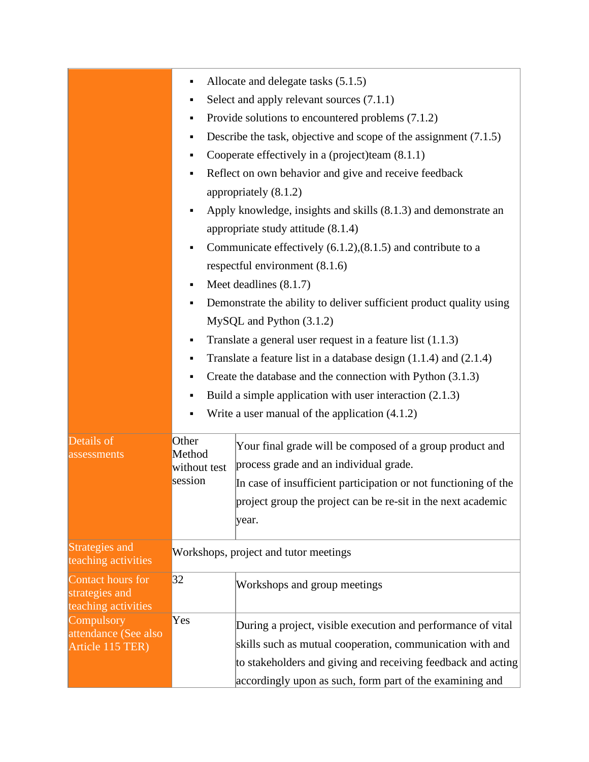|                                                            | ٠<br>п<br>٠                                                                                                | Allocate and delegate tasks (5.1.5)<br>Select and apply relevant sources (7.1.1)<br>Provide solutions to encountered problems (7.1.2) |  |  |  |  |
|------------------------------------------------------------|------------------------------------------------------------------------------------------------------------|---------------------------------------------------------------------------------------------------------------------------------------|--|--|--|--|
|                                                            | ٠<br>٠                                                                                                     | Describe the task, objective and scope of the assignment $(7.1.5)$<br>Cooperate effectively in a (project)team (8.1.1)                |  |  |  |  |
|                                                            | ٠                                                                                                          | Reflect on own behavior and give and receive feedback<br>appropriately (8.1.2)                                                        |  |  |  |  |
|                                                            | Apply knowledge, insights and skills (8.1.3) and demonstrate an<br>٠<br>appropriate study attitude (8.1.4) |                                                                                                                                       |  |  |  |  |
|                                                            | ٠                                                                                                          | Communicate effectively $(6.1.2)$ , $(8.1.5)$ and contribute to a<br>respectful environment $(8.1.6)$                                 |  |  |  |  |
|                                                            | ٠                                                                                                          | Meet deadlines (8.1.7)                                                                                                                |  |  |  |  |
|                                                            | ٠                                                                                                          | Demonstrate the ability to deliver sufficient product quality using<br>$MySQL$ and Python $(3.1.2)$                                   |  |  |  |  |
|                                                            | ٠                                                                                                          | Translate a general user request in a feature list $(1.1.3)$                                                                          |  |  |  |  |
|                                                            | ٠                                                                                                          | Translate a feature list in a database design $(1.1.4)$ and $(2.1.4)$                                                                 |  |  |  |  |
|                                                            | Create the database and the connection with Python (3.1.3)<br>٠                                            |                                                                                                                                       |  |  |  |  |
|                                                            | Build a simple application with user interaction $(2.1.3)$<br>٠                                            |                                                                                                                                       |  |  |  |  |
|                                                            |                                                                                                            | Write a user manual of the application $(4.1.2)$                                                                                      |  |  |  |  |
| Details of<br>assessments                                  | Other<br>Method<br>without test                                                                            | Your final grade will be composed of a group product and<br>process grade and an individual grade.                                    |  |  |  |  |
|                                                            | session                                                                                                    | In case of insufficient participation or not functioning of the                                                                       |  |  |  |  |
|                                                            |                                                                                                            | project group the project can be re-sit in the next academic                                                                          |  |  |  |  |
|                                                            |                                                                                                            | year.                                                                                                                                 |  |  |  |  |
| Strategies and<br>teaching activities                      |                                                                                                            | Workshops, project and tutor meetings                                                                                                 |  |  |  |  |
| Contact hours for<br>strategies and<br>teaching activities | 32                                                                                                         | Workshops and group meetings                                                                                                          |  |  |  |  |
| Compulsory                                                 | Yes                                                                                                        | During a project, visible execution and performance of vital                                                                          |  |  |  |  |
| attendance (See also<br>Article 115 TER)                   |                                                                                                            | skills such as mutual cooperation, communication with and                                                                             |  |  |  |  |
|                                                            |                                                                                                            | to stakeholders and giving and receiving feedback and acting                                                                          |  |  |  |  |
|                                                            |                                                                                                            | accordingly upon as such, form part of the examining and                                                                              |  |  |  |  |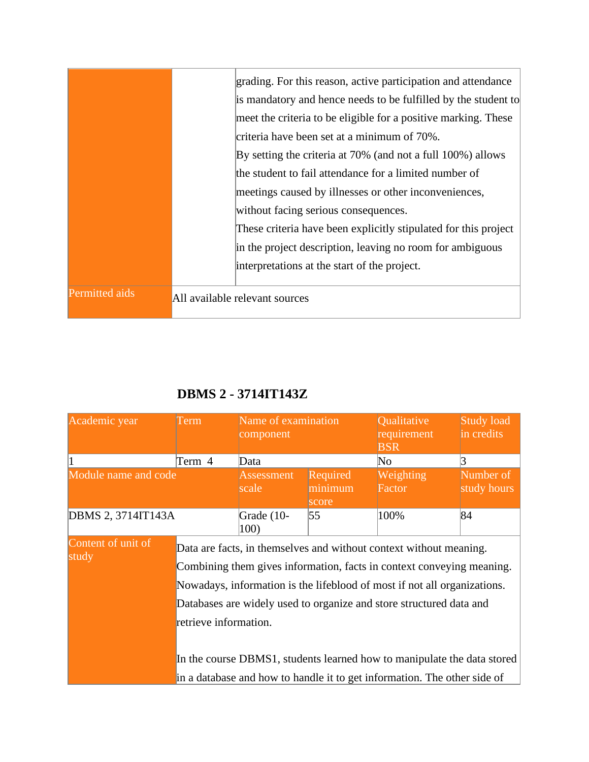|                | grading. For this reason, active participation and attendance   |
|----------------|-----------------------------------------------------------------|
|                | is mandatory and hence needs to be fulfilled by the student to  |
|                | meet the criteria to be eligible for a positive marking. These  |
|                | criteria have been set at a minimum of 70%.                     |
|                | By setting the criteria at 70% (and not a full 100%) allows     |
|                | the student to fail attendance for a limited number of          |
|                | meetings caused by illnesses or other inconveniences,           |
|                | without facing serious consequences.                            |
|                | These criteria have been explicitly stipulated for this project |
|                | in the project description, leaving no room for ambiguous       |
|                | interpretations at the start of the project.                    |
|                |                                                                 |
| Permitted aids | All available relevant sources                                  |
|                |                                                                 |

#### **DBMS 2 - 3714IT143Z**

<span id="page-33-0"></span>

| Academic year               | Term                                                                                                                                                                                                                                                                                                                                                                                                                                                                           | Name of examination<br>component |                     | Qualitative<br>requirement<br><b>BSR</b> | <b>Study load</b><br>in credits |
|-----------------------------|--------------------------------------------------------------------------------------------------------------------------------------------------------------------------------------------------------------------------------------------------------------------------------------------------------------------------------------------------------------------------------------------------------------------------------------------------------------------------------|----------------------------------|---------------------|------------------------------------------|---------------------------------|
|                             | Term 4                                                                                                                                                                                                                                                                                                                                                                                                                                                                         | Data                             |                     | $\overline{\text{No}}$                   | 3                               |
| Module name and code        |                                                                                                                                                                                                                                                                                                                                                                                                                                                                                | <b>Assessment</b><br>scale       | Required<br>minimum | Weighting<br>Factor                      | Number of<br>study hours        |
|                             |                                                                                                                                                                                                                                                                                                                                                                                                                                                                                |                                  | score               |                                          |                                 |
| DBMS 2, 3714IT143A          |                                                                                                                                                                                                                                                                                                                                                                                                                                                                                | Grade (10-<br>100)               | 55                  | 100%                                     | 84                              |
| Content of unit of<br>study | Data are facts, in themselves and without context without meaning.<br>Combining them gives information, facts in context conveying meaning.<br>Nowadays, information is the lifeblood of most if not all organizations.<br>Databases are widely used to organize and store structured data and<br>retrieve information.<br>In the course DBMS1, students learned how to manipulate the data stored<br>in a database and how to handle it to get information. The other side of |                                  |                     |                                          |                                 |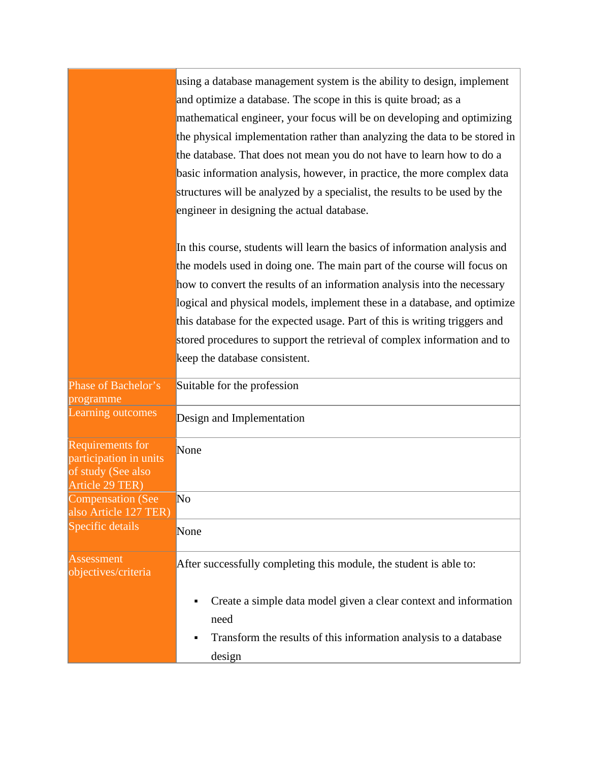using a database management system is the ability to design, implement and optimize a database. The scope in this is quite broad; as a mathematical engineer, your focus will be on developing and optimizing the physical implementation rather than analyzing the data to be stored in the database. That does not mean you do not have to learn how to do a basic information analysis, however, in practice, the more complex data structures will be analyzed by a specialist, the results to be used by the engineer in designing the actual database.

In this course, students will learn the basics of information analysis and the models used in doing one. The main part of the course will focus on how to convert the results of an information analysis into the necessary logical and physical models, implement these in a database, and optimize this database for the expected usage. Part of this is writing triggers and stored procedures to support the retrieval of complex information and to keep the database consistent.

| Phase of Bachelor's<br>programme                                                    | Suitable for the profession                                                |
|-------------------------------------------------------------------------------------|----------------------------------------------------------------------------|
| Learning outcomes                                                                   | Design and Implementation                                                  |
| Requirements for<br>participation in units<br>of study (See also<br>Article 29 TER) | None                                                                       |
| <b>Compensation (See</b><br>also Article 127 TER)                                   | N <sub>o</sub>                                                             |
| Specific details                                                                    | None                                                                       |
| <b>Assessment</b><br>objectives/criteria                                            | After successfully completing this module, the student is able to:         |
|                                                                                     | Create a simple data model given a clear context and information<br>need   |
|                                                                                     | Transform the results of this information analysis to a database<br>design |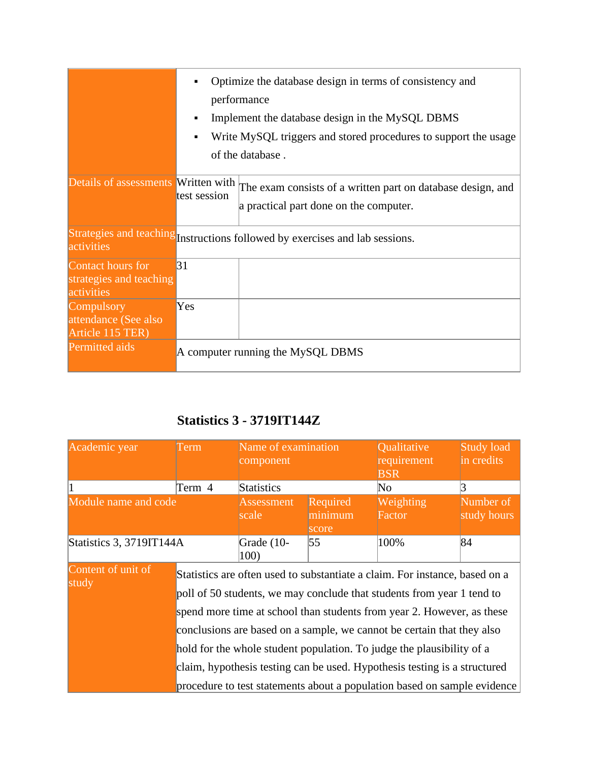|                                                            | Optimize the database design in terms of consistency and<br>performance<br>Implement the database design in the MySQL DBMS<br>Write MySQL triggers and stored procedures to support the usage<br>٠<br>of the database. |                                                                                                       |  |  |  |
|------------------------------------------------------------|------------------------------------------------------------------------------------------------------------------------------------------------------------------------------------------------------------------------|-------------------------------------------------------------------------------------------------------|--|--|--|
| Details of assessments Written with                        | test session                                                                                                                                                                                                           | The exam consists of a written part on database design, and<br>a practical part done on the computer. |  |  |  |
| activities                                                 |                                                                                                                                                                                                                        | Strategies and teaching Instructions followed by exercises and lab sessions.                          |  |  |  |
| Contact hours for<br>strategies and teaching<br>activities | 31                                                                                                                                                                                                                     |                                                                                                       |  |  |  |
| Compulsory<br>attendance (See also<br>Article 115 TER)     | Yes                                                                                                                                                                                                                    |                                                                                                       |  |  |  |
| Permitted aids                                             |                                                                                                                                                                                                                        | A computer running the MySQL DBMS                                                                     |  |  |  |

#### **Statistics 3 - 3719IT144Z**

<span id="page-35-0"></span>

| Academic year               | Term                                                                                                                                                                                                                                                                                                                                                                                                                                                                                                                                        | Name of examination<br>component |                              | <b>Qualitative</b><br>requirement<br><b>BSR</b> | <b>Study load</b><br>in credits |
|-----------------------------|---------------------------------------------------------------------------------------------------------------------------------------------------------------------------------------------------------------------------------------------------------------------------------------------------------------------------------------------------------------------------------------------------------------------------------------------------------------------------------------------------------------------------------------------|----------------------------------|------------------------------|-------------------------------------------------|---------------------------------|
|                             | Term 4                                                                                                                                                                                                                                                                                                                                                                                                                                                                                                                                      | <b>Statistics</b>                |                              | No                                              | 3                               |
| Module name and code        |                                                                                                                                                                                                                                                                                                                                                                                                                                                                                                                                             | Assessment<br>scale              | Required<br>minimum<br>score | Weighting<br>Factor                             | Number of<br>study hours        |
| Statistics 3, 3719IT144A    |                                                                                                                                                                                                                                                                                                                                                                                                                                                                                                                                             | Grade (10-<br>100)               | 55                           | 100%                                            | 84                              |
| Content of unit of<br>study | Statistics are often used to substantiate a claim. For instance, based on a<br>poll of 50 students, we may conclude that students from year 1 tend to<br>spend more time at school than students from year 2. However, as these<br>conclusions are based on a sample, we cannot be certain that they also<br>hold for the whole student population. To judge the plausibility of a<br>claim, hypothesis testing can be used. Hypothesis testing is a structured<br>procedure to test statements about a population based on sample evidence |                                  |                              |                                                 |                                 |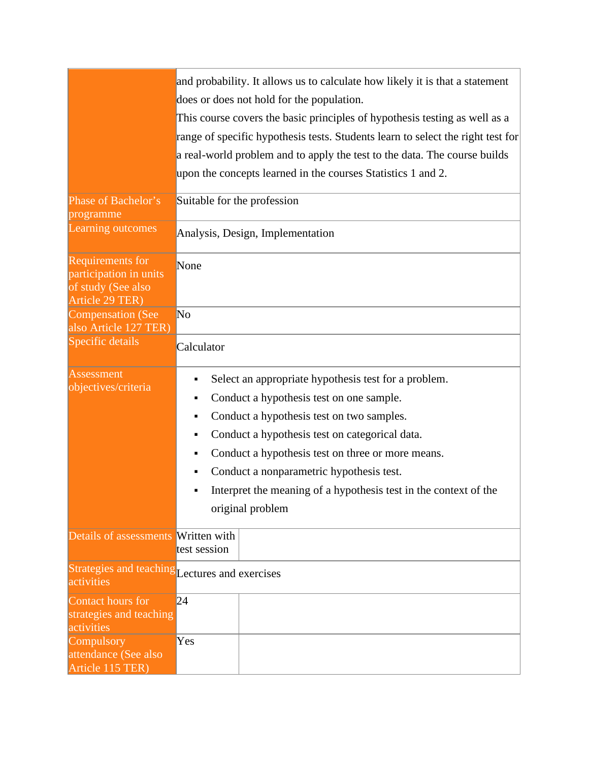|                                                                                     | and probability. It allows us to calculate how likely it is that a statement<br>does or does not hold for the population.<br>This course covers the basic principles of hypothesis testing as well as a<br>range of specific hypothesis tests. Students learn to select the right test for<br>a real-world problem and to apply the test to the data. The course builds<br>upon the concepts learned in the courses Statistics 1 and 2. |
|-------------------------------------------------------------------------------------|-----------------------------------------------------------------------------------------------------------------------------------------------------------------------------------------------------------------------------------------------------------------------------------------------------------------------------------------------------------------------------------------------------------------------------------------|
| <b>Phase of Bachelor's</b><br>programme<br>Learning outcomes                        | Suitable for the profession<br>Analysis, Design, Implementation                                                                                                                                                                                                                                                                                                                                                                         |
| Requirements for<br>participation in units<br>of study (See also<br>Article 29 TER) | None                                                                                                                                                                                                                                                                                                                                                                                                                                    |
| <b>Compensation (See</b><br>also Article 127 TER)<br>Specific details               | No<br>Calculator                                                                                                                                                                                                                                                                                                                                                                                                                        |
| Assessment<br>objectives/criteria                                                   | Select an appropriate hypothesis test for a problem.<br>Conduct a hypothesis test on one sample.<br>Conduct a hypothesis test on two samples.<br>٠<br>Conduct a hypothesis test on categorical data.<br>٠<br>Conduct a hypothesis test on three or more means.<br>٠<br>Conduct a nonparametric hypothesis test.<br>Interpret the meaning of a hypothesis test in the context of the<br>original problem                                 |
| Details of assessments Written with                                                 | test session                                                                                                                                                                                                                                                                                                                                                                                                                            |
| Strategies and teaching Lectures and exercises<br>activities                        |                                                                                                                                                                                                                                                                                                                                                                                                                                         |
| Contact hours for<br>strategies and teaching<br>activities                          | 24                                                                                                                                                                                                                                                                                                                                                                                                                                      |
| Compulsory<br>attendance (See also<br>Article 115 TER)                              | Yes                                                                                                                                                                                                                                                                                                                                                                                                                                     |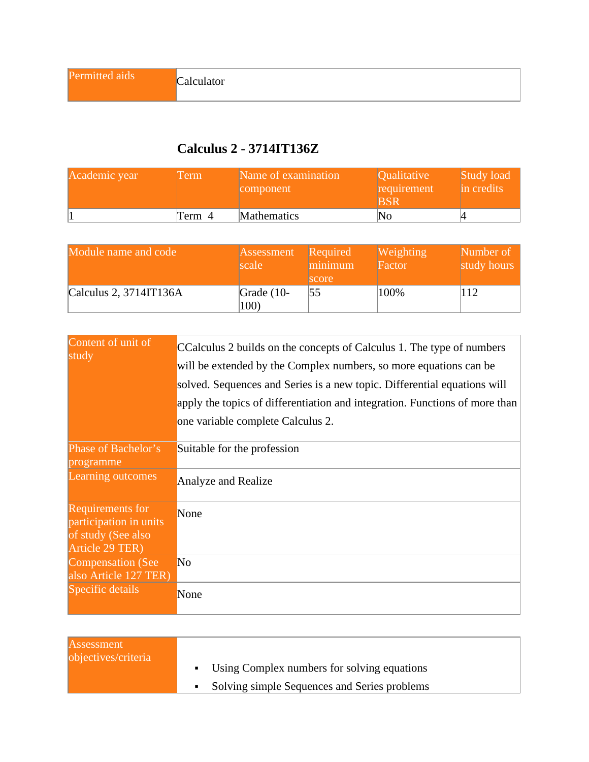#### **Calculus 2 - 3714IT136Z**

| Academic year | l'erm  | Name of examination<br>component | <i><b>Oualitative</b></i><br>requirement | Study load<br>in credits |
|---------------|--------|----------------------------------|------------------------------------------|--------------------------|
|               | Term 4 | <b>Mathematics</b>               | No                                       |                          |

| Module name and code      | Assessment<br>scale  | Required<br>minimum<br>score | <b>Weighting</b><br>Factor | Number of<br>study hours |
|---------------------------|----------------------|------------------------------|----------------------------|--------------------------|
| Calculus 2, $3714$ IT136A | Grade $(10-$<br>100) | 55                           | 100%                       | 112                      |

| Content of unit of<br>study                                                         | CCalculus 2 builds on the concepts of Calculus 1. The type of numbers<br>will be extended by the Complex numbers, so more equations can be<br>solved. Sequences and Series is a new topic. Differential equations will<br>apply the topics of differentiation and integration. Functions of more than<br>one variable complete Calculus 2. |
|-------------------------------------------------------------------------------------|--------------------------------------------------------------------------------------------------------------------------------------------------------------------------------------------------------------------------------------------------------------------------------------------------------------------------------------------|
| Phase of Bachelor's<br>programme                                                    | Suitable for the profession                                                                                                                                                                                                                                                                                                                |
| Learning outcomes                                                                   | Analyze and Realize                                                                                                                                                                                                                                                                                                                        |
| Requirements for<br>participation in units<br>of study (See also<br>Article 29 TER) | None                                                                                                                                                                                                                                                                                                                                       |
| <b>Compensation</b> (See<br>also Article 127 TER)                                   | No                                                                                                                                                                                                                                                                                                                                         |
| Specific details                                                                    | None                                                                                                                                                                                                                                                                                                                                       |

| Assessment<br>objectives/criteria |                                                |
|-----------------------------------|------------------------------------------------|
|                                   | • Using Complex numbers for solving equations  |
|                                   | • Solving simple Sequences and Series problems |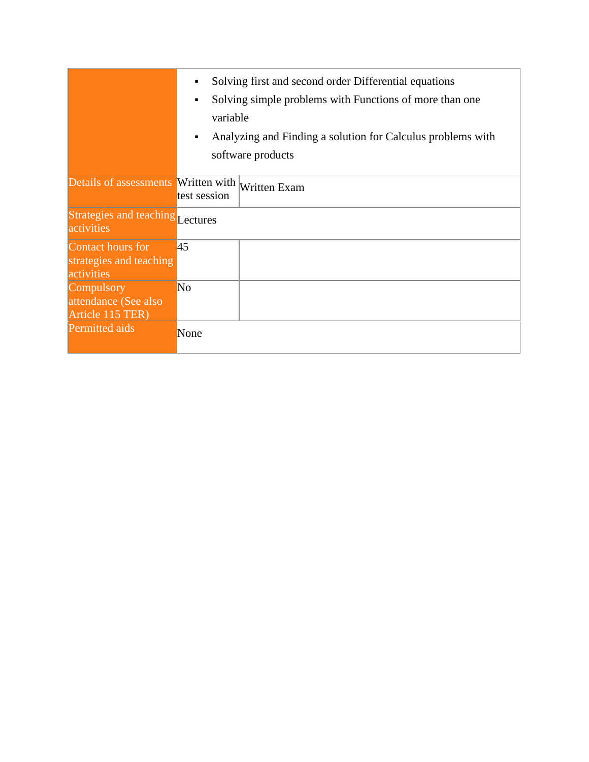|                                                            | Solving first and second order Differential equations<br>Solving simple problems with Functions of more than one<br>٠<br>variable<br>Analyzing and Finding a solution for Calculus problems with<br>٠<br>software products |                                            |
|------------------------------------------------------------|----------------------------------------------------------------------------------------------------------------------------------------------------------------------------------------------------------------------------|--------------------------------------------|
| Details of assessments                                     | test session                                                                                                                                                                                                               | Written with $\sqrt{\text{W}}$ ritten Exam |
| Strategies and teaching Lectures<br>activities             |                                                                                                                                                                                                                            |                                            |
| Contact hours for<br>strategies and teaching<br>activities | 45                                                                                                                                                                                                                         |                                            |
| Compulsory<br>attendance (See also<br>Article 115 TER)     | $\overline{\text{No}}$                                                                                                                                                                                                     |                                            |
| Permitted aids                                             | None                                                                                                                                                                                                                       |                                            |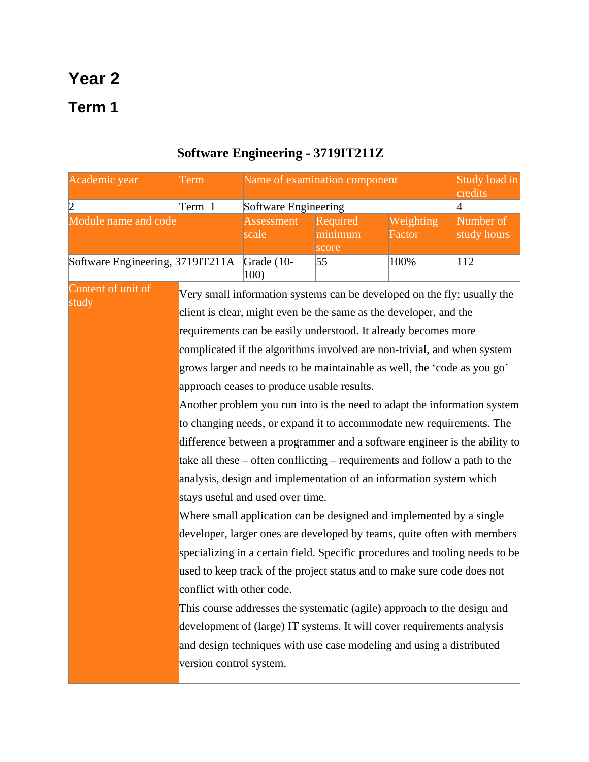# **Year 2**

## **Term 1**

| Academic year                    | Term                      |                                                                                | Name of examination component                                                                                                                                                                                                                                                                                                                                                                                                                                                                                                                                                                                                                                                                                                                                                                                                                                                                                                                                                                                                                                                                                                                                                                                                                                                                           |                     | Study load in<br>credits |
|----------------------------------|---------------------------|--------------------------------------------------------------------------------|---------------------------------------------------------------------------------------------------------------------------------------------------------------------------------------------------------------------------------------------------------------------------------------------------------------------------------------------------------------------------------------------------------------------------------------------------------------------------------------------------------------------------------------------------------------------------------------------------------------------------------------------------------------------------------------------------------------------------------------------------------------------------------------------------------------------------------------------------------------------------------------------------------------------------------------------------------------------------------------------------------------------------------------------------------------------------------------------------------------------------------------------------------------------------------------------------------------------------------------------------------------------------------------------------------|---------------------|--------------------------|
| $\overline{c}$                   | Term 1                    | Software Engineering                                                           |                                                                                                                                                                                                                                                                                                                                                                                                                                                                                                                                                                                                                                                                                                                                                                                                                                                                                                                                                                                                                                                                                                                                                                                                                                                                                                         |                     | 4                        |
| Module name and code             |                           | <b>Assessment</b><br>scale                                                     | Required<br>minimum<br>score                                                                                                                                                                                                                                                                                                                                                                                                                                                                                                                                                                                                                                                                                                                                                                                                                                                                                                                                                                                                                                                                                                                                                                                                                                                                            | Weighting<br>Factor | Number of<br>study hours |
| Software Engineering, 3719IT211A |                           | Grade (10-<br>100)                                                             | 55                                                                                                                                                                                                                                                                                                                                                                                                                                                                                                                                                                                                                                                                                                                                                                                                                                                                                                                                                                                                                                                                                                                                                                                                                                                                                                      | 100%                | 112                      |
| Content of unit of<br>study      | conflict with other code. | approach ceases to produce usable results.<br>stays useful and used over time. | Very small information systems can be developed on the fly; usually the<br>client is clear, might even be the same as the developer, and the<br>requirements can be easily understood. It already becomes more<br>complicated if the algorithms involved are non-trivial, and when system<br>grows larger and needs to be maintainable as well, the 'code as you go'<br>Another problem you run into is the need to adapt the information system<br>to changing needs, or expand it to accommodate new requirements. The<br>difference between a programmer and a software engineer is the ability to<br>take all these $-$ often conflicting $-$ requirements and follow a path to the<br>analysis, design and implementation of an information system which<br>Where small application can be designed and implemented by a single<br>developer, larger ones are developed by teams, quite often with members<br>specializing in a certain field. Specific procedures and tooling needs to be<br>used to keep track of the project status and to make sure code does not<br>This course addresses the systematic (agile) approach to the design and<br>development of (large) IT systems. It will cover requirements analysis<br>and design techniques with use case modeling and using a distributed |                     |                          |
|                                  | version control system.   |                                                                                |                                                                                                                                                                                                                                                                                                                                                                                                                                                                                                                                                                                                                                                                                                                                                                                                                                                                                                                                                                                                                                                                                                                                                                                                                                                                                                         |                     |                          |

## **Software Engineering - 3719IT211Z**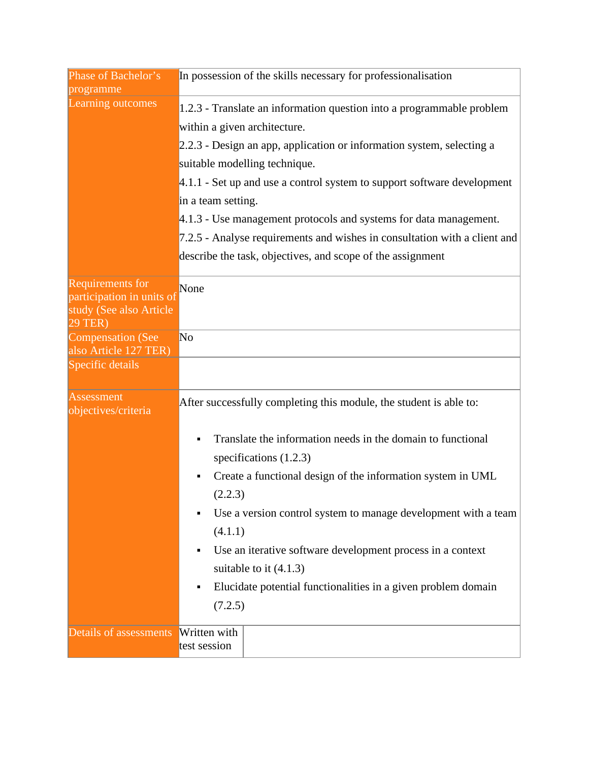| Phase of Bachelor's<br>programme                                                    |                                                    | In possession of the skills necessary for professionalisation                                                                                                                                                                                                                                                                                                                                                                                                              |
|-------------------------------------------------------------------------------------|----------------------------------------------------|----------------------------------------------------------------------------------------------------------------------------------------------------------------------------------------------------------------------------------------------------------------------------------------------------------------------------------------------------------------------------------------------------------------------------------------------------------------------------|
| Learning outcomes                                                                   | within a given architecture.<br>in a team setting. | 1.2.3 - Translate an information question into a programmable problem<br>2.2.3 - Design an app, application or information system, selecting a<br>suitable modelling technique.<br>4.1.1 - Set up and use a control system to support software development<br>4.1.3 - Use management protocols and systems for data management.<br>7.2.5 - Analyse requirements and wishes in consultation with a client and<br>describe the task, objectives, and scope of the assignment |
| Requirements for<br>participation in units of<br>study (See also Article<br>29 TER) | None                                               |                                                                                                                                                                                                                                                                                                                                                                                                                                                                            |
| <b>Compensation (See</b><br>also Article 127 TER)<br>Specific details               | No                                                 |                                                                                                                                                                                                                                                                                                                                                                                                                                                                            |
| Assessment<br>objectives/criteria                                                   | (2.2.3)<br>(4.1.1)<br>(7.2.5)                      | After successfully completing this module, the student is able to:<br>Translate the information needs in the domain to functional<br>specifications $(1.2.3)$<br>Create a functional design of the information system in UML<br>Use a version control system to manage development with a team<br>Use an iterative software development process in a context<br>suitable to it $(4.1.3)$<br>Elucidate potential functionalities in a given problem domain                  |
| Details of assessments                                                              | Written with<br>test session                       |                                                                                                                                                                                                                                                                                                                                                                                                                                                                            |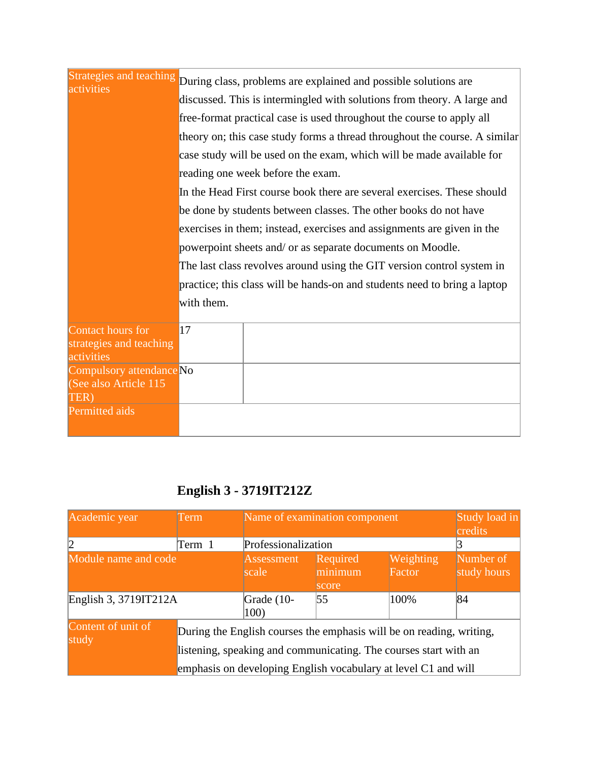| <b>Strategies and teaching</b><br>activities               | During class, problems are explained and possible solutions are<br>discussed. This is intermingled with solutions from theory. A large and |  |  |  |
|------------------------------------------------------------|--------------------------------------------------------------------------------------------------------------------------------------------|--|--|--|
|                                                            | free-format practical case is used throughout the course to apply all                                                                      |  |  |  |
|                                                            | theory on; this case study forms a thread throughout the course. A similar                                                                 |  |  |  |
|                                                            | case study will be used on the exam, which will be made available for                                                                      |  |  |  |
|                                                            | reading one week before the exam.                                                                                                          |  |  |  |
|                                                            | In the Head First course book there are several exercises. These should                                                                    |  |  |  |
|                                                            | be done by students between classes. The other books do not have                                                                           |  |  |  |
|                                                            | exercises in them; instead, exercises and assignments are given in the                                                                     |  |  |  |
|                                                            | powerpoint sheets and/ or as separate documents on Moodle.                                                                                 |  |  |  |
|                                                            | The last class revolves around using the GIT version control system in                                                                     |  |  |  |
|                                                            | practice; this class will be hands-on and students need to bring a laptop                                                                  |  |  |  |
|                                                            | with them.                                                                                                                                 |  |  |  |
| Contact hours for<br>strategies and teaching<br>activities | 17                                                                                                                                         |  |  |  |
| Compulsory attendance No<br>(See also Article 115          |                                                                                                                                            |  |  |  |
| TER)                                                       |                                                                                                                                            |  |  |  |
| Permitted aids                                             |                                                                                                                                            |  |  |  |

#### **English 3 - 3719IT212Z**

| Academic year               | Term                                                                                                                                                                                                       |                     | Name of examination component |                     | Study load in<br>credits |
|-----------------------------|------------------------------------------------------------------------------------------------------------------------------------------------------------------------------------------------------------|---------------------|-------------------------------|---------------------|--------------------------|
| 12                          | Term 1                                                                                                                                                                                                     | Professionalization |                               |                     |                          |
| Module name and code        |                                                                                                                                                                                                            | Assessment<br>scale | Required<br>minimum<br>score  | Weighting<br>Factor | Number of<br>study hours |
| English 3, 3719IT212A       |                                                                                                                                                                                                            | Grade (10-<br>100)  | 55                            | 100%                | 84                       |
| Content of unit of<br>study | During the English courses the emphasis will be on reading, writing,<br>listening, speaking and communicating. The courses start with an<br>emphasis on developing English vocabulary at level C1 and will |                     |                               |                     |                          |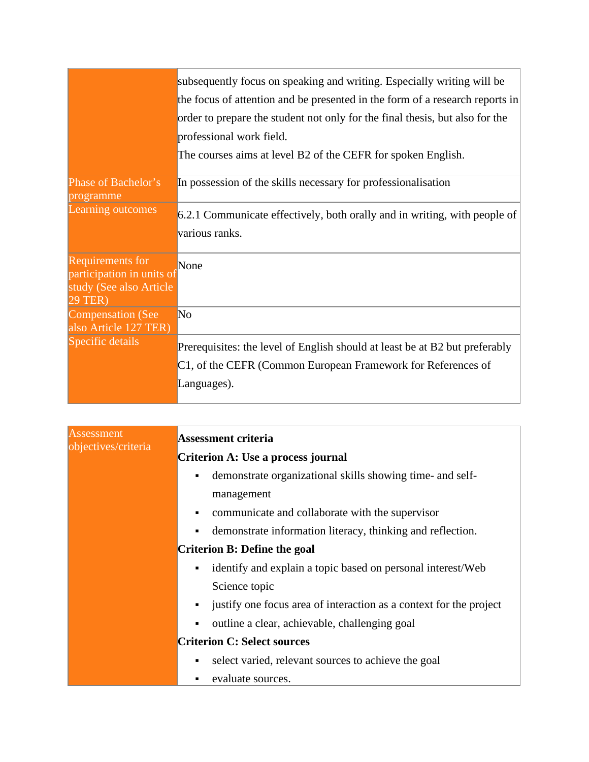|                                                                                            | subsequently focus on speaking and writing. Especially writing will be<br>the focus of attention and be presented in the form of a research reports in<br>order to prepare the student not only for the final thesis, but also for the<br>professional work field.<br>The courses aims at level B2 of the CEFR for spoken English. |
|--------------------------------------------------------------------------------------------|------------------------------------------------------------------------------------------------------------------------------------------------------------------------------------------------------------------------------------------------------------------------------------------------------------------------------------|
| Phase of Bachelor's<br>programme                                                           | In possession of the skills necessary for professionalisation                                                                                                                                                                                                                                                                      |
| Learning outcomes                                                                          | 6.2.1 Communicate effectively, both orally and in writing, with people of<br>various ranks.                                                                                                                                                                                                                                        |
| Requirements for<br>participation in units of<br>study (See also Article<br><b>29 TER)</b> | None                                                                                                                                                                                                                                                                                                                               |
| <b>Compensation</b> (See<br>also Article 127 TER)                                          | No                                                                                                                                                                                                                                                                                                                                 |
| Specific details                                                                           | Prerequisites: the level of English should at least be at B2 but preferably<br>C1, of the CEFR (Common European Framework for References of<br>Languages).                                                                                                                                                                         |

| Assessment<br>objectives/criteria | <b>Assessment criteria</b>                                                           |  |  |
|-----------------------------------|--------------------------------------------------------------------------------------|--|--|
|                                   | Criterion A: Use a process journal                                                   |  |  |
|                                   | demonstrate organizational skills showing time- and self-<br>٠<br>management         |  |  |
|                                   | communicate and collaborate with the supervisor<br>٠                                 |  |  |
|                                   | demonstrate information literacy, thinking and reflection.<br>٠                      |  |  |
|                                   | Criterion B: Define the goal                                                         |  |  |
|                                   | identify and explain a topic based on personal interest/Web<br>٠                     |  |  |
|                                   | Science topic                                                                        |  |  |
|                                   | justify one focus area of interaction as a context for the project<br>$\blacksquare$ |  |  |
|                                   | outline a clear, achievable, challenging goal<br>$\blacksquare$                      |  |  |
|                                   | <b>Criterion C: Select sources</b>                                                   |  |  |
|                                   | select varied, relevant sources to achieve the goal<br>٠                             |  |  |
|                                   | evaluate sources.<br>٠                                                               |  |  |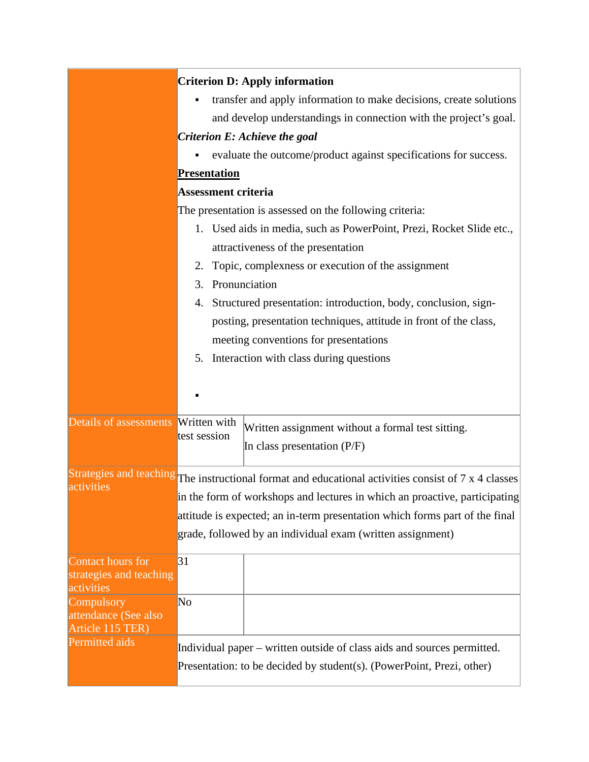|                                          | <b>Criterion D: Apply information</b>                                                                |  |  |  |
|------------------------------------------|------------------------------------------------------------------------------------------------------|--|--|--|
|                                          | transfer and apply information to make decisions, create solutions                                   |  |  |  |
|                                          | and develop understandings in connection with the project's goal.                                    |  |  |  |
|                                          | Criterion E: Achieve the goal                                                                        |  |  |  |
|                                          | evaluate the outcome/product against specifications for success.                                     |  |  |  |
|                                          | <b>Presentation</b>                                                                                  |  |  |  |
|                                          | <b>Assessment criteria</b>                                                                           |  |  |  |
|                                          | The presentation is assessed on the following criteria:                                              |  |  |  |
|                                          | 1. Used aids in media, such as PowerPoint, Prezi, Rocket Slide etc.,                                 |  |  |  |
|                                          | attractiveness of the presentation                                                                   |  |  |  |
|                                          | 2. Topic, complexness or execution of the assignment                                                 |  |  |  |
|                                          | 3. Pronunciation                                                                                     |  |  |  |
|                                          | 4. Structured presentation: introduction, body, conclusion, sign-                                    |  |  |  |
|                                          | posting, presentation techniques, attitude in front of the class,                                    |  |  |  |
|                                          | meeting conventions for presentations                                                                |  |  |  |
|                                          | 5. Interaction with class during questions                                                           |  |  |  |
|                                          |                                                                                                      |  |  |  |
|                                          |                                                                                                      |  |  |  |
| Details of assessments                   | Written with<br>Written assignment without a formal test sitting.                                    |  |  |  |
|                                          | test session<br>In class presentation $(P/F)$                                                        |  |  |  |
|                                          |                                                                                                      |  |  |  |
| activities                               | Strategies and teaching The instructional format and educational activities consist of 7 x 4 classes |  |  |  |
|                                          | in the form of workshops and lectures in which an proactive, participating                           |  |  |  |
|                                          | attitude is expected; an in-term presentation which forms part of the final                          |  |  |  |
|                                          | grade, followed by an individual exam (written assignment)                                           |  |  |  |
| Contact hours for                        | 31                                                                                                   |  |  |  |
| strategies and teaching                  |                                                                                                      |  |  |  |
| activities<br>Compulsory                 | No                                                                                                   |  |  |  |
| attendance (See also<br>Article 115 TER) |                                                                                                      |  |  |  |
| Permitted aids                           | Individual paper – written outside of class aids and sources permitted.                              |  |  |  |
|                                          | Presentation: to be decided by student(s). (PowerPoint, Prezi, other)                                |  |  |  |
|                                          |                                                                                                      |  |  |  |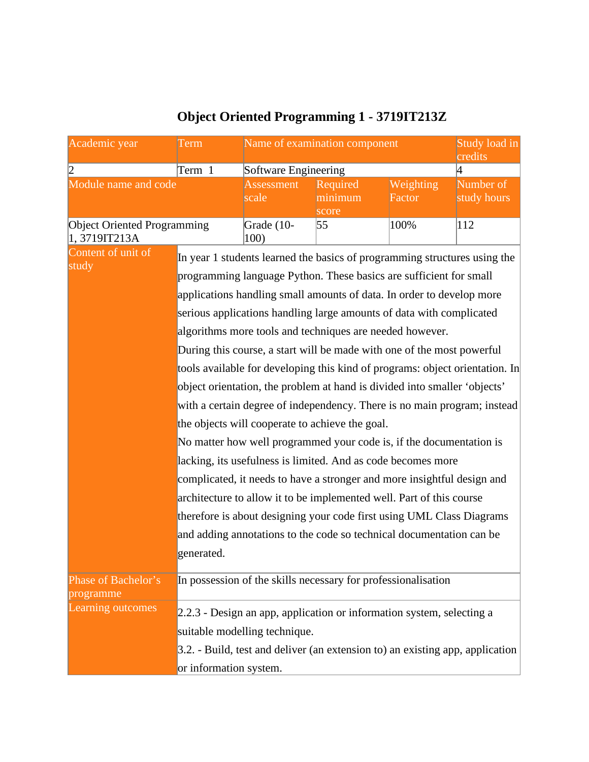## **Object Oriented Programming 1 - 3719IT213Z**

| Academic year                                                                | <b>Term</b>                                                   | Name of examination component                                             |                                                                                 |           | Study load in |  |
|------------------------------------------------------------------------------|---------------------------------------------------------------|---------------------------------------------------------------------------|---------------------------------------------------------------------------------|-----------|---------------|--|
|                                                                              | Term 1                                                        | Software Engineering                                                      |                                                                                 |           | credits<br>4  |  |
| Module name and code                                                         |                                                               | <b>Assessment</b>                                                         | Required                                                                        | Weighting | Number of     |  |
|                                                                              |                                                               | scale                                                                     | minimum                                                                         | Factor    | study hours   |  |
|                                                                              |                                                               |                                                                           | score                                                                           |           |               |  |
| <b>Object Oriented Programming</b><br>1,3719IT213A                           |                                                               | Grade (10-<br>100)                                                        | 55                                                                              | 100%      | 112           |  |
| Content of unit of                                                           |                                                               | In year 1 students learned the basics of programming structures using the |                                                                                 |           |               |  |
| study                                                                        |                                                               |                                                                           | programming language Python. These basics are sufficient for small              |           |               |  |
|                                                                              |                                                               |                                                                           | applications handling small amounts of data. In order to develop more           |           |               |  |
|                                                                              |                                                               |                                                                           | serious applications handling large amounts of data with complicated            |           |               |  |
|                                                                              |                                                               |                                                                           | algorithms more tools and techniques are needed however.                        |           |               |  |
|                                                                              |                                                               |                                                                           | During this course, a start will be made with one of the most powerful          |           |               |  |
| tools available for developing this kind of programs: object orientation. In |                                                               |                                                                           |                                                                                 |           |               |  |
|                                                                              |                                                               |                                                                           | object orientation, the problem at hand is divided into smaller 'objects'       |           |               |  |
|                                                                              |                                                               |                                                                           | with a certain degree of independency. There is no main program; instead        |           |               |  |
|                                                                              |                                                               |                                                                           | the objects will cooperate to achieve the goal.                                 |           |               |  |
|                                                                              |                                                               |                                                                           | No matter how well programmed your code is, if the documentation is             |           |               |  |
|                                                                              |                                                               |                                                                           | lacking, its usefulness is limited. And as code becomes more                    |           |               |  |
|                                                                              |                                                               |                                                                           | complicated, it needs to have a stronger and more insightful design and         |           |               |  |
|                                                                              |                                                               |                                                                           | architecture to allow it to be implemented well. Part of this course            |           |               |  |
|                                                                              |                                                               |                                                                           | therefore is about designing your code first using UML Class Diagrams           |           |               |  |
|                                                                              |                                                               |                                                                           | and adding annotations to the code so technical documentation can be            |           |               |  |
|                                                                              | generated.                                                    |                                                                           |                                                                                 |           |               |  |
| Phase of Bachelor's                                                          | In possession of the skills necessary for professionalisation |                                                                           |                                                                                 |           |               |  |
| programme                                                                    |                                                               |                                                                           |                                                                                 |           |               |  |
| Learning outcomes                                                            |                                                               |                                                                           | 2.2.3 - Design an app, application or information system, selecting a           |           |               |  |
|                                                                              |                                                               | suitable modelling technique.                                             |                                                                                 |           |               |  |
|                                                                              |                                                               |                                                                           | $3.2.$ - Build, test and deliver (an extension to) an existing app, application |           |               |  |
|                                                                              | or information system.                                        |                                                                           |                                                                                 |           |               |  |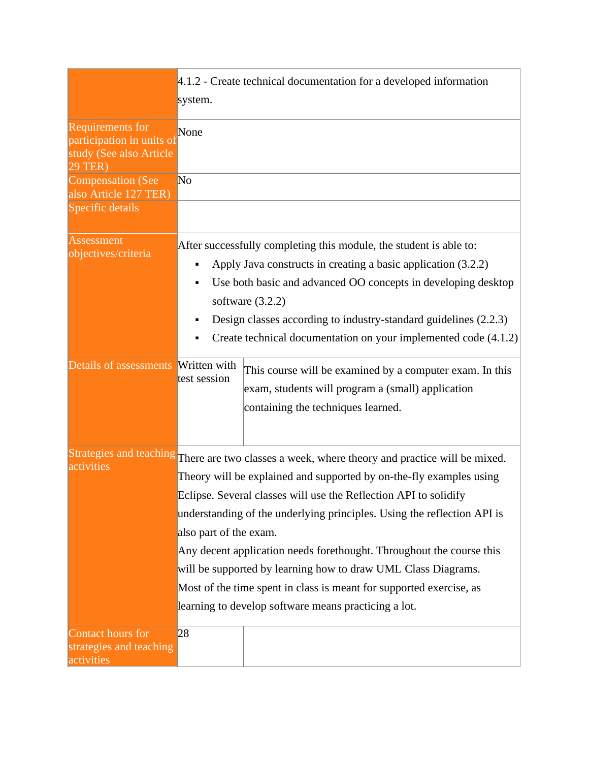|                                                                                     | 4.1.2 - Create technical documentation for a developed information<br>system. |                                                                                                                                                                                                                                                                                                                                                                                                                                                                                                                                                                                              |  |  |
|-------------------------------------------------------------------------------------|-------------------------------------------------------------------------------|----------------------------------------------------------------------------------------------------------------------------------------------------------------------------------------------------------------------------------------------------------------------------------------------------------------------------------------------------------------------------------------------------------------------------------------------------------------------------------------------------------------------------------------------------------------------------------------------|--|--|
| Requirements for<br>participation in units of<br>study (See also Article<br>29 TER) | None                                                                          |                                                                                                                                                                                                                                                                                                                                                                                                                                                                                                                                                                                              |  |  |
| <b>Compensation (See</b><br>also Article 127 TER)<br>Specific details               | No                                                                            |                                                                                                                                                                                                                                                                                                                                                                                                                                                                                                                                                                                              |  |  |
| Assessment<br>objectives/criteria<br>Details of assessments                         | ٠<br>Written with                                                             | After successfully completing this module, the student is able to:<br>Apply Java constructs in creating a basic application (3.2.2)<br>Use both basic and advanced OO concepts in developing desktop<br>software $(3.2.2)$<br>Design classes according to industry-standard guidelines (2.2.3)<br>Create technical documentation on your implemented code (4.1.2)                                                                                                                                                                                                                            |  |  |
|                                                                                     | test session                                                                  | This course will be examined by a computer exam. In this<br>exam, students will program a (small) application<br>containing the techniques learned.                                                                                                                                                                                                                                                                                                                                                                                                                                          |  |  |
| activities                                                                          | also part of the exam.                                                        | Strategies and teaching There are two classes a week, where theory and practice will be mixed.<br>Theory will be explained and supported by on-the-fly examples using<br>Eclipse. Several classes will use the Reflection API to solidify<br>understanding of the underlying principles. Using the reflection API is<br>Any decent application needs forethought. Throughout the course this<br>will be supported by learning how to draw UML Class Diagrams.<br>Most of the time spent in class is meant for supported exercise, as<br>learning to develop software means practicing a lot. |  |  |
| Contact hours for<br>strategies and teaching<br>activities                          | 28                                                                            |                                                                                                                                                                                                                                                                                                                                                                                                                                                                                                                                                                                              |  |  |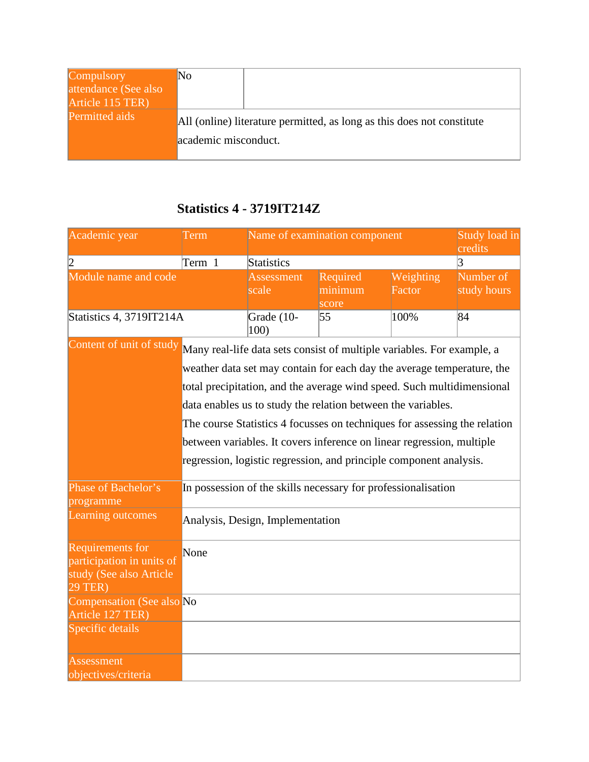| Compulsory           | No                   |                                                                        |
|----------------------|----------------------|------------------------------------------------------------------------|
| attendance (See also |                      |                                                                        |
| Article 115 TER)     |                      |                                                                        |
| Permitted aids       | academic misconduct. | All (online) literature permitted, as long as this does not constitute |
|                      |                      |                                                                        |

#### **Statistics 4 - 3719IT214Z**

| Academic year                                                                                     | Term   | Name of examination component                                             |                              |                     | Study load in<br>credits |  |  |
|---------------------------------------------------------------------------------------------------|--------|---------------------------------------------------------------------------|------------------------------|---------------------|--------------------------|--|--|
| 2                                                                                                 | Term 1 | <b>Statistics</b>                                                         |                              |                     | 3                        |  |  |
| Module name and code                                                                              |        | Assessment<br>scale                                                       | Required<br>minimum<br>score | Weighting<br>Factor | Number of<br>study hours |  |  |
| Statistics 4, 3719IT214A                                                                          |        | Grade (10-<br>100)                                                        | 55                           | 100%                | 84                       |  |  |
| Content of unit of study                                                                          |        | Many real-life data sets consist of multiple variables. For example, a    |                              |                     |                          |  |  |
|                                                                                                   |        | weather data set may contain for each day the average temperature, the    |                              |                     |                          |  |  |
|                                                                                                   |        | total precipitation, and the average wind speed. Such multidimensional    |                              |                     |                          |  |  |
|                                                                                                   |        | data enables us to study the relation between the variables.              |                              |                     |                          |  |  |
|                                                                                                   |        | The course Statistics 4 focusses on techniques for assessing the relation |                              |                     |                          |  |  |
|                                                                                                   |        | between variables. It covers inference on linear regression, multiple     |                              |                     |                          |  |  |
|                                                                                                   |        | regression, logistic regression, and principle component analysis.        |                              |                     |                          |  |  |
| Phase of Bachelor's<br>programme                                                                  |        | In possession of the skills necessary for professionalisation             |                              |                     |                          |  |  |
| Learning outcomes                                                                                 |        | Analysis, Design, Implementation                                          |                              |                     |                          |  |  |
| <b>Requirements for</b><br>participation in units of<br>study (See also Article<br><b>29 TER)</b> | None   |                                                                           |                              |                     |                          |  |  |
| Compensation (See also No<br>Article 127 TER)                                                     |        |                                                                           |                              |                     |                          |  |  |
| Specific details                                                                                  |        |                                                                           |                              |                     |                          |  |  |
| Assessment<br>objectives/criteria                                                                 |        |                                                                           |                              |                     |                          |  |  |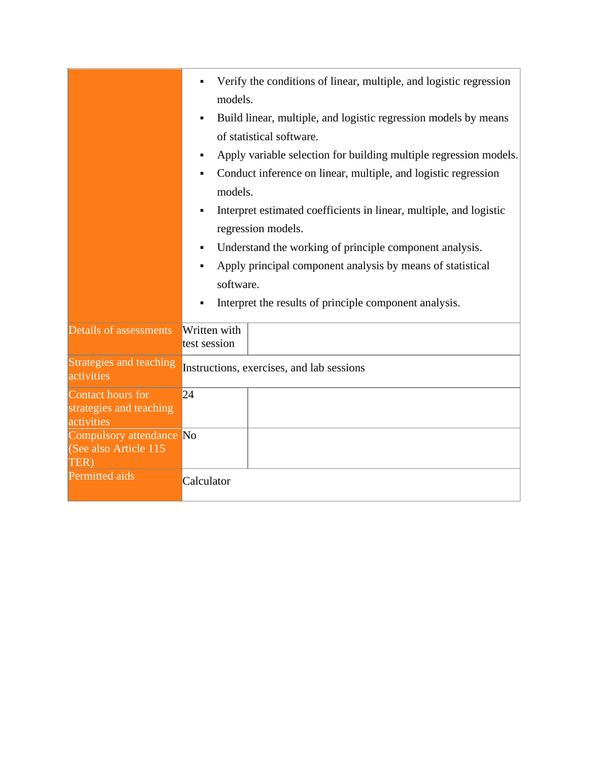|                                                            | Verify the conditions of linear, multiple, and logistic regression<br>models.<br>Build linear, multiple, and logistic regression models by means<br>of statistical software.<br>Apply variable selection for building multiple regression models.<br>٠<br>Conduct inference on linear, multiple, and logistic regression<br>٠<br>models.<br>Interpret estimated coefficients in linear, multiple, and logistic<br>regression models.<br>Understand the working of principle component analysis.<br>Apply principal component analysis by means of statistical<br>٠<br>software.<br>Interpret the results of principle component analysis. |
|------------------------------------------------------------|-------------------------------------------------------------------------------------------------------------------------------------------------------------------------------------------------------------------------------------------------------------------------------------------------------------------------------------------------------------------------------------------------------------------------------------------------------------------------------------------------------------------------------------------------------------------------------------------------------------------------------------------|
| <b>Details of assessments</b>                              | Written with<br>test session                                                                                                                                                                                                                                                                                                                                                                                                                                                                                                                                                                                                              |
| <b>Strategies and teaching</b><br>activities               | Instructions, exercises, and lab sessions                                                                                                                                                                                                                                                                                                                                                                                                                                                                                                                                                                                                 |
| Contact hours for<br>strategies and teaching<br>activities | 24                                                                                                                                                                                                                                                                                                                                                                                                                                                                                                                                                                                                                                        |
| Compulsory attendance No<br>(See also Article 115<br>TER)  |                                                                                                                                                                                                                                                                                                                                                                                                                                                                                                                                                                                                                                           |
| <b>Permitted aids</b>                                      | Calculator                                                                                                                                                                                                                                                                                                                                                                                                                                                                                                                                                                                                                                |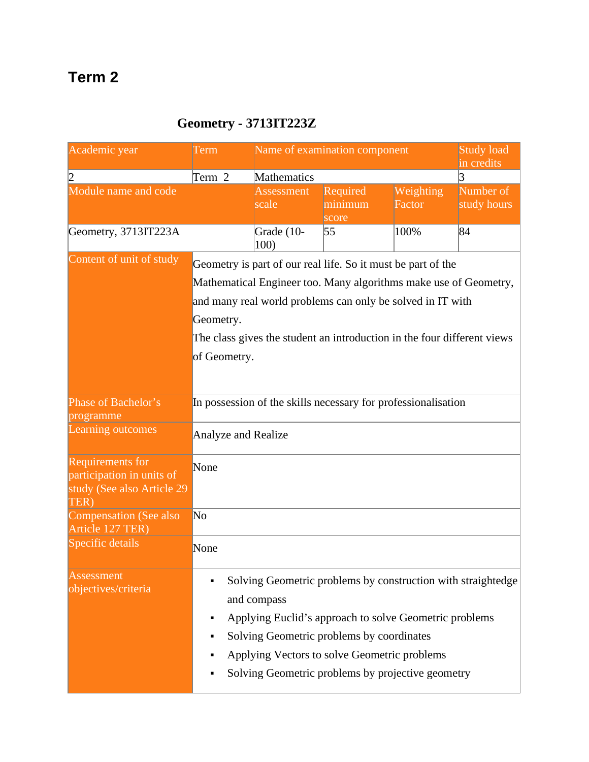## **Term 2**

#### **Geometry - 3713IT223Z**

| Academic year                                                                              | Term                      | Name of examination component |                                                                                                                                                                                                                                                                           |                     | <b>Study load</b><br>in credits |
|--------------------------------------------------------------------------------------------|---------------------------|-------------------------------|---------------------------------------------------------------------------------------------------------------------------------------------------------------------------------------------------------------------------------------------------------------------------|---------------------|---------------------------------|
| $ 2\rangle$                                                                                | Term 2                    | Mathematics                   |                                                                                                                                                                                                                                                                           |                     | $\vert 3 \vert$                 |
| Module name and code                                                                       |                           | <b>Assessment</b><br>scale    | Required<br>minimum<br>score                                                                                                                                                                                                                                              | Weighting<br>Factor | Number of<br>study hours        |
| Geometry, 3713IT223A                                                                       |                           | Grade (10-<br>100)            | 55                                                                                                                                                                                                                                                                        | 100%                | 84                              |
| Content of unit of study                                                                   | Geometry.<br>of Geometry. |                               | Geometry is part of our real life. So it must be part of the<br>Mathematical Engineer too. Many algorithms make use of Geometry,<br>and many real world problems can only be solved in IT with<br>The class gives the student an introduction in the four different views |                     |                                 |
| Phase of Bachelor's<br>programme<br>Learning outcomes                                      | Analyze and Realize       |                               | In possession of the skills necessary for professionalisation                                                                                                                                                                                                             |                     |                                 |
| <b>Requirements for</b><br>participation in units of<br>study (See also Article 29<br>TER) | None                      |                               |                                                                                                                                                                                                                                                                           |                     |                                 |
| <b>Compensation (See also</b><br>Article 127 TER)                                          | No                        |                               |                                                                                                                                                                                                                                                                           |                     |                                 |
| Specific details                                                                           | None                      |                               |                                                                                                                                                                                                                                                                           |                     |                                 |
| Assessment<br>objectives/criteria                                                          | ٠                         | and compass                   | Solving Geometric problems by construction with straightedge<br>Applying Euclid's approach to solve Geometric problems<br>Solving Geometric problems by coordinates<br>Applying Vectors to solve Geometric problems<br>Solving Geometric problems by projective geometry  |                     |                                 |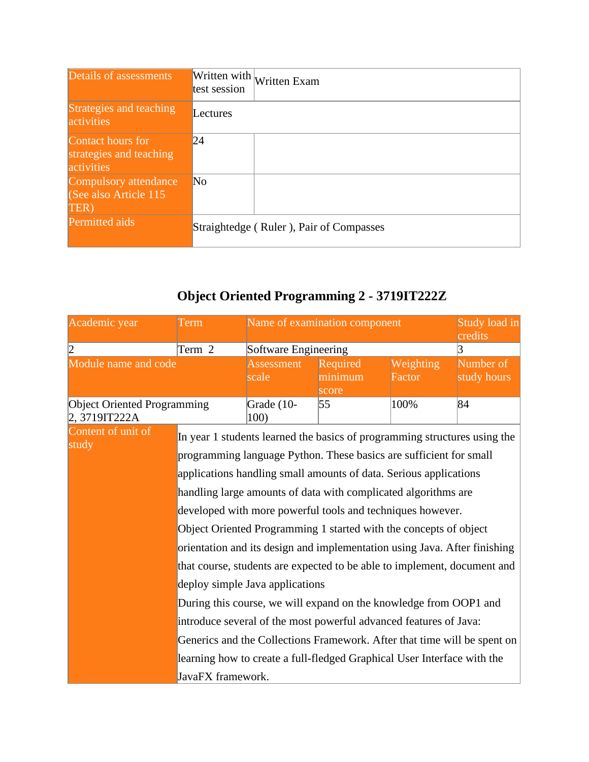| Details of assessments                                     | test session   | Written with $\sqrt{\text{W}}$ ritten Exam |
|------------------------------------------------------------|----------------|--------------------------------------------|
| Strategies and teaching<br>activities                      | Lectures       |                                            |
| Contact hours for<br>strategies and teaching<br>activities | 24             |                                            |
| Compulsory attendance<br>(See also Article 115)<br>TER)    | N <sub>0</sub> |                                            |
| Permitted aids                                             |                | Straightedge (Ruler), Pair of Compasses    |

## **Object Oriented Programming 2 - 3719IT222Z**

| Academic year                                       | Term                                                                                                                                            | Name of examination component |                              |                     | Study load in<br>credits |  |  |  |
|-----------------------------------------------------|-------------------------------------------------------------------------------------------------------------------------------------------------|-------------------------------|------------------------------|---------------------|--------------------------|--|--|--|
| $ 2\rangle$                                         | Term 2                                                                                                                                          | Software Engineering          |                              |                     | 3                        |  |  |  |
| Module name and code                                |                                                                                                                                                 | <b>Assessment</b><br>scale    | Required<br>minimum<br>score | Weighting<br>Factor | Number of<br>study hours |  |  |  |
| <b>Object Oriented Programming</b><br>2, 3719IT222A |                                                                                                                                                 | Grade (10-<br>100)            | 55                           | 100%                | 84                       |  |  |  |
| Content of unit of<br>study                         | In year 1 students learned the basics of programming structures using the<br>programming language Python. These basics are sufficient for small |                               |                              |                     |                          |  |  |  |
|                                                     | applications handling small amounts of data. Serious applications                                                                               |                               |                              |                     |                          |  |  |  |
|                                                     | handling large amounts of data with complicated algorithms are                                                                                  |                               |                              |                     |                          |  |  |  |
|                                                     | developed with more powerful tools and techniques however.                                                                                      |                               |                              |                     |                          |  |  |  |
|                                                     | Object Oriented Programming 1 started with the concepts of object                                                                               |                               |                              |                     |                          |  |  |  |
|                                                     | orientation and its design and implementation using Java. After finishing                                                                       |                               |                              |                     |                          |  |  |  |
|                                                     | that course, students are expected to be able to implement, document and                                                                        |                               |                              |                     |                          |  |  |  |
|                                                     | deploy simple Java applications                                                                                                                 |                               |                              |                     |                          |  |  |  |
|                                                     | During this course, we will expand on the knowledge from OOP1 and                                                                               |                               |                              |                     |                          |  |  |  |
|                                                     | introduce several of the most powerful advanced features of Java:                                                                               |                               |                              |                     |                          |  |  |  |
|                                                     | Generics and the Collections Framework. After that time will be spent on                                                                        |                               |                              |                     |                          |  |  |  |
|                                                     | learning how to create a full-fledged Graphical User Interface with the                                                                         |                               |                              |                     |                          |  |  |  |
|                                                     |                                                                                                                                                 | JavaFX framework.             |                              |                     |                          |  |  |  |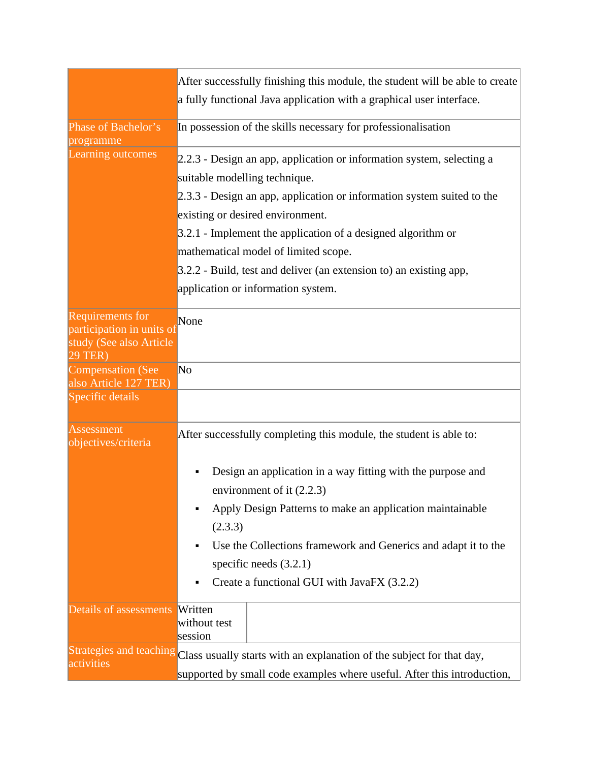|                                                                                     | After successfully finishing this module, the student will be able to create<br>a fully functional Java application with a graphical user interface.                                                                                                                                                                                                                                                 |  |  |  |  |
|-------------------------------------------------------------------------------------|------------------------------------------------------------------------------------------------------------------------------------------------------------------------------------------------------------------------------------------------------------------------------------------------------------------------------------------------------------------------------------------------------|--|--|--|--|
| Phase of Bachelor's<br>programme                                                    | In possession of the skills necessary for professionalisation                                                                                                                                                                                                                                                                                                                                        |  |  |  |  |
| Learning outcomes                                                                   | 2.2.3 - Design an app, application or information system, selecting a<br>suitable modelling technique.<br>2.3.3 - Design an app, application or information system suited to the<br>existing or desired environment.<br>$3.2.1$ - Implement the application of a designed algorithm or<br>mathematical model of limited scope.<br>3.2.2 - Build, test and deliver (an extension to) an existing app, |  |  |  |  |
|                                                                                     | application or information system.                                                                                                                                                                                                                                                                                                                                                                   |  |  |  |  |
| Requirements for<br>participation in units of<br>study (See also Article<br>29 TER) | None                                                                                                                                                                                                                                                                                                                                                                                                 |  |  |  |  |
| <b>Compensation (See</b><br>also Article 127 TER)                                   | No                                                                                                                                                                                                                                                                                                                                                                                                   |  |  |  |  |
| Specific details                                                                    |                                                                                                                                                                                                                                                                                                                                                                                                      |  |  |  |  |
| <b>Assessment</b><br>objectives/criteria                                            | After successfully completing this module, the student is able to:                                                                                                                                                                                                                                                                                                                                   |  |  |  |  |
|                                                                                     | Design an application in a way fitting with the purpose and<br>environment of it $(2.2.3)$<br>Apply Design Patterns to make an application maintainable<br>(2.3.3)                                                                                                                                                                                                                                   |  |  |  |  |
|                                                                                     | Use the Collections framework and Generics and adapt it to the<br>٠<br>specific needs $(3.2.1)$                                                                                                                                                                                                                                                                                                      |  |  |  |  |
|                                                                                     | Create a functional GUI with JavaFX (3.2.2)                                                                                                                                                                                                                                                                                                                                                          |  |  |  |  |
| Details of assessments                                                              | Written<br>without test<br>session                                                                                                                                                                                                                                                                                                                                                                   |  |  |  |  |
| <b>Strategies and teaching</b><br>activities                                        | Class usually starts with an explanation of the subject for that day,<br>supported by small code examples where useful. After this introduction,                                                                                                                                                                                                                                                     |  |  |  |  |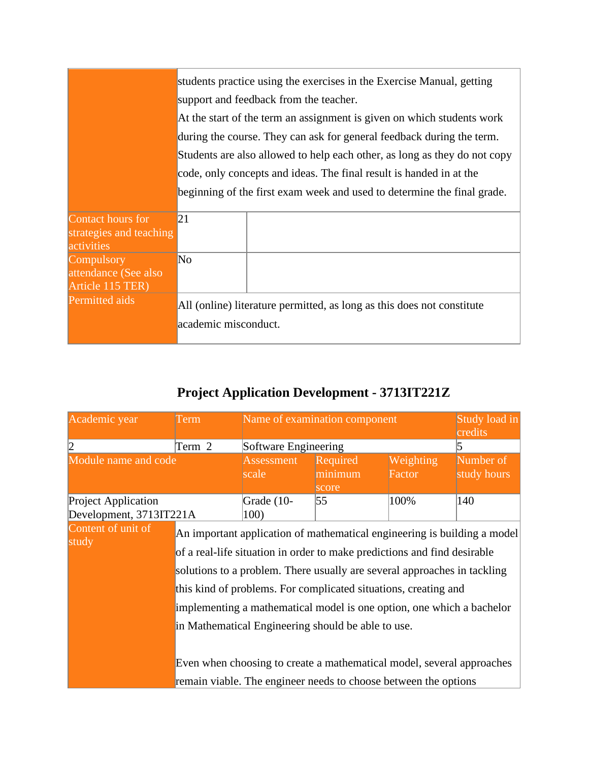|                                       |                                                                        | students practice using the exercises in the Exercise Manual, getting     |  |  |  |  |
|---------------------------------------|------------------------------------------------------------------------|---------------------------------------------------------------------------|--|--|--|--|
|                                       |                                                                        | support and feedback from the teacher.                                    |  |  |  |  |
|                                       | At the start of the term an assignment is given on which students work |                                                                           |  |  |  |  |
|                                       |                                                                        | during the course. They can ask for general feedback during the term.     |  |  |  |  |
|                                       |                                                                        | Students are also allowed to help each other, as long as they do not copy |  |  |  |  |
|                                       |                                                                        | code, only concepts and ideas. The final result is handed in at the       |  |  |  |  |
|                                       |                                                                        | beginning of the first exam week and used to determine the final grade.   |  |  |  |  |
|                                       |                                                                        |                                                                           |  |  |  |  |
| Contact hours for                     | 21                                                                     |                                                                           |  |  |  |  |
| strategies and teaching<br>activities |                                                                        |                                                                           |  |  |  |  |
| Compulsory                            | No                                                                     |                                                                           |  |  |  |  |
| attendance (See also                  |                                                                        |                                                                           |  |  |  |  |
| Article 115 TER)                      |                                                                        |                                                                           |  |  |  |  |
| Permitted aids                        |                                                                        | All (online) literature permitted, as long as this does not constitute    |  |  |  |  |
|                                       | academic misconduct.                                                   |                                                                           |  |  |  |  |
|                                       |                                                                        |                                                                           |  |  |  |  |

## **Project Application Development - 3713IT221Z**

| Academic year                                  | Term                                                                                                                                                                                                                                                                                                                                                                                                                                                                                                        | Name of examination component |                              |                     | Study load in<br>credits                                        |
|------------------------------------------------|-------------------------------------------------------------------------------------------------------------------------------------------------------------------------------------------------------------------------------------------------------------------------------------------------------------------------------------------------------------------------------------------------------------------------------------------------------------------------------------------------------------|-------------------------------|------------------------------|---------------------|-----------------------------------------------------------------|
| 2                                              | Term 2                                                                                                                                                                                                                                                                                                                                                                                                                                                                                                      | Software Engineering          |                              |                     | 5                                                               |
| Module name and code                           |                                                                                                                                                                                                                                                                                                                                                                                                                                                                                                             | <b>Assessment</b><br>scale    | Required<br>minimum<br>score | Weighting<br>Factor | Number of<br>study hours                                        |
| Project Application<br>Development, 3713IT221A |                                                                                                                                                                                                                                                                                                                                                                                                                                                                                                             | Grade (10-<br>100)            | 55                           | 100%                | 140                                                             |
| Content of unit of<br>study                    | An important application of mathematical engineering is building a model<br>of a real-life situation in order to make predictions and find desirable<br>solutions to a problem. There usually are several approaches in tackling<br>this kind of problems. For complicated situations, creating and<br>implementing a mathematical model is one option, one which a bachelor<br>in Mathematical Engineering should be able to use.<br>Even when choosing to create a mathematical model, several approaches |                               |                              |                     | remain viable. The engineer needs to choose between the options |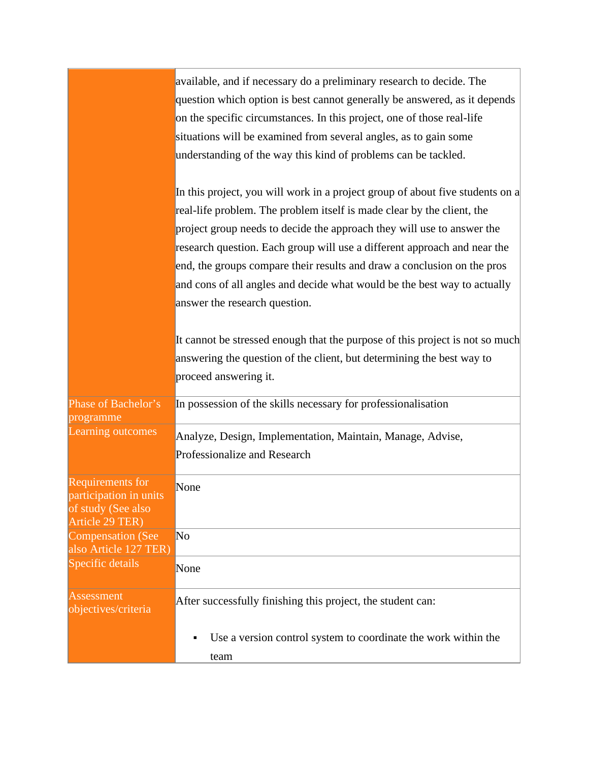|                                                                                            | available, and if necessary do a preliminary research to decide. The<br>question which option is best cannot generally be answered, as it depends<br>on the specific circumstances. In this project, one of those real-life<br>situations will be examined from several angles, as to gain some<br>understanding of the way this kind of problems can be tackled.                                                                                                                                     |
|--------------------------------------------------------------------------------------------|-------------------------------------------------------------------------------------------------------------------------------------------------------------------------------------------------------------------------------------------------------------------------------------------------------------------------------------------------------------------------------------------------------------------------------------------------------------------------------------------------------|
|                                                                                            | In this project, you will work in a project group of about five students on a<br>real-life problem. The problem itself is made clear by the client, the<br>project group needs to decide the approach they will use to answer the<br>research question. Each group will use a different approach and near the<br>end, the groups compare their results and draw a conclusion on the pros<br>and cons of all angles and decide what would be the best way to actually<br>answer the research question. |
|                                                                                            | It cannot be stressed enough that the purpose of this project is not so much<br>answering the question of the client, but determining the best way to<br>proceed answering it.                                                                                                                                                                                                                                                                                                                        |
| Phase of Bachelor's<br>programme<br>Learning outcomes                                      | In possession of the skills necessary for professionalisation<br>Analyze, Design, Implementation, Maintain, Manage, Advise,<br>Professionalize and Research                                                                                                                                                                                                                                                                                                                                           |
| <b>Requirements for</b><br>participation in units<br>of study (See also<br>Article 29 TER) | None                                                                                                                                                                                                                                                                                                                                                                                                                                                                                                  |
| <b>Compensation (See</b><br>also Article 127 TER)<br>Specific details                      | No<br>None                                                                                                                                                                                                                                                                                                                                                                                                                                                                                            |
| <b>Assessment</b><br>objectives/criteria                                                   | After successfully finishing this project, the student can:<br>Use a version control system to coordinate the work within the<br>team                                                                                                                                                                                                                                                                                                                                                                 |
|                                                                                            |                                                                                                                                                                                                                                                                                                                                                                                                                                                                                                       |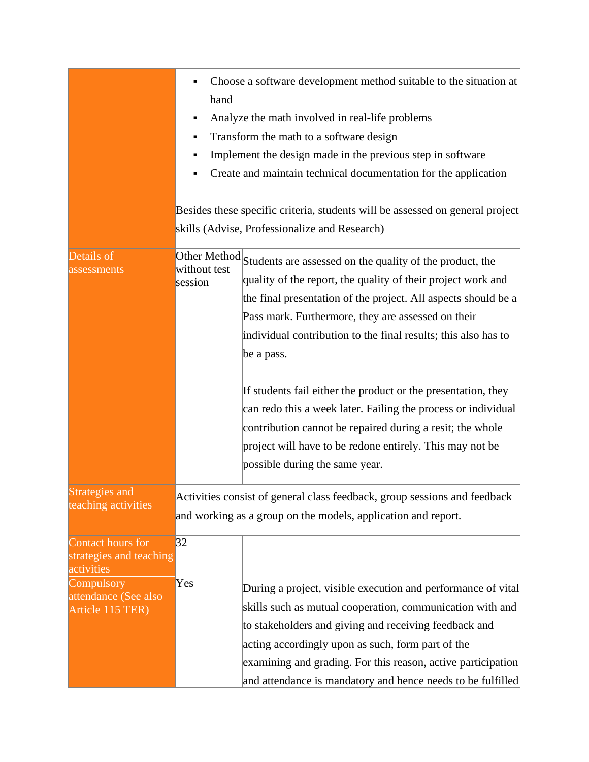|                                                            | ٠<br>hand<br>٠<br>٠                            | Choose a software development method suitable to the situation at<br>Analyze the math involved in real-life problems<br>Transform the math to a software design<br>Implement the design made in the previous step in software<br>Create and maintain technical documentation for the application<br>Besides these specific criteria, students will be assessed on general project<br>skills (Advise, Professionalize and Research)                                                                                                                                                                                            |  |  |  |  |
|------------------------------------------------------------|------------------------------------------------|-------------------------------------------------------------------------------------------------------------------------------------------------------------------------------------------------------------------------------------------------------------------------------------------------------------------------------------------------------------------------------------------------------------------------------------------------------------------------------------------------------------------------------------------------------------------------------------------------------------------------------|--|--|--|--|
| Details of<br>assessments                                  | <b>Other Method</b><br>without test<br>session | Students are assessed on the quality of the product, the<br>quality of the report, the quality of their project work and<br>the final presentation of the project. All aspects should be a<br>Pass mark. Furthermore, they are assessed on their<br>individual contribution to the final results; this also has to<br>be a pass.<br>If students fail either the product or the presentation, they<br>can redo this a week later. Failing the process or individual<br>contribution cannot be repaired during a resit; the whole<br>project will have to be redone entirely. This may not be<br>possible during the same year. |  |  |  |  |
| Strategies and<br>teaching activities                      |                                                | Activities consist of general class feedback, group sessions and feedback<br>and working as a group on the models, application and report.                                                                                                                                                                                                                                                                                                                                                                                                                                                                                    |  |  |  |  |
| Contact hours for<br>strategies and teaching<br>activities | 32                                             |                                                                                                                                                                                                                                                                                                                                                                                                                                                                                                                                                                                                                               |  |  |  |  |
| Compulsory<br>attendance (See also<br>Article 115 TER)     | Yes                                            | During a project, visible execution and performance of vital<br>skills such as mutual cooperation, communication with and<br>to stakeholders and giving and receiving feedback and<br>acting accordingly upon as such, form part of the<br>examining and grading. For this reason, active participation<br>and attendance is mandatory and hence needs to be fulfilled                                                                                                                                                                                                                                                        |  |  |  |  |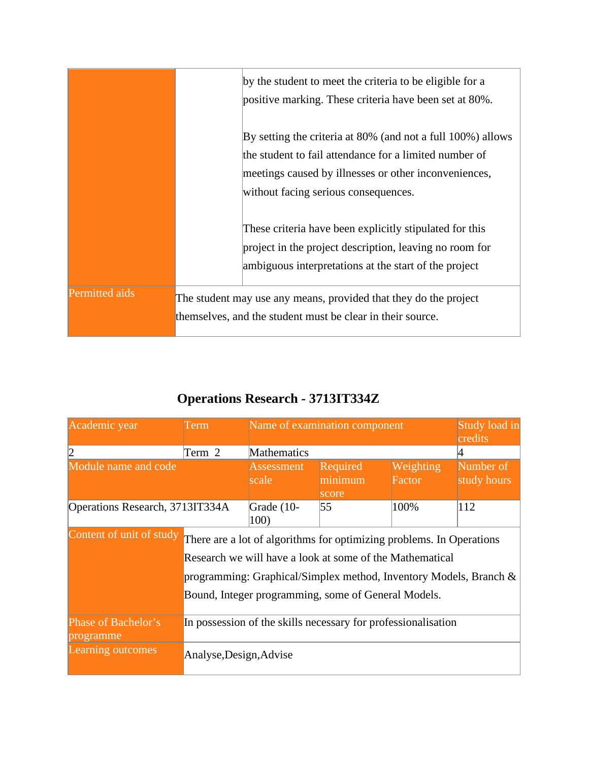|                       | by the student to meet the criteria to be eligible for a<br>positive marking. These criteria have been set at 80%.                                                          |                                                                 |
|-----------------------|-----------------------------------------------------------------------------------------------------------------------------------------------------------------------------|-----------------------------------------------------------------|
|                       | the student to fail attendance for a limited number of<br>meetings caused by illnesses or other inconveniences,<br>without facing serious consequences.                     | By setting the criteria at 80% (and not a full $100\%$ ) allows |
|                       | These criteria have been explicitly stipulated for this<br>project in the project description, leaving no room for<br>ambiguous interpretations at the start of the project |                                                                 |
| <b>Permitted aids</b> | The student may use any means, provided that they do the project<br>themselves, and the student must be clear in their source.                                              |                                                                 |

## **Operations Research - 3713IT334Z**

| Academic year                    | Term                                                                                                                                                                                                                                                         | Name of examination component | Study load in<br>credits     |                     |                          |
|----------------------------------|--------------------------------------------------------------------------------------------------------------------------------------------------------------------------------------------------------------------------------------------------------------|-------------------------------|------------------------------|---------------------|--------------------------|
| $ 2\rangle$                      | Term 2                                                                                                                                                                                                                                                       | Mathematics                   |                              |                     | 14                       |
| Module name and code             |                                                                                                                                                                                                                                                              | <b>Assessment</b><br>scale    | Required<br>minimum<br>score | Weighting<br>Factor | Number of<br>study hours |
| Operations Research, 3713IT334A  |                                                                                                                                                                                                                                                              | Grade (10-<br>100)            | 55                           | 100%                | 112                      |
| Content of unit of study         | There are a lot of algorithms for optimizing problems. In Operations<br>Research we will have a look at some of the Mathematical<br>programming: Graphical/Simplex method, Inventory Models, Branch &<br>Bound, Integer programming, some of General Models. |                               |                              |                     |                          |
| Phase of Bachelor's<br>programme | In possession of the skills necessary for professionalisation                                                                                                                                                                                                |                               |                              |                     |                          |
| Learning outcomes                | Analyse, Design, Advise                                                                                                                                                                                                                                      |                               |                              |                     |                          |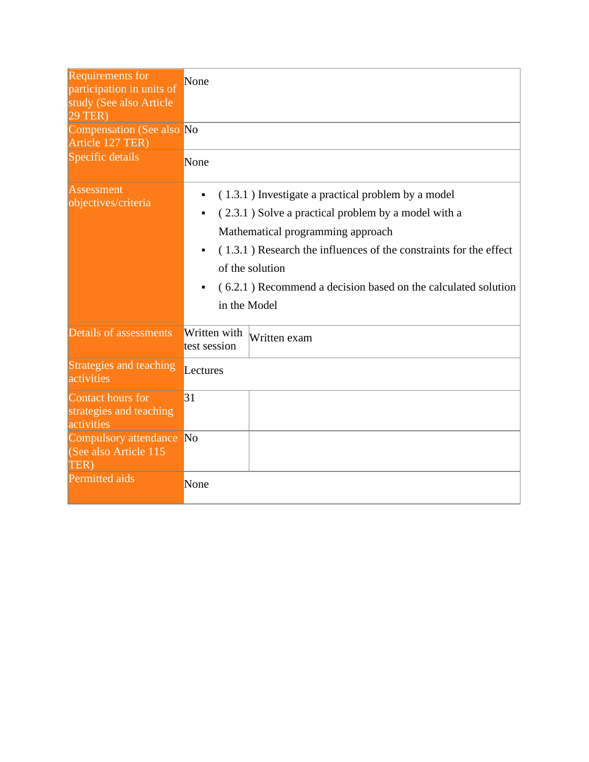| <b>Requirements for</b><br>participation in units of<br>study (See also Article<br><b>29 TER)</b> | None                                                                                                                                                                                                                                                                                                                                                                      |
|---------------------------------------------------------------------------------------------------|---------------------------------------------------------------------------------------------------------------------------------------------------------------------------------------------------------------------------------------------------------------------------------------------------------------------------------------------------------------------------|
| Compensation (See also No<br>Article 127 TER)<br>Specific details                                 | None                                                                                                                                                                                                                                                                                                                                                                      |
| <b>Assessment</b><br>objectives/criteria                                                          | (1.3.1) Investigate a practical problem by a model<br>٠<br>(2.3.1) Solve a practical problem by a model with a<br>٠<br>Mathematical programming approach<br>$(1.3.1)$ Research the influences of the constraints for the effect<br>$\blacksquare$<br>of the solution<br>$(6.2.1)$ Recommend a decision based on the calculated solution<br>$\blacksquare$<br>in the Model |
| Details of assessments                                                                            | Written with<br>Written exam<br>test session                                                                                                                                                                                                                                                                                                                              |
| Strategies and teaching<br>activities                                                             | Lectures                                                                                                                                                                                                                                                                                                                                                                  |
| Contact hours for<br>strategies and teaching<br>activities                                        | 31                                                                                                                                                                                                                                                                                                                                                                        |
| Compulsory attendance<br>(See also Article 115<br><b>TER</b>                                      | No                                                                                                                                                                                                                                                                                                                                                                        |
| <b>Permitted aids</b>                                                                             | None                                                                                                                                                                                                                                                                                                                                                                      |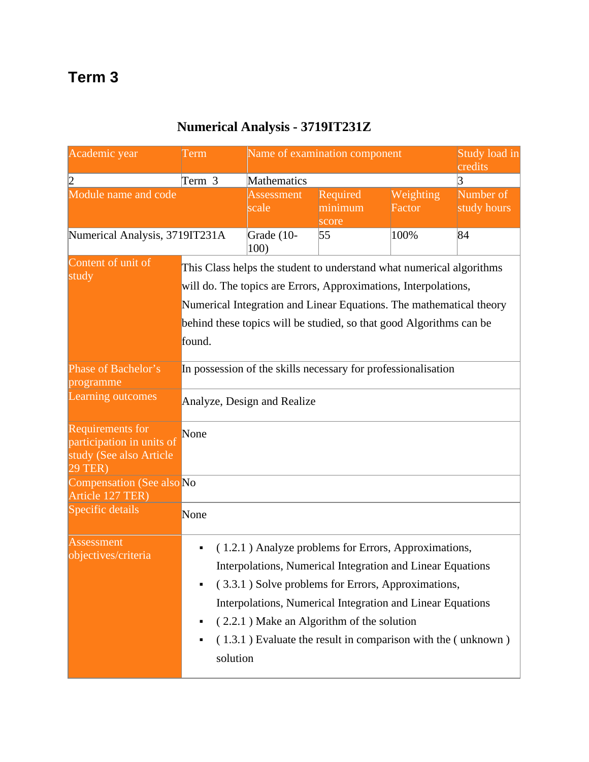## **Term 3**

## **Numerical Analysis - 3719IT231Z**

| Academic year                                                                                     | Term                                                                                                                                                                                                                                                                                            | Name of examination component                                                                                                                                                                                                                                                                                                                       |                              |                     | Study load in<br>credits |
|---------------------------------------------------------------------------------------------------|-------------------------------------------------------------------------------------------------------------------------------------------------------------------------------------------------------------------------------------------------------------------------------------------------|-----------------------------------------------------------------------------------------------------------------------------------------------------------------------------------------------------------------------------------------------------------------------------------------------------------------------------------------------------|------------------------------|---------------------|--------------------------|
| $ 2\rangle$                                                                                       | Term 3                                                                                                                                                                                                                                                                                          | Mathematics                                                                                                                                                                                                                                                                                                                                         |                              |                     | $\vert 3 \vert$          |
| Module name and code                                                                              |                                                                                                                                                                                                                                                                                                 | <b>Assessment</b><br>scale                                                                                                                                                                                                                                                                                                                          | Required<br>minimum<br>score | Weighting<br>Factor | Number of<br>study hours |
| Numerical Analysis, 3719IT231A                                                                    |                                                                                                                                                                                                                                                                                                 | Grade (10-<br>100)                                                                                                                                                                                                                                                                                                                                  | 55                           | 100%                | 84                       |
| Content of unit of<br>study                                                                       | This Class helps the student to understand what numerical algorithms<br>will do. The topics are Errors, Approximations, Interpolations,<br>Numerical Integration and Linear Equations. The mathematical theory<br>behind these topics will be studied, so that good Algorithms can be<br>found. |                                                                                                                                                                                                                                                                                                                                                     |                              |                     |                          |
| Phase of Bachelor's<br>programme                                                                  | In possession of the skills necessary for professionalisation                                                                                                                                                                                                                                   |                                                                                                                                                                                                                                                                                                                                                     |                              |                     |                          |
| <b>Learning outcomes</b>                                                                          | Analyze, Design and Realize                                                                                                                                                                                                                                                                     |                                                                                                                                                                                                                                                                                                                                                     |                              |                     |                          |
| <b>Requirements for</b><br>participation in units of<br>study (See also Article<br><b>29 TER)</b> | None                                                                                                                                                                                                                                                                                            |                                                                                                                                                                                                                                                                                                                                                     |                              |                     |                          |
| Compensation (See also No<br>Article 127 TER)                                                     |                                                                                                                                                                                                                                                                                                 |                                                                                                                                                                                                                                                                                                                                                     |                              |                     |                          |
| Specific details                                                                                  | None                                                                                                                                                                                                                                                                                            |                                                                                                                                                                                                                                                                                                                                                     |                              |                     |                          |
| Assessment<br>objectives/criteria                                                                 | solution                                                                                                                                                                                                                                                                                        | (1.2.1) Analyze problems for Errors, Approximations,<br>Interpolations, Numerical Integration and Linear Equations<br>(3.3.1) Solve problems for Errors, Approximations,<br>Interpolations, Numerical Integration and Linear Equations<br>(2.2.1) Make an Algorithm of the solution<br>(1.3.1) Evaluate the result in comparison with the (unknown) |                              |                     |                          |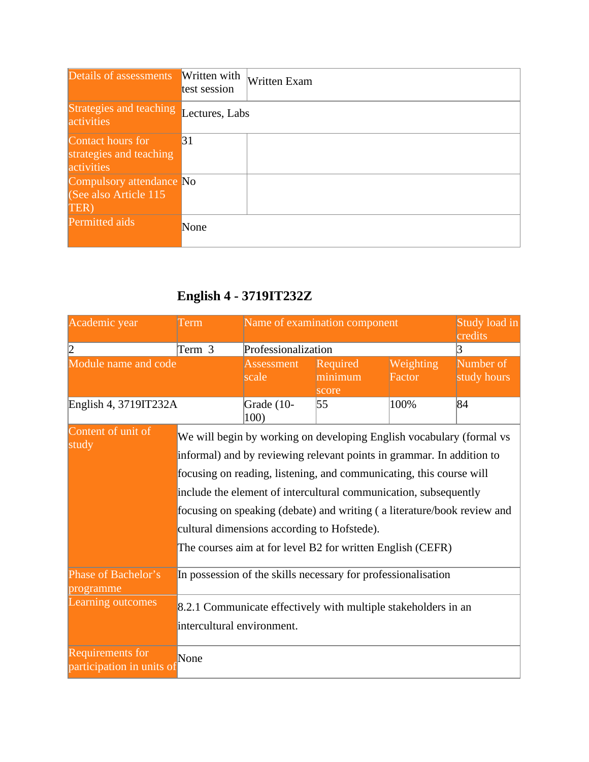| Details of assessments                                     | Written with<br>test session | Written Exam |
|------------------------------------------------------------|------------------------------|--------------|
| Strategies and teaching Lectures, Labs<br>activities       |                              |              |
| Contact hours for<br>strategies and teaching<br>activities | 31                           |              |
| Compulsory attendance No<br>(See also Article 115<br>TER)  |                              |              |
| Permitted aids                                             | None                         |              |

## **English 4 - 3719IT232Z**

| Academic year                                 | Term                                                                                         | Name of examination component                                                                                                                                                                                                                                                                                                                                                                                                                                                    |                              |                     | Study load in<br>credits |
|-----------------------------------------------|----------------------------------------------------------------------------------------------|----------------------------------------------------------------------------------------------------------------------------------------------------------------------------------------------------------------------------------------------------------------------------------------------------------------------------------------------------------------------------------------------------------------------------------------------------------------------------------|------------------------------|---------------------|--------------------------|
| $ 2\rangle$                                   | Term 3                                                                                       | Professionalization                                                                                                                                                                                                                                                                                                                                                                                                                                                              |                              |                     | 3                        |
| Module name and code                          |                                                                                              | <b>Assessment</b><br>scale                                                                                                                                                                                                                                                                                                                                                                                                                                                       | Required<br>minimum<br>score | Weighting<br>Factor | Number of<br>study hours |
| English 4, 3719IT232A                         |                                                                                              | Grade (10-<br>100)                                                                                                                                                                                                                                                                                                                                                                                                                                                               | 55                           | 100%                | 84                       |
| Content of unit of<br>study                   |                                                                                              | We will begin by working on developing English vocabulary (formal vs<br>informal) and by reviewing relevant points in grammar. In addition to<br>focusing on reading, listening, and communicating, this course will<br>include the element of intercultural communication, subsequently<br>focusing on speaking (debate) and writing (a literature/book review and<br>cultural dimensions according to Hofstede).<br>The courses aim at for level B2 for written English (CEFR) |                              |                     |                          |
| Phase of Bachelor's<br>programme              | In possession of the skills necessary for professionalisation                                |                                                                                                                                                                                                                                                                                                                                                                                                                                                                                  |                              |                     |                          |
| Learning outcomes                             | 8.2.1 Communicate effectively with multiple stakeholders in an<br>intercultural environment. |                                                                                                                                                                                                                                                                                                                                                                                                                                                                                  |                              |                     |                          |
| Requirements for<br>participation in units of | None                                                                                         |                                                                                                                                                                                                                                                                                                                                                                                                                                                                                  |                              |                     |                          |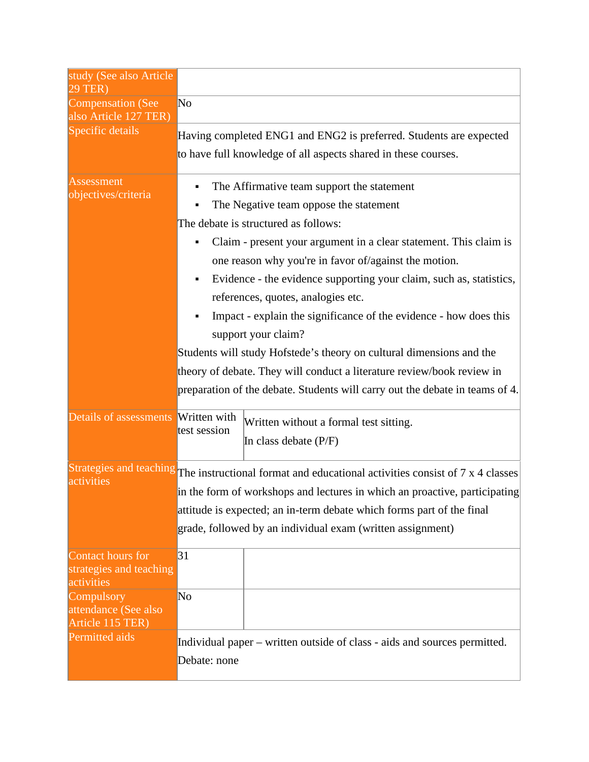| study (See also Article<br>29 TER)                         |                                                                              |                                                                                                      |  |  |
|------------------------------------------------------------|------------------------------------------------------------------------------|------------------------------------------------------------------------------------------------------|--|--|
| <b>Compensation (See</b><br>also Article 127 TER)          | N <sub>o</sub>                                                               |                                                                                                      |  |  |
| Specific details                                           |                                                                              | Having completed ENG1 and ENG2 is preferred. Students are expected                                   |  |  |
|                                                            |                                                                              | to have full knowledge of all aspects shared in these courses.                                       |  |  |
| Assessment<br>objectives/criteria                          | The Affirmative team support the statement                                   |                                                                                                      |  |  |
|                                                            |                                                                              | The Negative team oppose the statement                                                               |  |  |
|                                                            |                                                                              | The debate is structured as follows:                                                                 |  |  |
|                                                            |                                                                              | Claim - present your argument in a clear statement. This claim is                                    |  |  |
|                                                            |                                                                              | one reason why you're in favor of/against the motion.                                                |  |  |
|                                                            | ٠                                                                            | Evidence - the evidence supporting your claim, such as, statistics,                                  |  |  |
|                                                            | references, quotes, analogies etc.                                           |                                                                                                      |  |  |
|                                                            | Impact - explain the significance of the evidence - how does this            |                                                                                                      |  |  |
|                                                            | support your claim?                                                          |                                                                                                      |  |  |
|                                                            | Students will study Hofstede's theory on cultural dimensions and the         |                                                                                                      |  |  |
|                                                            | theory of debate. They will conduct a literature review/book review in       |                                                                                                      |  |  |
|                                                            | preparation of the debate. Students will carry out the debate in teams of 4. |                                                                                                      |  |  |
| Details of assessments                                     | <b>Written</b> with<br>test session                                          | Written without a formal test sitting.<br>In class debate $(P/F)$                                    |  |  |
| activities                                                 |                                                                              | Strategies and teaching The instructional format and educational activities consist of 7 x 4 classes |  |  |
|                                                            | in the form of workshops and lectures in which an proactive, participating   |                                                                                                      |  |  |
|                                                            |                                                                              | attitude is expected; an in-term debate which forms part of the final                                |  |  |
|                                                            | grade, followed by an individual exam (written assignment)                   |                                                                                                      |  |  |
| Contact hours for<br>strategies and teaching<br>activities | 31                                                                           |                                                                                                      |  |  |
| Compulsory<br>attendance (See also<br>Article 115 TER)     | No                                                                           |                                                                                                      |  |  |
| Permitted aids                                             |                                                                              | Individual paper – written outside of class - aids and sources permitted.                            |  |  |
|                                                            | Debate: none                                                                 |                                                                                                      |  |  |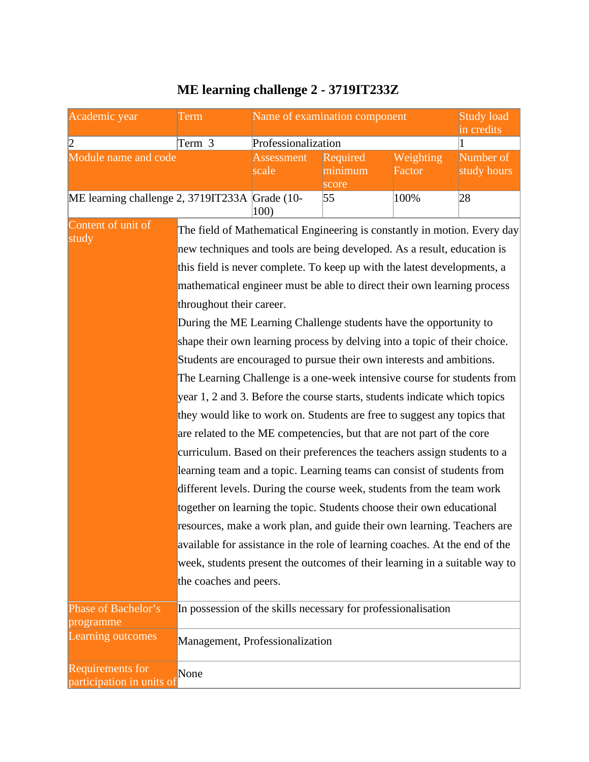| Academic year                                        | Term                                                                        | Name of examination component |                              |                                                                       | <b>Study load</b><br>in credits |  |
|------------------------------------------------------|-----------------------------------------------------------------------------|-------------------------------|------------------------------|-----------------------------------------------------------------------|---------------------------------|--|
| $ 2\rangle$                                          | Term 3                                                                      | Professionalization           |                              |                                                                       |                                 |  |
| Module name and code                                 |                                                                             | Assessment<br>scale           | Required<br>minimum<br>score | Weighting<br>Factor                                                   | Number of<br>study hours        |  |
| ME learning challenge 2, 3719IT233A Grade (10-       |                                                                             | 100)                          | 55                           | 100%                                                                  | 28                              |  |
| Content of unit of<br>study                          | The field of Mathematical Engineering is constantly in motion. Every day    |                               |                              |                                                                       |                                 |  |
|                                                      | new techniques and tools are being developed. As a result, education is     |                               |                              |                                                                       |                                 |  |
|                                                      | this field is never complete. To keep up with the latest developments, a    |                               |                              |                                                                       |                                 |  |
|                                                      | mathematical engineer must be able to direct their own learning process     |                               |                              |                                                                       |                                 |  |
|                                                      | throughout their career.                                                    |                               |                              |                                                                       |                                 |  |
|                                                      | During the ME Learning Challenge students have the opportunity to           |                               |                              |                                                                       |                                 |  |
|                                                      | shape their own learning process by delving into a topic of their choice.   |                               |                              |                                                                       |                                 |  |
|                                                      | Students are encouraged to pursue their own interests and ambitions.        |                               |                              |                                                                       |                                 |  |
|                                                      | The Learning Challenge is a one-week intensive course for students from     |                               |                              |                                                                       |                                 |  |
|                                                      | year 1, 2 and 3. Before the course starts, students indicate which topics   |                               |                              |                                                                       |                                 |  |
|                                                      | they would like to work on. Students are free to suggest any topics that    |                               |                              |                                                                       |                                 |  |
|                                                      | are related to the ME competencies, but that are not part of the core       |                               |                              |                                                                       |                                 |  |
|                                                      | curriculum. Based on their preferences the teachers assign students to a    |                               |                              |                                                                       |                                 |  |
|                                                      | learning team and a topic. Learning teams can consist of students from      |                               |                              |                                                                       |                                 |  |
|                                                      | different levels. During the course week, students from the team work       |                               |                              |                                                                       |                                 |  |
|                                                      |                                                                             |                               |                              | together on learning the topic. Students choose their own educational |                                 |  |
|                                                      | resources, make a work plan, and guide their own learning. Teachers are     |                               |                              |                                                                       |                                 |  |
|                                                      | available for assistance in the role of learning coaches. At the end of the |                               |                              |                                                                       |                                 |  |
|                                                      | week, students present the outcomes of their learning in a suitable way to  |                               |                              |                                                                       |                                 |  |
|                                                      | the coaches and peers.                                                      |                               |                              |                                                                       |                                 |  |
| Phase of Bachelor's<br>programme                     | In possession of the skills necessary for professionalisation               |                               |                              |                                                                       |                                 |  |
| <b>Learning outcomes</b>                             | Management, Professionalization                                             |                               |                              |                                                                       |                                 |  |
| <b>Requirements for</b><br>participation in units of | None                                                                        |                               |                              |                                                                       |                                 |  |

## **ME learning challenge 2 - 3719IT233Z**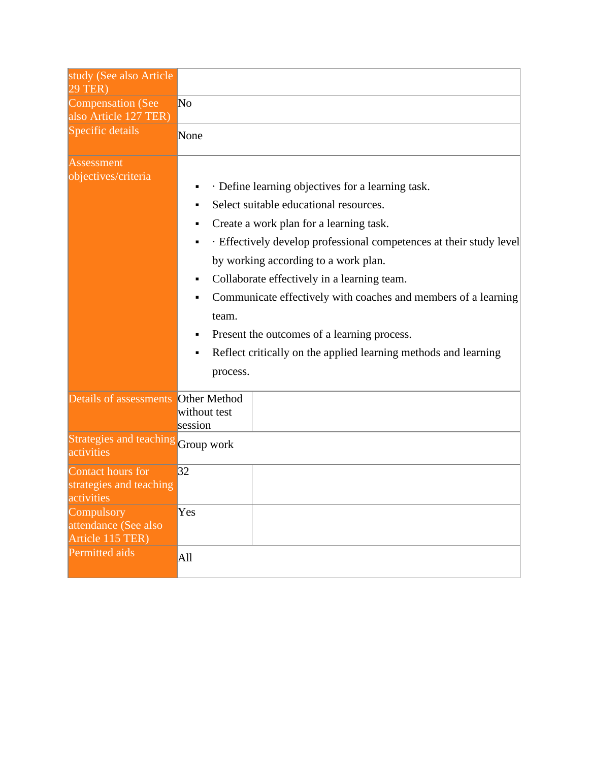| study (See also Article<br><b>29 TER)</b>                     |                                                                                                                                                                                                                                                                                                                                                                                                                                                                                                                                             |  |  |  |  |  |
|---------------------------------------------------------------|---------------------------------------------------------------------------------------------------------------------------------------------------------------------------------------------------------------------------------------------------------------------------------------------------------------------------------------------------------------------------------------------------------------------------------------------------------------------------------------------------------------------------------------------|--|--|--|--|--|
| Compensation (See<br>also Article 127 TER)                    | No                                                                                                                                                                                                                                                                                                                                                                                                                                                                                                                                          |  |  |  |  |  |
| Specific details                                              | None                                                                                                                                                                                                                                                                                                                                                                                                                                                                                                                                        |  |  |  |  |  |
| Assessment<br>objectives/criteria                             | · Define learning objectives for a learning task.<br>٠<br>Select suitable educational resources.<br>٠<br>Create a work plan for a learning task.<br>٠<br>· Effectively develop professional competences at their study level<br>٠<br>by working according to a work plan.<br>Collaborate effectively in a learning team.<br>٠<br>Communicate effectively with coaches and members of a learning<br>team.<br>Present the outcomes of a learning process.<br>٠<br>Reflect critically on the applied learning methods and learning<br>process. |  |  |  |  |  |
| Details of assessments                                        | Other Method<br>without test<br>session                                                                                                                                                                                                                                                                                                                                                                                                                                                                                                     |  |  |  |  |  |
| Strategies and teaching Group work<br>activities              |                                                                                                                                                                                                                                                                                                                                                                                                                                                                                                                                             |  |  |  |  |  |
| Contact hours for<br>strategies and teaching<br>activities    | 32                                                                                                                                                                                                                                                                                                                                                                                                                                                                                                                                          |  |  |  |  |  |
| <b>Compulsory</b><br>attendance (See also<br>Article 115 TER) | Yes                                                                                                                                                                                                                                                                                                                                                                                                                                                                                                                                         |  |  |  |  |  |
| Permitted aids                                                | All                                                                                                                                                                                                                                                                                                                                                                                                                                                                                                                                         |  |  |  |  |  |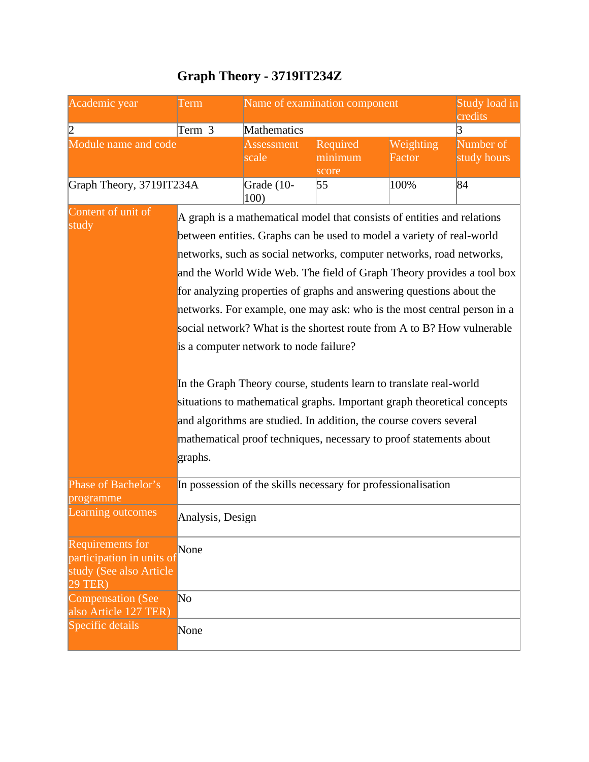| Academic year                                                                              | Term                                                                                                         | Name of examination component |                                                                         |                     | Study load in<br>credits |  |
|--------------------------------------------------------------------------------------------|--------------------------------------------------------------------------------------------------------------|-------------------------------|-------------------------------------------------------------------------|---------------------|--------------------------|--|
| $ 2\rangle$                                                                                | Term 3                                                                                                       | Mathematics                   |                                                                         |                     | 3                        |  |
| Module name and code                                                                       |                                                                                                              | <b>Assessment</b><br>scale    | Required<br>minimum<br>score                                            | Weighting<br>Factor | Number of<br>study hours |  |
| Graph Theory, 3719IT234A                                                                   |                                                                                                              | Grade (10-<br>100)            | 55                                                                      | 100%                | 84                       |  |
| Content of unit of                                                                         |                                                                                                              |                               | A graph is a mathematical model that consists of entities and relations |                     |                          |  |
| study                                                                                      |                                                                                                              |                               | between entities. Graphs can be used to model a variety of real-world   |                     |                          |  |
|                                                                                            |                                                                                                              |                               | networks, such as social networks, computer networks, road networks,    |                     |                          |  |
|                                                                                            |                                                                                                              |                               | and the World Wide Web. The field of Graph Theory provides a tool box   |                     |                          |  |
|                                                                                            |                                                                                                              |                               | for analyzing properties of graphs and answering questions about the    |                     |                          |  |
|                                                                                            |                                                                                                              |                               | networks. For example, one may ask: who is the most central person in a |                     |                          |  |
|                                                                                            |                                                                                                              |                               | social network? What is the shortest route from A to B? How vulnerable  |                     |                          |  |
|                                                                                            | is a computer network to node failure?<br>In the Graph Theory course, students learn to translate real-world |                               |                                                                         |                     |                          |  |
|                                                                                            |                                                                                                              |                               |                                                                         |                     |                          |  |
|                                                                                            | situations to mathematical graphs. Important graph theoretical concepts                                      |                               |                                                                         |                     |                          |  |
|                                                                                            | and algorithms are studied. In addition, the course covers several                                           |                               |                                                                         |                     |                          |  |
|                                                                                            | mathematical proof techniques, necessary to proof statements about                                           |                               |                                                                         |                     |                          |  |
|                                                                                            | graphs.                                                                                                      |                               |                                                                         |                     |                          |  |
| Phase of Bachelor's<br>programme                                                           | In possession of the skills necessary for professionalisation                                                |                               |                                                                         |                     |                          |  |
| Learning outcomes                                                                          | Analysis, Design                                                                                             |                               |                                                                         |                     |                          |  |
| Requirements for<br>participation in units of<br>study (See also Article<br><b>29 TER)</b> | None                                                                                                         |                               |                                                                         |                     |                          |  |
| <b>Compensation (See</b><br>also Article 127 TER)                                          | N <sub>o</sub>                                                                                               |                               |                                                                         |                     |                          |  |
| Specific details                                                                           | None                                                                                                         |                               |                                                                         |                     |                          |  |

## **Graph Theory - 3719IT234Z**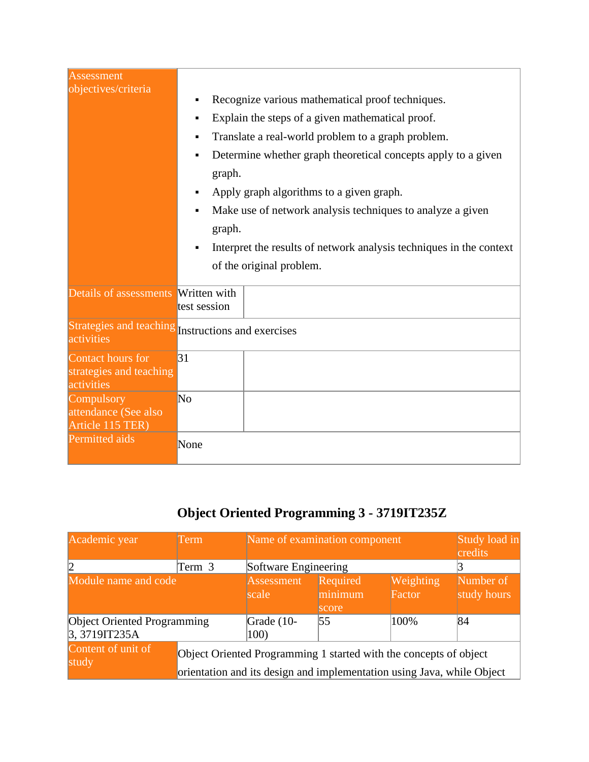| <b>Assessment</b><br>objectives/criteria                   | Recognize various mathematical proof techniques.<br>Explain the steps of a given mathematical proof.<br>٠<br>Translate a real-world problem to a graph problem.<br>٠<br>Determine whether graph theoretical concepts apply to a given<br>٠<br>graph.<br>Apply graph algorithms to a given graph.<br>Make use of network analysis techniques to analyze a given<br>graph.<br>Interpret the results of network analysis techniques in the context<br>of the original problem. |
|------------------------------------------------------------|-----------------------------------------------------------------------------------------------------------------------------------------------------------------------------------------------------------------------------------------------------------------------------------------------------------------------------------------------------------------------------------------------------------------------------------------------------------------------------|
| Details of assessments                                     | Written with<br>test session                                                                                                                                                                                                                                                                                                                                                                                                                                                |
| activities                                                 | Strategies and teaching Instructions and exercises                                                                                                                                                                                                                                                                                                                                                                                                                          |
| Contact hours for<br>strategies and teaching<br>activities | 31                                                                                                                                                                                                                                                                                                                                                                                                                                                                          |
| Compulsory<br>attendance (See also<br>Article 115 TER)     | No                                                                                                                                                                                                                                                                                                                                                                                                                                                                          |
| <b>Permitted aids</b>                                      | None                                                                                                                                                                                                                                                                                                                                                                                                                                                                        |

## **Object Oriented Programming 3 - 3719IT235Z**

| Academic year                                         | Term                                                                                                                                        | Name of examination component |                              |                     | Study load in<br>credits |
|-------------------------------------------------------|---------------------------------------------------------------------------------------------------------------------------------------------|-------------------------------|------------------------------|---------------------|--------------------------|
|                                                       | Term 3                                                                                                                                      | Software Engineering          |                              |                     |                          |
| Module name and code                                  |                                                                                                                                             | Assessment<br>scale           | Required<br>minimum<br>score | Weighting<br>Factor | Number of<br>study hours |
| <b>Object Oriented Programming</b><br>$3,3719$ IT235A |                                                                                                                                             | Grade $(10-$<br>100)          | 55                           | 100%                | 84                       |
| Content of unit of<br>study                           | Object Oriented Programming 1 started with the concepts of object<br>orientation and its design and implementation using Java, while Object |                               |                              |                     |                          |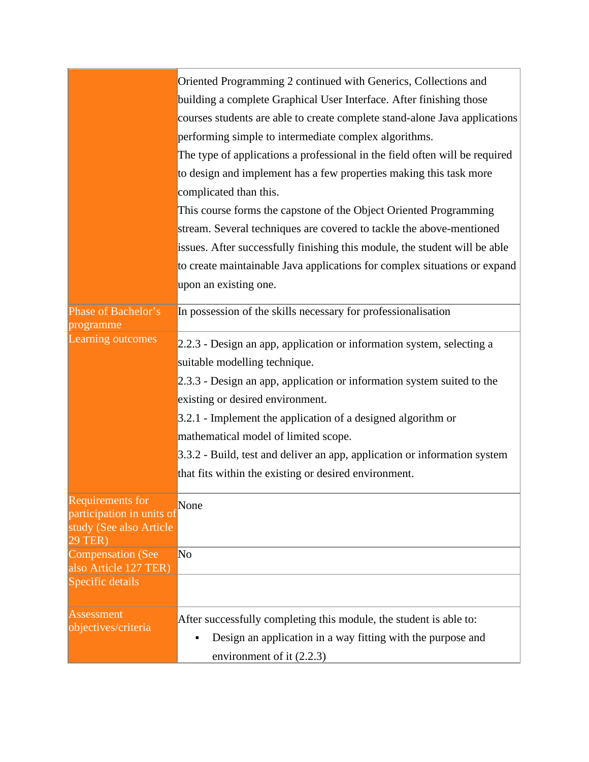|                                           | Oriented Programming 2 continued with Generics, Collections and             |
|-------------------------------------------|-----------------------------------------------------------------------------|
|                                           | building a complete Graphical User Interface. After finishing those         |
|                                           | courses students are able to create complete stand-alone Java applications  |
|                                           | performing simple to intermediate complex algorithms.                       |
|                                           | The type of applications a professional in the field often will be required |
|                                           | to design and implement has a few properties making this task more          |
|                                           | complicated than this.                                                      |
|                                           | This course forms the capstone of the Object Oriented Programming           |
|                                           | stream. Several techniques are covered to tackle the above-mentioned        |
|                                           | issues. After successfully finishing this module, the student will be able  |
|                                           | to create maintainable Java applications for complex situations or expand   |
|                                           | upon an existing one.                                                       |
| Phase of Bachelor's                       | In possession of the skills necessary for professionalisation               |
| programme                                 |                                                                             |
| Learning outcomes                         | 2.2.3 - Design an app, application or information system, selecting a       |
|                                           | suitable modelling technique.                                               |
|                                           | 2.3.3 - Design an app, application or information system suited to the      |
|                                           | existing or desired environment.                                            |
|                                           | 3.2.1 - Implement the application of a designed algorithm or                |
|                                           | mathematical model of limited scope.                                        |
|                                           | 3.3.2 - Build, test and deliver an app, application or information system   |
|                                           | that fits within the existing or desired environment.                       |
| Requirements for                          | None                                                                        |
| participation in units of                 |                                                                             |
| study (See also Article<br><b>29 TER)</b> |                                                                             |
| <b>Compensation (See</b>                  | No                                                                          |
| also Article 127 TER)<br>Specific details |                                                                             |
|                                           |                                                                             |
| Assessment                                | After successfully completing this module, the student is able to:          |
| objectives/criteria                       | Design an application in a way fitting with the purpose and                 |
|                                           | environment of it $(2.2.3)$                                                 |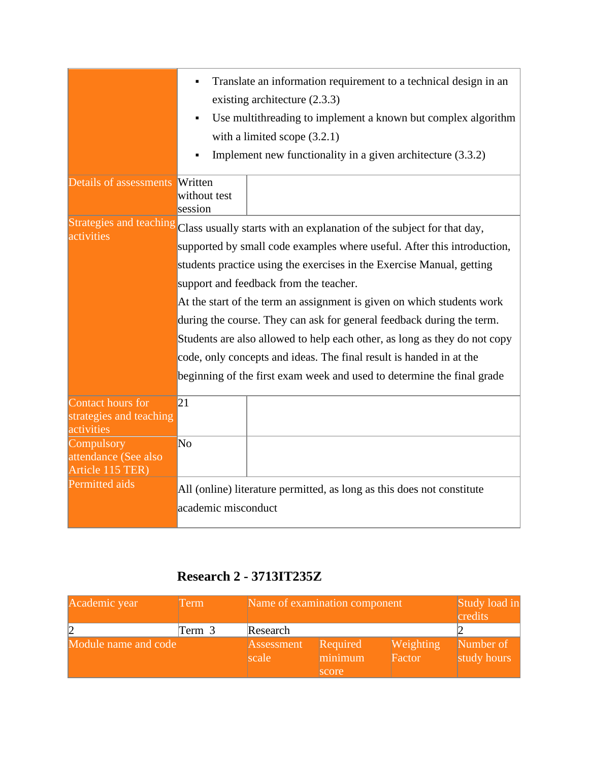|                                                                          | Translate an information requirement to a technical design in an<br>Ξ<br>existing architecture (2.3.3)<br>Use multithreading to implement a known but complex algorithm<br>Ξ<br>with a limited scope $(3.2.1)$<br>Implement new functionality in a given architecture $(3.3.2)$ |                                                                                                                                                                                                                                                                                                                                                                                                                                                                                                                                                                                                                                                                              |  |  |  |
|--------------------------------------------------------------------------|---------------------------------------------------------------------------------------------------------------------------------------------------------------------------------------------------------------------------------------------------------------------------------|------------------------------------------------------------------------------------------------------------------------------------------------------------------------------------------------------------------------------------------------------------------------------------------------------------------------------------------------------------------------------------------------------------------------------------------------------------------------------------------------------------------------------------------------------------------------------------------------------------------------------------------------------------------------------|--|--|--|
| Details of assessments                                                   | Written<br>without test<br>session                                                                                                                                                                                                                                              |                                                                                                                                                                                                                                                                                                                                                                                                                                                                                                                                                                                                                                                                              |  |  |  |
| activities                                                               |                                                                                                                                                                                                                                                                                 | Strategies and teaching Class usually starts with an explanation of the subject for that day,<br>supported by small code examples where useful. After this introduction,<br>students practice using the exercises in the Exercise Manual, getting<br>support and feedback from the teacher.<br>At the start of the term an assignment is given on which students work<br>during the course. They can ask for general feedback during the term.<br>Students are also allowed to help each other, as long as they do not copy<br>code, only concepts and ideas. The final result is handed in at the<br>beginning of the first exam week and used to determine the final grade |  |  |  |
| Contact hours for<br>strategies and teaching<br>activities               | 21                                                                                                                                                                                                                                                                              |                                                                                                                                                                                                                                                                                                                                                                                                                                                                                                                                                                                                                                                                              |  |  |  |
| Compulsory<br>attendance (See also<br>Article 115 TER)<br>Permitted aids | No                                                                                                                                                                                                                                                                              | All (online) literature permitted, as long as this does not constitute                                                                                                                                                                                                                                                                                                                                                                                                                                                                                                                                                                                                       |  |  |  |
|                                                                          | academic misconduct                                                                                                                                                                                                                                                             |                                                                                                                                                                                                                                                                                                                                                                                                                                                                                                                                                                                                                                                                              |  |  |  |

#### **Research 2 - 3713IT235Z**

| Academic year        | Term   | Name of examination component |                              |                     | Study load in<br>credits |
|----------------------|--------|-------------------------------|------------------------------|---------------------|--------------------------|
|                      | Term 3 | Research                      |                              |                     |                          |
| Module name and code |        | Assessment<br>scale           | Required<br>minimum<br>score | Weighting<br>Factor | Number of<br>study hours |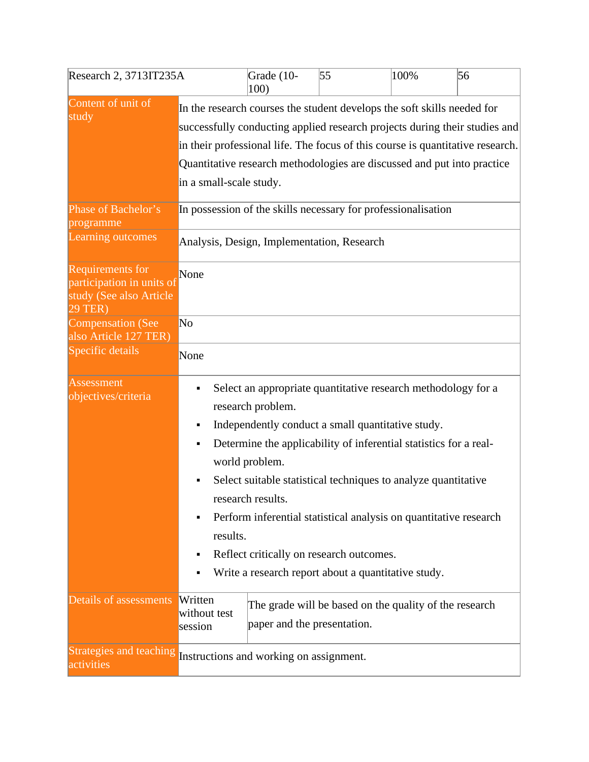| Research 2, 3713IT235A                                                              |                                    | Grade (10-<br>100)                                       | 55                                                                                                                                                                                                                                                                                                                                                                                                                                | 100% | 56 |
|-------------------------------------------------------------------------------------|------------------------------------|----------------------------------------------------------|-----------------------------------------------------------------------------------------------------------------------------------------------------------------------------------------------------------------------------------------------------------------------------------------------------------------------------------------------------------------------------------------------------------------------------------|------|----|
| Content of unit of<br>study                                                         | in a small-scale study.            |                                                          | In the research courses the student develops the soft skills needed for<br>successfully conducting applied research projects during their studies and<br>in their professional life. The focus of this course is quantitative research.<br>Quantitative research methodologies are discussed and put into practice                                                                                                                |      |    |
| Phase of Bachelor's<br>programme<br>Learning outcomes                               |                                    |                                                          | In possession of the skills necessary for professionalisation                                                                                                                                                                                                                                                                                                                                                                     |      |    |
|                                                                                     |                                    | Analysis, Design, Implementation, Research               |                                                                                                                                                                                                                                                                                                                                                                                                                                   |      |    |
| Requirements for<br>participation in units of<br>study (See also Article<br>29 TER) | None                               |                                                          |                                                                                                                                                                                                                                                                                                                                                                                                                                   |      |    |
| <b>Compensation (See</b><br>also Article 127 TER)                                   | No                                 |                                                          |                                                                                                                                                                                                                                                                                                                                                                                                                                   |      |    |
| Specific details                                                                    | None                               |                                                          |                                                                                                                                                                                                                                                                                                                                                                                                                                   |      |    |
| Assessment<br>objectives/criteria                                                   | results.                           | research problem.<br>world problem.<br>research results. | Select an appropriate quantitative research methodology for a<br>Independently conduct a small quantitative study.<br>Determine the applicability of inferential statistics for a real-<br>Select suitable statistical techniques to analyze quantitative<br>Perform inferential statistical analysis on quantitative research<br>Reflect critically on research outcomes.<br>Write a research report about a quantitative study. |      |    |
| Details of assessments                                                              | Written<br>without test<br>session | paper and the presentation.                              | The grade will be based on the quality of the research                                                                                                                                                                                                                                                                                                                                                                            |      |    |
| <b>Strategies and teaching</b><br>activities                                        |                                    | Instructions and working on assignment.                  |                                                                                                                                                                                                                                                                                                                                                                                                                                   |      |    |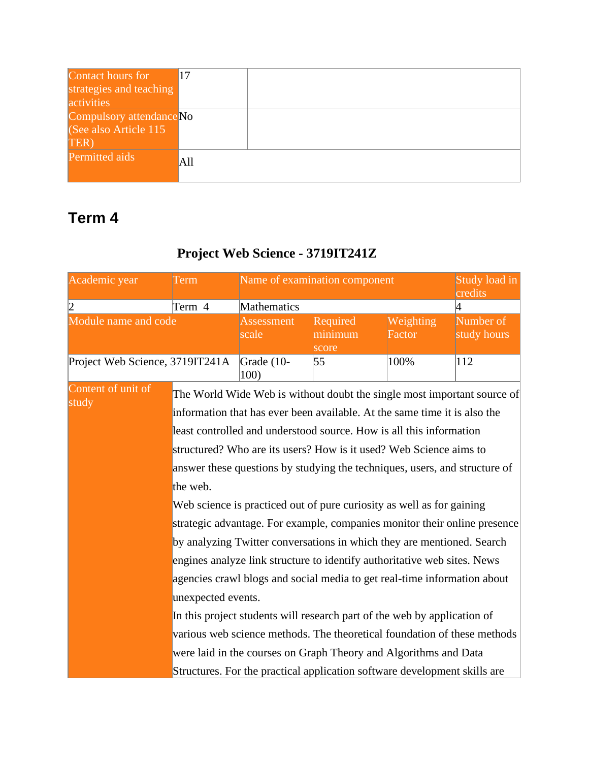| Contact hours for        |     |  |
|--------------------------|-----|--|
| strategies and teaching  |     |  |
| activities               |     |  |
| Compulsory attendance No |     |  |
| (See also Article 115    |     |  |
| TER)                     |     |  |
| <b>Permitted aids</b>    | A11 |  |
|                          |     |  |

## **Term 4**

## **Project Web Science - 3719IT241Z**

| Academic year                   | Term                                                                       | Name of examination component                                             |                              |                     | Study load in<br>credits |  |
|---------------------------------|----------------------------------------------------------------------------|---------------------------------------------------------------------------|------------------------------|---------------------|--------------------------|--|
| $ 2\rangle$                     | Term 4                                                                     | Mathematics                                                               |                              |                     | 4                        |  |
| Module name and code            |                                                                            | <b>Assessment</b><br>scale                                                | Required<br>minimum<br>score | Weighting<br>Factor | Number of<br>study hours |  |
| Project Web Science, 3719IT241A |                                                                            | Grade (10-<br>100)                                                        | 55                           | 100%                | 112                      |  |
| Content of unit of<br>study     |                                                                            | The World Wide Web is without doubt the single most important source of   |                              |                     |                          |  |
|                                 |                                                                            | information that has ever been available. At the same time it is also the |                              |                     |                          |  |
|                                 |                                                                            | least controlled and understood source. How is all this information       |                              |                     |                          |  |
|                                 |                                                                            | structured? Who are its users? How is it used? Web Science aims to        |                              |                     |                          |  |
|                                 | answer these questions by studying the techniques, users, and structure of |                                                                           |                              |                     |                          |  |
|                                 | the web.                                                                   |                                                                           |                              |                     |                          |  |
|                                 | Web science is practiced out of pure curiosity as well as for gaining      |                                                                           |                              |                     |                          |  |
|                                 | strategic advantage. For example, companies monitor their online presence  |                                                                           |                              |                     |                          |  |
|                                 | by analyzing Twitter conversations in which they are mentioned. Search     |                                                                           |                              |                     |                          |  |
|                                 | engines analyze link structure to identify authoritative web sites. News   |                                                                           |                              |                     |                          |  |
|                                 | agencies crawl blogs and social media to get real-time information about   |                                                                           |                              |                     |                          |  |
|                                 | unexpected events.                                                         |                                                                           |                              |                     |                          |  |
|                                 | In this project students will research part of the web by application of   |                                                                           |                              |                     |                          |  |
|                                 | various web science methods. The theoretical foundation of these methods   |                                                                           |                              |                     |                          |  |
|                                 | were laid in the courses on Graph Theory and Algorithms and Data           |                                                                           |                              |                     |                          |  |
|                                 | Structures. For the practical application software development skills are  |                                                                           |                              |                     |                          |  |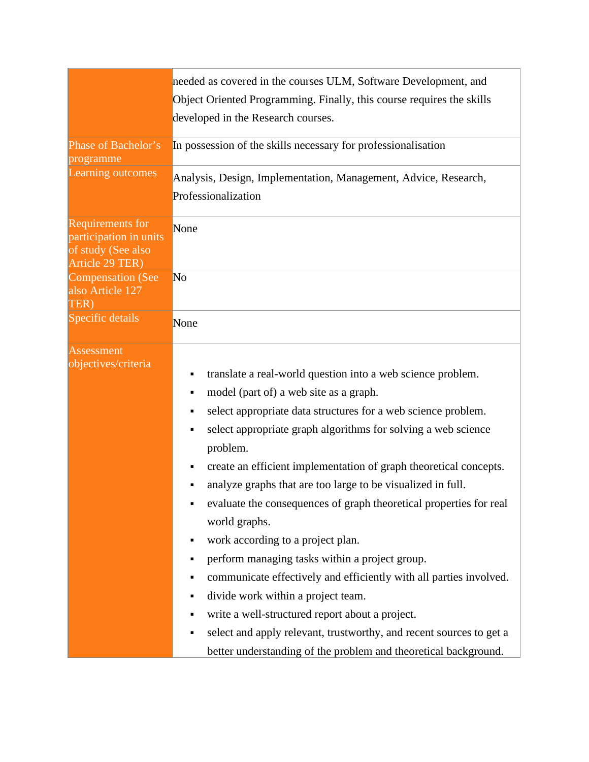|                                                                                            | needed as covered in the courses ULM, Software Development, and                                                                                                                                                                                                                                                                                                                                                                                                                                                                                                                                                                                                                                                                                                                                                                                                                                                                       |  |  |  |
|--------------------------------------------------------------------------------------------|---------------------------------------------------------------------------------------------------------------------------------------------------------------------------------------------------------------------------------------------------------------------------------------------------------------------------------------------------------------------------------------------------------------------------------------------------------------------------------------------------------------------------------------------------------------------------------------------------------------------------------------------------------------------------------------------------------------------------------------------------------------------------------------------------------------------------------------------------------------------------------------------------------------------------------------|--|--|--|
|                                                                                            | Object Oriented Programming. Finally, this course requires the skills                                                                                                                                                                                                                                                                                                                                                                                                                                                                                                                                                                                                                                                                                                                                                                                                                                                                 |  |  |  |
|                                                                                            | developed in the Research courses.                                                                                                                                                                                                                                                                                                                                                                                                                                                                                                                                                                                                                                                                                                                                                                                                                                                                                                    |  |  |  |
| Phase of Bachelor's<br>programme                                                           | In possession of the skills necessary for professionalisation                                                                                                                                                                                                                                                                                                                                                                                                                                                                                                                                                                                                                                                                                                                                                                                                                                                                         |  |  |  |
| Learning outcomes                                                                          | Analysis, Design, Implementation, Management, Advice, Research,<br>Professionalization                                                                                                                                                                                                                                                                                                                                                                                                                                                                                                                                                                                                                                                                                                                                                                                                                                                |  |  |  |
| <b>Requirements for</b><br>participation in units<br>of study (See also<br>Article 29 TER) | None                                                                                                                                                                                                                                                                                                                                                                                                                                                                                                                                                                                                                                                                                                                                                                                                                                                                                                                                  |  |  |  |
| <b>Compensation (See</b><br>also Article 127<br>TER)                                       | No                                                                                                                                                                                                                                                                                                                                                                                                                                                                                                                                                                                                                                                                                                                                                                                                                                                                                                                                    |  |  |  |
| Specific details                                                                           | None                                                                                                                                                                                                                                                                                                                                                                                                                                                                                                                                                                                                                                                                                                                                                                                                                                                                                                                                  |  |  |  |
| Assessment<br>objectives/criteria                                                          | translate a real-world question into a web science problem.<br>٠<br>model (part of) a web site as a graph.<br>٠<br>select appropriate data structures for a web science problem.<br>٠<br>select appropriate graph algorithms for solving a web science<br>٠<br>problem.<br>create an efficient implementation of graph theoretical concepts.<br>analyze graphs that are too large to be visualized in full.<br>evaluate the consequences of graph theoretical properties for real<br>٠<br>world graphs.<br>work according to a project plan.<br>٠<br>perform managing tasks within a project group.<br>٠<br>communicate effectively and efficiently with all parties involved.<br>٠<br>divide work within a project team.<br>٠<br>write a well-structured report about a project.<br>٠<br>select and apply relevant, trustworthy, and recent sources to get a<br>٠<br>better understanding of the problem and theoretical background. |  |  |  |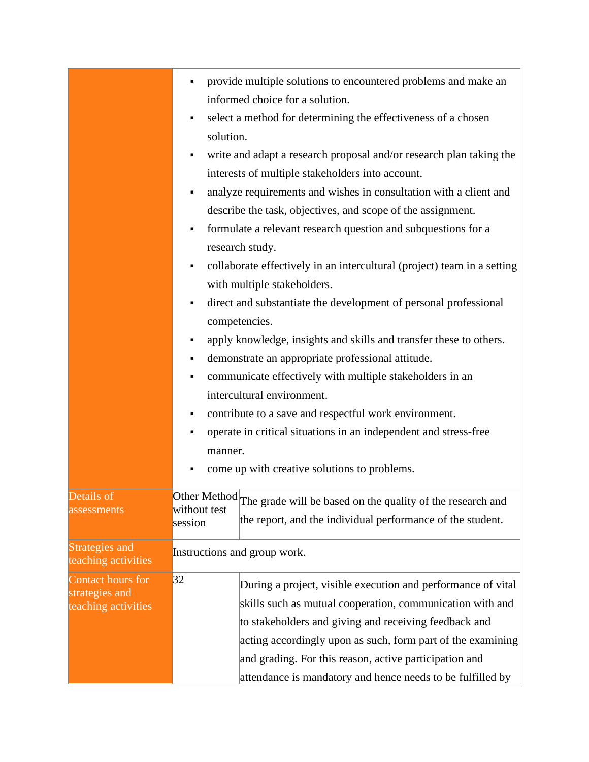|                                                            | provide multiple solutions to encountered problems and make an<br>٠<br>informed choice for a solution.<br>select a method for determining the effectiveness of a chosen<br>٠<br>solution.<br>write and adapt a research proposal and/or research plan taking the<br>interests of multiple stakeholders into account.<br>analyze requirements and wishes in consultation with a client and<br>٠<br>describe the task, objectives, and scope of the assignment.<br>formulate a relevant research question and subquestions for a<br>$\blacksquare$<br>research study.<br>collaborate effectively in an intercultural (project) team in a setting<br>٠<br>with multiple stakeholders.<br>direct and substantiate the development of personal professional<br>٠<br>competencies.<br>apply knowledge, insights and skills and transfer these to others.<br>demonstrate an appropriate professional attitude.<br>٠ |
|------------------------------------------------------------|--------------------------------------------------------------------------------------------------------------------------------------------------------------------------------------------------------------------------------------------------------------------------------------------------------------------------------------------------------------------------------------------------------------------------------------------------------------------------------------------------------------------------------------------------------------------------------------------------------------------------------------------------------------------------------------------------------------------------------------------------------------------------------------------------------------------------------------------------------------------------------------------------------------|
|                                                            | communicate effectively with multiple stakeholders in an<br>٠                                                                                                                                                                                                                                                                                                                                                                                                                                                                                                                                                                                                                                                                                                                                                                                                                                                |
|                                                            | intercultural environment.                                                                                                                                                                                                                                                                                                                                                                                                                                                                                                                                                                                                                                                                                                                                                                                                                                                                                   |
|                                                            | contribute to a save and respectful work environment.<br>٠                                                                                                                                                                                                                                                                                                                                                                                                                                                                                                                                                                                                                                                                                                                                                                                                                                                   |
|                                                            | operate in critical situations in an independent and stress-free<br>٠<br>manner.                                                                                                                                                                                                                                                                                                                                                                                                                                                                                                                                                                                                                                                                                                                                                                                                                             |
|                                                            | come up with creative solutions to problems.<br>٠                                                                                                                                                                                                                                                                                                                                                                                                                                                                                                                                                                                                                                                                                                                                                                                                                                                            |
| Details of<br>assessments                                  | Other Method The grade will be based on the quality of the research and<br>without test<br>the report, and the individual performance of the student.<br>session                                                                                                                                                                                                                                                                                                                                                                                                                                                                                                                                                                                                                                                                                                                                             |
| Strategies and<br>teaching activities                      | Instructions and group work.                                                                                                                                                                                                                                                                                                                                                                                                                                                                                                                                                                                                                                                                                                                                                                                                                                                                                 |
| Contact hours for<br>strategies and<br>teaching activities | 32<br>During a project, visible execution and performance of vital<br>skills such as mutual cooperation, communication with and<br>to stakeholders and giving and receiving feedback and                                                                                                                                                                                                                                                                                                                                                                                                                                                                                                                                                                                                                                                                                                                     |
|                                                            | acting accordingly upon as such, form part of the examining<br>and grading. For this reason, active participation and<br>attendance is mandatory and hence needs to be fulfilled by                                                                                                                                                                                                                                                                                                                                                                                                                                                                                                                                                                                                                                                                                                                          |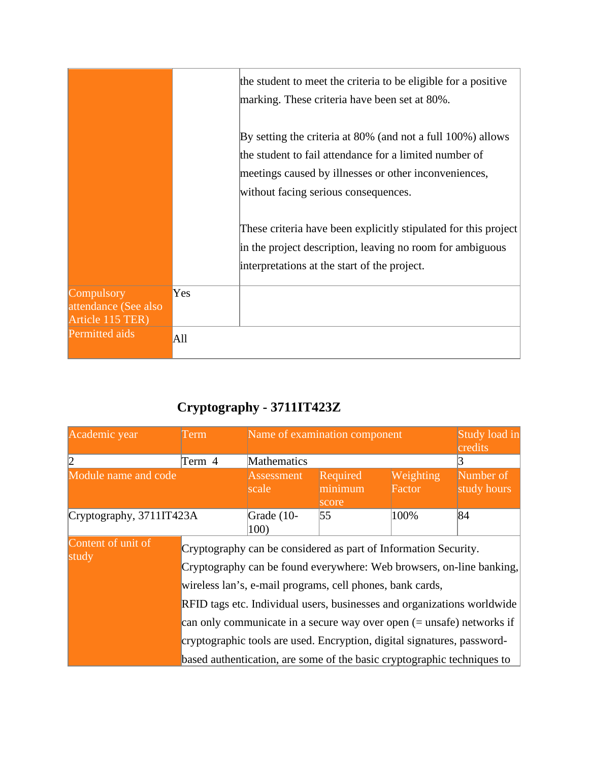|                                                        |     | the student to meet the criteria to be eligible for a positive<br>marking. These criteria have been set at 80%.                                                                                                            |
|--------------------------------------------------------|-----|----------------------------------------------------------------------------------------------------------------------------------------------------------------------------------------------------------------------------|
|                                                        |     | By setting the criteria at 80% (and not a full $100\%$ ) allows<br>the student to fail attendance for a limited number of<br>meetings caused by illnesses or other inconveniences,<br>without facing serious consequences. |
|                                                        |     | These criteria have been explicitly stipulated for this project<br>in the project description, leaving no room for ambiguous<br>interpretations at the start of the project.                                               |
| Compulsory<br>attendance (See also<br>Article 115 TER) | Yes |                                                                                                                                                                                                                            |
| Permitted aids                                         | All |                                                                                                                                                                                                                            |

## **Cryptography - 3711IT423Z**

| Academic year               | Term                                                                                                                                                                                                                                                                                                                                                                                                                                                                                                             | Name of examination component |                              |                     | Study load in<br>credits |
|-----------------------------|------------------------------------------------------------------------------------------------------------------------------------------------------------------------------------------------------------------------------------------------------------------------------------------------------------------------------------------------------------------------------------------------------------------------------------------------------------------------------------------------------------------|-------------------------------|------------------------------|---------------------|--------------------------|
| 12                          | Term 4                                                                                                                                                                                                                                                                                                                                                                                                                                                                                                           | <b>Mathematics</b>            |                              |                     |                          |
| Module name and code        |                                                                                                                                                                                                                                                                                                                                                                                                                                                                                                                  | <b>Assessment</b><br>scale    | Required<br>minimum<br>score | Weighting<br>Factor | Number of<br>study hours |
| Cryptography, 3711IT423A    |                                                                                                                                                                                                                                                                                                                                                                                                                                                                                                                  | Grade (10-<br>100)            | 55                           | 100%                | 84                       |
| Content of unit of<br>study | Cryptography can be considered as part of Information Security.<br>Cryptography can be found everywhere: Web browsers, on-line banking,<br>wireless lan's, e-mail programs, cell phones, bank cards,<br>RFID tags etc. Individual users, businesses and organizations worldwide<br>can only communicate in a secure way over open $(=$ unsafe) networks if<br>cryptographic tools are used. Encryption, digital signatures, password-<br>based authentication, are some of the basic cryptographic techniques to |                               |                              |                     |                          |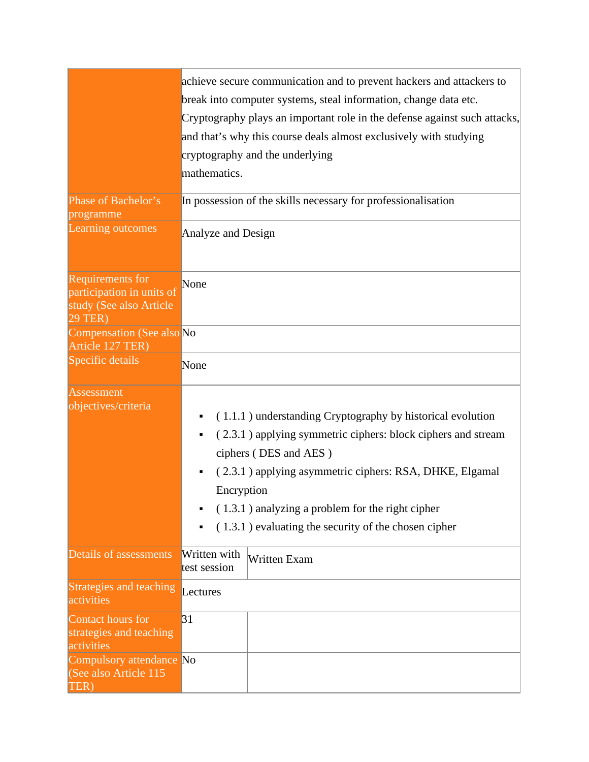|                                                                                            | achieve secure communication and to prevent hackers and attackers to<br>break into computer systems, steal information, change data etc.<br>Cryptography plays an important role in the defense against such attacks,<br>and that's why this course deals almost exclusively with studying<br>cryptography and the underlying<br>mathematics. |  |  |  |  |
|--------------------------------------------------------------------------------------------|-----------------------------------------------------------------------------------------------------------------------------------------------------------------------------------------------------------------------------------------------------------------------------------------------------------------------------------------------|--|--|--|--|
| Phase of Bachelor's<br>programme<br>Learning outcomes                                      | In possession of the skills necessary for professionalisation                                                                                                                                                                                                                                                                                 |  |  |  |  |
|                                                                                            | Analyze and Design                                                                                                                                                                                                                                                                                                                            |  |  |  |  |
| Requirements for<br>participation in units of<br>study (See also Article<br><b>29 TER)</b> | None                                                                                                                                                                                                                                                                                                                                          |  |  |  |  |
| Compensation (See also No<br>Article 127 TER)                                              |                                                                                                                                                                                                                                                                                                                                               |  |  |  |  |
| Specific details                                                                           | None                                                                                                                                                                                                                                                                                                                                          |  |  |  |  |
| <b>Assessment</b><br>objectives/criteria                                                   | (1.1.1) understanding Cryptography by historical evolution<br>(2.3.1) applying symmetric ciphers: block ciphers and stream<br>ciphers (DES and AES)<br>(2.3.1) applying asymmetric ciphers: RSA, DHKE, Elgamal<br>Encryption<br>(1.3.1) analyzing a problem for the right cipher<br>$(1.3.1)$ evaluating the security of the chosen cipher    |  |  |  |  |
| Details of assessments                                                                     | Written with<br><b>Written Exam</b><br>test session                                                                                                                                                                                                                                                                                           |  |  |  |  |
| Strategies and teaching<br>activities                                                      | Lectures                                                                                                                                                                                                                                                                                                                                      |  |  |  |  |
| Contact hours for<br>strategies and teaching<br>activities                                 | 31                                                                                                                                                                                                                                                                                                                                            |  |  |  |  |
| Compulsory attendance No<br>(See also Article 115<br>TER)                                  |                                                                                                                                                                                                                                                                                                                                               |  |  |  |  |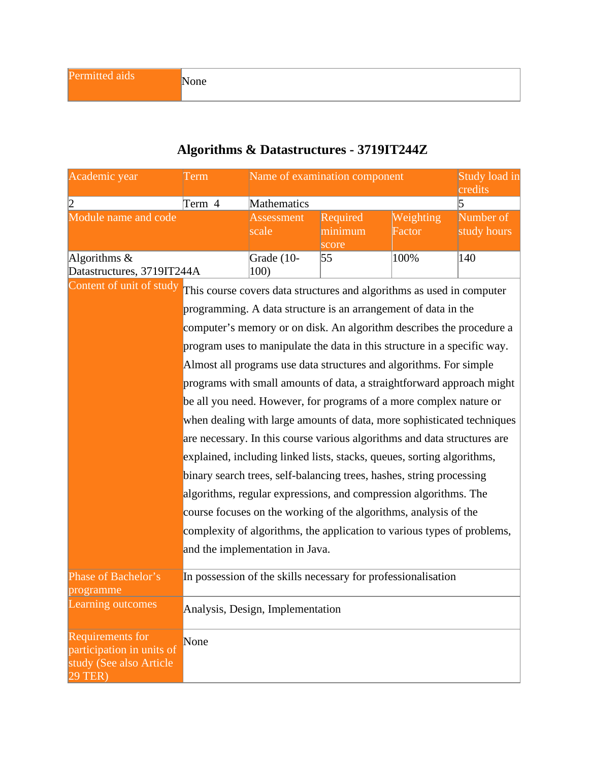| Academic year                                                                                     | Term                                                                                                                                                                                                                                                                                          | Name of examination component                                            |          |           | Study load in |  |  |
|---------------------------------------------------------------------------------------------------|-----------------------------------------------------------------------------------------------------------------------------------------------------------------------------------------------------------------------------------------------------------------------------------------------|--------------------------------------------------------------------------|----------|-----------|---------------|--|--|
| $ 2\rangle$                                                                                       | Term 4                                                                                                                                                                                                                                                                                        | Mathematics                                                              |          |           | credits<br>5  |  |  |
| Module name and code                                                                              |                                                                                                                                                                                                                                                                                               | <b>Assessment</b>                                                        | Required | Weighting | Number of     |  |  |
|                                                                                                   |                                                                                                                                                                                                                                                                                               | scale                                                                    | minimum  | Factor    | study hours   |  |  |
|                                                                                                   |                                                                                                                                                                                                                                                                                               |                                                                          | score    |           |               |  |  |
| Algorithms $\&$<br>Datastructures, 3719IT244A                                                     |                                                                                                                                                                                                                                                                                               | Grade (10-<br>100)                                                       | 55       | 100%      | 140           |  |  |
| Content of unit of study                                                                          | This course covers data structures and algorithms as used in computer                                                                                                                                                                                                                         |                                                                          |          |           |               |  |  |
|                                                                                                   | programming. A data structure is an arrangement of data in the                                                                                                                                                                                                                                |                                                                          |          |           |               |  |  |
|                                                                                                   | computer's memory or on disk. An algorithm describes the procedure a                                                                                                                                                                                                                          |                                                                          |          |           |               |  |  |
|                                                                                                   | program uses to manipulate the data in this structure in a specific way.<br>Almost all programs use data structures and algorithms. For simple<br>programs with small amounts of data, a straightforward approach might<br>be all you need. However, for programs of a more complex nature or |                                                                          |          |           |               |  |  |
|                                                                                                   |                                                                                                                                                                                                                                                                                               |                                                                          |          |           |               |  |  |
|                                                                                                   |                                                                                                                                                                                                                                                                                               |                                                                          |          |           |               |  |  |
|                                                                                                   |                                                                                                                                                                                                                                                                                               |                                                                          |          |           |               |  |  |
|                                                                                                   | when dealing with large amounts of data, more sophisticated techniques                                                                                                                                                                                                                        |                                                                          |          |           |               |  |  |
|                                                                                                   |                                                                                                                                                                                                                                                                                               | are necessary. In this course various algorithms and data structures are |          |           |               |  |  |
|                                                                                                   | explained, including linked lists, stacks, queues, sorting algorithms,                                                                                                                                                                                                                        |                                                                          |          |           |               |  |  |
|                                                                                                   | binary search trees, self-balancing trees, hashes, string processing                                                                                                                                                                                                                          |                                                                          |          |           |               |  |  |
|                                                                                                   | algorithms, regular expressions, and compression algorithms. The                                                                                                                                                                                                                              |                                                                          |          |           |               |  |  |
|                                                                                                   | course focuses on the working of the algorithms, analysis of the                                                                                                                                                                                                                              |                                                                          |          |           |               |  |  |
|                                                                                                   | complexity of algorithms, the application to various types of problems,                                                                                                                                                                                                                       |                                                                          |          |           |               |  |  |
|                                                                                                   | and the implementation in Java.                                                                                                                                                                                                                                                               |                                                                          |          |           |               |  |  |
| Phase of Bachelor's<br>programme                                                                  | In possession of the skills necessary for professionalisation                                                                                                                                                                                                                                 |                                                                          |          |           |               |  |  |
| Learning outcomes                                                                                 | Analysis, Design, Implementation                                                                                                                                                                                                                                                              |                                                                          |          |           |               |  |  |
| <b>Requirements for</b><br>participation in units of<br>study (See also Article<br><b>29 TER)</b> | None                                                                                                                                                                                                                                                                                          |                                                                          |          |           |               |  |  |

## **Algorithms & Datastructures - 3719IT244Z**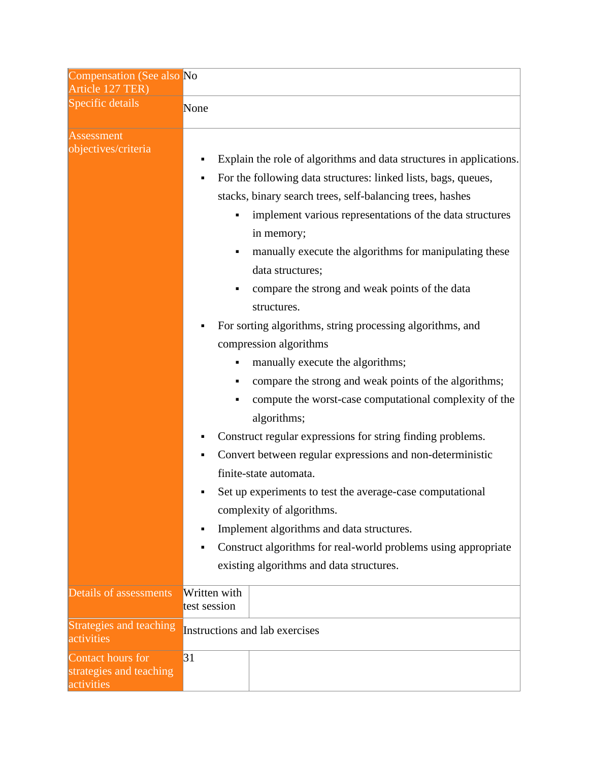| Compensation (See also No                                  |                                                                                                                                                                                                                                                                                                                                                                                                                                                                                                                                                                                                                                                                                                                                                                                                                                                                                                                                                                                                                                                                                      |
|------------------------------------------------------------|--------------------------------------------------------------------------------------------------------------------------------------------------------------------------------------------------------------------------------------------------------------------------------------------------------------------------------------------------------------------------------------------------------------------------------------------------------------------------------------------------------------------------------------------------------------------------------------------------------------------------------------------------------------------------------------------------------------------------------------------------------------------------------------------------------------------------------------------------------------------------------------------------------------------------------------------------------------------------------------------------------------------------------------------------------------------------------------|
| Article 127 TER)                                           |                                                                                                                                                                                                                                                                                                                                                                                                                                                                                                                                                                                                                                                                                                                                                                                                                                                                                                                                                                                                                                                                                      |
| Specific details                                           | None                                                                                                                                                                                                                                                                                                                                                                                                                                                                                                                                                                                                                                                                                                                                                                                                                                                                                                                                                                                                                                                                                 |
| Assessment<br>objectives/criteria                          | Explain the role of algorithms and data structures in applications.<br>For the following data structures: linked lists, bags, queues,<br>٠<br>stacks, binary search trees, self-balancing trees, hashes<br>implement various representations of the data structures<br>in memory;<br>manually execute the algorithms for manipulating these<br>٠<br>data structures;<br>compare the strong and weak points of the data<br>٠<br>structures.<br>For sorting algorithms, string processing algorithms, and<br>compression algorithms<br>manually execute the algorithms;<br>٠<br>compare the strong and weak points of the algorithms;<br>٠<br>compute the worst-case computational complexity of the<br>algorithms;<br>Construct regular expressions for string finding problems.<br>Convert between regular expressions and non-deterministic<br>finite-state automata.<br>Set up experiments to test the average-case computational<br>complexity of algorithms.<br>Implement algorithms and data structures.<br>٠<br>Construct algorithms for real-world problems using appropriate |
|                                                            | existing algorithms and data structures.                                                                                                                                                                                                                                                                                                                                                                                                                                                                                                                                                                                                                                                                                                                                                                                                                                                                                                                                                                                                                                             |
| Details of assessments                                     | Written with<br>test session                                                                                                                                                                                                                                                                                                                                                                                                                                                                                                                                                                                                                                                                                                                                                                                                                                                                                                                                                                                                                                                         |
| Strategies and teaching<br>activities                      | Instructions and lab exercises                                                                                                                                                                                                                                                                                                                                                                                                                                                                                                                                                                                                                                                                                                                                                                                                                                                                                                                                                                                                                                                       |
| Contact hours for<br>strategies and teaching<br>activities | 31                                                                                                                                                                                                                                                                                                                                                                                                                                                                                                                                                                                                                                                                                                                                                                                                                                                                                                                                                                                                                                                                                   |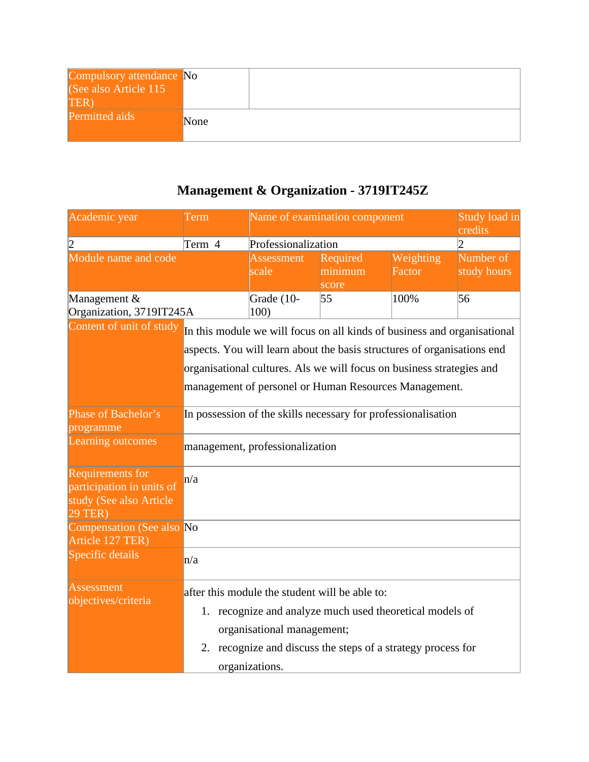| Compulsory attendance No<br>(See also Article 115<br><b>TER</b> |      |  |
|-----------------------------------------------------------------|------|--|
| Permitted aids                                                  | None |  |

## **Management & Organization - 3719IT245Z**

| Academic year                                                                       | Term                                                                    | Name of examination component                                            |                              |                     | Study load in<br>credits |  |  |
|-------------------------------------------------------------------------------------|-------------------------------------------------------------------------|--------------------------------------------------------------------------|------------------------------|---------------------|--------------------------|--|--|
| 2                                                                                   | Term 4                                                                  | Professionalization                                                      |                              |                     | $\overline{2}$           |  |  |
| Module name and code                                                                |                                                                         | <b>Assessment</b><br>scale                                               | Required<br>minimum<br>score | Weighting<br>Factor | Number of<br>study hours |  |  |
| Management &<br>Organization, 3719IT245A                                            |                                                                         | Grade (10-<br>100)                                                       | 55                           | 100%                | 56                       |  |  |
| Content of unit of study                                                            |                                                                         | In this module we will focus on all kinds of business and organisational |                              |                     |                          |  |  |
|                                                                                     | aspects. You will learn about the basis structures of organisations end |                                                                          |                              |                     |                          |  |  |
|                                                                                     |                                                                         | organisational cultures. Als we will focus on business strategies and    |                              |                     |                          |  |  |
|                                                                                     | management of personel or Human Resources Management.                   |                                                                          |                              |                     |                          |  |  |
| Phase of Bachelor's<br>programme                                                    | In possession of the skills necessary for professionalisation           |                                                                          |                              |                     |                          |  |  |
| Learning outcomes                                                                   | management, professionalization                                         |                                                                          |                              |                     |                          |  |  |
| Requirements for<br>participation in units of<br>study (See also Article<br>29 TER) | n/a                                                                     |                                                                          |                              |                     |                          |  |  |
| Compensation (See also No<br>Article 127 TER)                                       |                                                                         |                                                                          |                              |                     |                          |  |  |
| Specific details                                                                    | n/a                                                                     |                                                                          |                              |                     |                          |  |  |
| Assessment                                                                          | after this module the student will be able to:                          |                                                                          |                              |                     |                          |  |  |
| objectives/criteria                                                                 |                                                                         | 1. recognize and analyze much used theoretical models of                 |                              |                     |                          |  |  |
|                                                                                     |                                                                         | organisational management;                                               |                              |                     |                          |  |  |
|                                                                                     | 2.                                                                      | recognize and discuss the steps of a strategy process for                |                              |                     |                          |  |  |
|                                                                                     |                                                                         | organizations.                                                           |                              |                     |                          |  |  |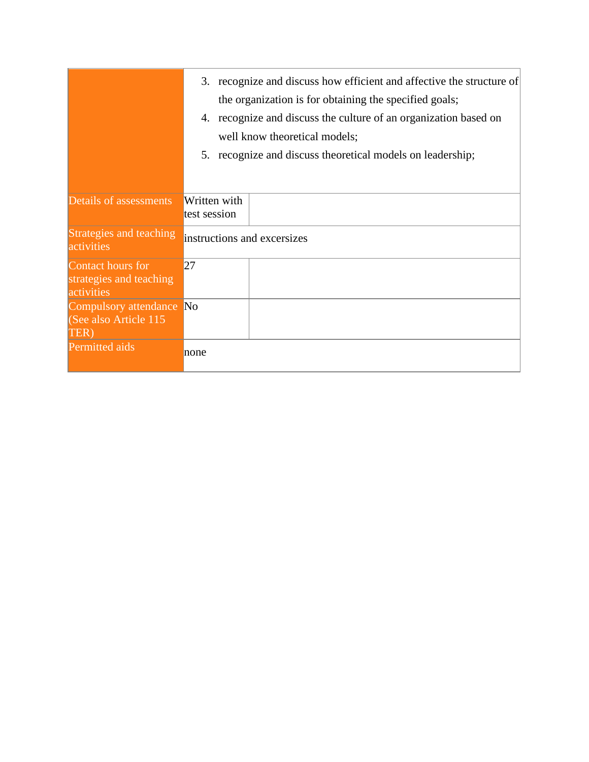|                                                            | recognize and discuss how efficient and affective the structure of<br>3.<br>the organization is for obtaining the specified goals;<br>recognize and discuss the culture of an organization based on<br>4.<br>well know theoretical models;<br>recognize and discuss theoretical models on leadership;<br>5. |
|------------------------------------------------------------|-------------------------------------------------------------------------------------------------------------------------------------------------------------------------------------------------------------------------------------------------------------------------------------------------------------|
| Details of assessments                                     | Written with<br>test session                                                                                                                                                                                                                                                                                |
| Strategies and teaching<br>activities                      | instructions and excersizes                                                                                                                                                                                                                                                                                 |
| Contact hours for<br>strategies and teaching<br>activities | 27                                                                                                                                                                                                                                                                                                          |
| Compulsory attendance No<br>(See also Article 115<br>TER)  |                                                                                                                                                                                                                                                                                                             |
| Permitted aids                                             | none                                                                                                                                                                                                                                                                                                        |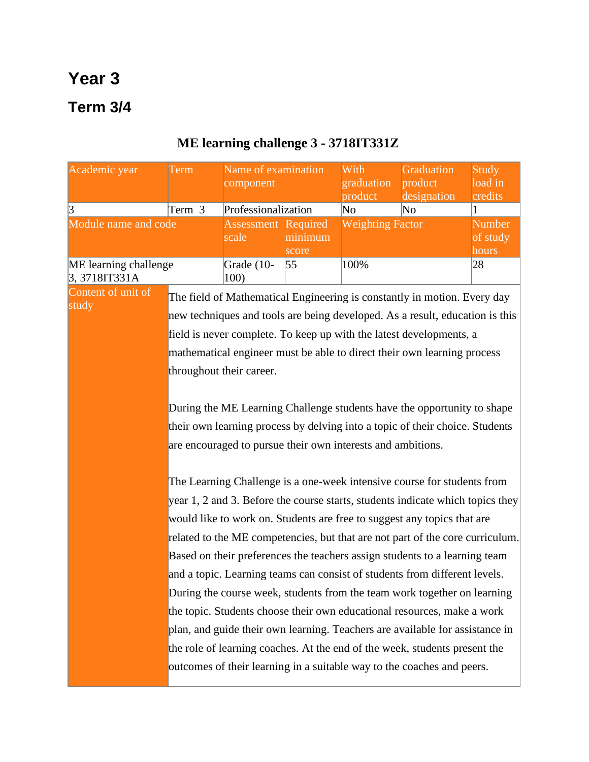# **Year 3**

## **Term 3/4**

## **ME learning challenge 3 - 3718IT331Z**

| Academic year                            | Term                                                                           | Name of examination<br>component |                                                                            | With<br>graduation<br>product | Graduation<br>product<br>designation                                         | Study<br>load in<br>credits |  |  |
|------------------------------------------|--------------------------------------------------------------------------------|----------------------------------|----------------------------------------------------------------------------|-------------------------------|------------------------------------------------------------------------------|-----------------------------|--|--|
| $\vert 3 \vert$                          | Term 3                                                                         | Professionalization              |                                                                            | No                            | $\overline{\text{No}}$                                                       | 1                           |  |  |
| Module name and code                     |                                                                                | <b>Assessment</b> Required       |                                                                            | <b>Weighting Factor</b>       |                                                                              | Number                      |  |  |
|                                          |                                                                                | scale                            | minimum                                                                    |                               |                                                                              | of study                    |  |  |
|                                          |                                                                                |                                  | score<br>55                                                                | 100%                          |                                                                              | hours<br>28                 |  |  |
| ME learning challenge<br>$3,3718$ IT331A |                                                                                | Grade (10-<br>100)               |                                                                            |                               |                                                                              |                             |  |  |
| Content of unit of<br>study              |                                                                                |                                  |                                                                            |                               | The field of Mathematical Engineering is constantly in motion. Every day     |                             |  |  |
|                                          |                                                                                |                                  |                                                                            |                               | new techniques and tools are being developed. As a result, education is this |                             |  |  |
|                                          |                                                                                |                                  |                                                                            |                               | field is never complete. To keep up with the latest developments, a          |                             |  |  |
|                                          |                                                                                |                                  |                                                                            |                               | mathematical engineer must be able to direct their own learning process      |                             |  |  |
|                                          |                                                                                | throughout their career.         |                                                                            |                               |                                                                              |                             |  |  |
|                                          |                                                                                |                                  |                                                                            |                               |                                                                              |                             |  |  |
|                                          | During the ME Learning Challenge students have the opportunity to shape        |                                  |                                                                            |                               |                                                                              |                             |  |  |
|                                          | their own learning process by delving into a topic of their choice. Students   |                                  |                                                                            |                               |                                                                              |                             |  |  |
|                                          | are encouraged to pursue their own interests and ambitions.                    |                                  |                                                                            |                               |                                                                              |                             |  |  |
|                                          |                                                                                |                                  |                                                                            |                               |                                                                              |                             |  |  |
|                                          | The Learning Challenge is a one-week intensive course for students from        |                                  |                                                                            |                               |                                                                              |                             |  |  |
|                                          | year 1, 2 and 3. Before the course starts, students indicate which topics they |                                  |                                                                            |                               |                                                                              |                             |  |  |
|                                          | would like to work on. Students are free to suggest any topics that are        |                                  |                                                                            |                               |                                                                              |                             |  |  |
|                                          | related to the ME competencies, but that are not part of the core curriculum.  |                                  |                                                                            |                               |                                                                              |                             |  |  |
|                                          |                                                                                |                                  | Based on their preferences the teachers assign students to a learning team |                               |                                                                              |                             |  |  |
|                                          | and a topic. Learning teams can consist of students from different levels.     |                                  |                                                                            |                               |                                                                              |                             |  |  |
|                                          | During the course week, students from the team work together on learning       |                                  |                                                                            |                               |                                                                              |                             |  |  |
|                                          | the topic. Students choose their own educational resources, make a work        |                                  |                                                                            |                               |                                                                              |                             |  |  |
|                                          | plan, and guide their own learning. Teachers are available for assistance in   |                                  |                                                                            |                               |                                                                              |                             |  |  |
|                                          |                                                                                |                                  |                                                                            |                               | the role of learning coaches. At the end of the week, students present the   |                             |  |  |
|                                          | outcomes of their learning in a suitable way to the coaches and peers.         |                                  |                                                                            |                               |                                                                              |                             |  |  |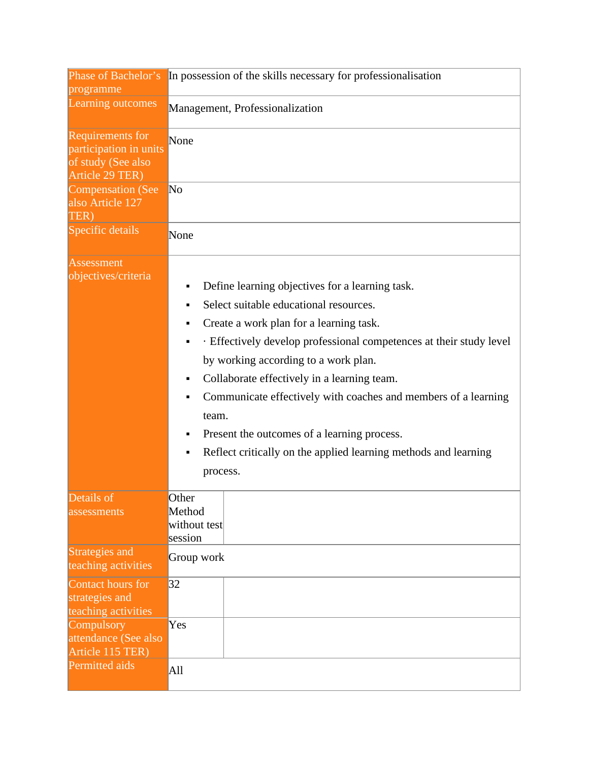| programme                                                                           | Phase of Bachelor's In possession of the skills necessary for professionalisation                                                                                                                                                                                                                                                                                                                                                                                                                                        |  |  |  |
|-------------------------------------------------------------------------------------|--------------------------------------------------------------------------------------------------------------------------------------------------------------------------------------------------------------------------------------------------------------------------------------------------------------------------------------------------------------------------------------------------------------------------------------------------------------------------------------------------------------------------|--|--|--|
| Learning outcomes                                                                   | Management, Professionalization                                                                                                                                                                                                                                                                                                                                                                                                                                                                                          |  |  |  |
| Requirements for<br>participation in units<br>of study (See also<br>Article 29 TER) | None                                                                                                                                                                                                                                                                                                                                                                                                                                                                                                                     |  |  |  |
| <b>Compensation (See</b><br>also Article 127<br>TER)                                | No                                                                                                                                                                                                                                                                                                                                                                                                                                                                                                                       |  |  |  |
| Specific details                                                                    | None                                                                                                                                                                                                                                                                                                                                                                                                                                                                                                                     |  |  |  |
| Assessment<br>objectives/criteria                                                   | Define learning objectives for a learning task.<br>Select suitable educational resources.<br>Create a work plan for a learning task.<br>٠<br>Effectively develop professional competences at their study level<br>٠<br>by working according to a work plan.<br>Collaborate effectively in a learning team.<br>Е<br>Communicate effectively with coaches and members of a learning<br>team.<br>Present the outcomes of a learning process.<br>Reflect critically on the applied learning methods and learning<br>process. |  |  |  |
| Details of<br>assessments                                                           | Other<br>Method<br>without test<br>session                                                                                                                                                                                                                                                                                                                                                                                                                                                                               |  |  |  |
| Strategies and<br>teaching activities                                               | Group work                                                                                                                                                                                                                                                                                                                                                                                                                                                                                                               |  |  |  |
| Contact hours for<br>strategies and<br>teaching activities                          | 32                                                                                                                                                                                                                                                                                                                                                                                                                                                                                                                       |  |  |  |
| Compulsory<br>attendance (See also<br>Article 115 TER)                              | Yes                                                                                                                                                                                                                                                                                                                                                                                                                                                                                                                      |  |  |  |
| Permitted aids                                                                      | All                                                                                                                                                                                                                                                                                                                                                                                                                                                                                                                      |  |  |  |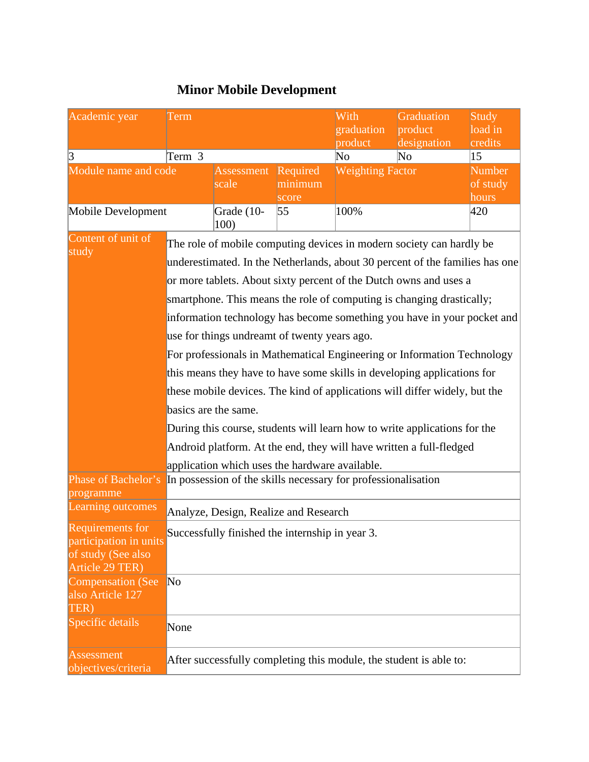### **Minor Mobile Development**

| Academic year                                                                                                                              | Term                                                                                                                                                                                                                                                                                                     |                     |                              | With<br>graduation                                                                                                                                                                                                                                                                                            | Graduation<br>product                                              | <b>Study</b><br>load in            |
|--------------------------------------------------------------------------------------------------------------------------------------------|----------------------------------------------------------------------------------------------------------------------------------------------------------------------------------------------------------------------------------------------------------------------------------------------------------|---------------------|------------------------------|---------------------------------------------------------------------------------------------------------------------------------------------------------------------------------------------------------------------------------------------------------------------------------------------------------------|--------------------------------------------------------------------|------------------------------------|
|                                                                                                                                            |                                                                                                                                                                                                                                                                                                          |                     |                              | product                                                                                                                                                                                                                                                                                                       | designation                                                        | credits                            |
| $\vert 3 \vert$                                                                                                                            | Term 3                                                                                                                                                                                                                                                                                                   |                     |                              | No                                                                                                                                                                                                                                                                                                            | No                                                                 | 15                                 |
| Module name and code                                                                                                                       |                                                                                                                                                                                                                                                                                                          | Assessment<br>scale | Required<br>minimum<br>score | <b>Weighting Factor</b>                                                                                                                                                                                                                                                                                       |                                                                    | <b>Number</b><br>of study<br>hours |
| Mobile Development                                                                                                                         |                                                                                                                                                                                                                                                                                                          | Grade (10-<br>100)  | 55                           | 100%                                                                                                                                                                                                                                                                                                          |                                                                    | 420                                |
| Content of unit of<br>study                                                                                                                | The role of mobile computing devices in modern society can hardly be<br>or more tablets. About sixty percent of the Dutch owns and uses a<br>smartphone. This means the role of computing is changing drastically;<br>use for things undreamt of twenty years ago.                                       |                     |                              | underestimated. In the Netherlands, about 30 percent of the families has one<br>information technology has become something you have in your pocket and<br>For professionals in Mathematical Engineering or Information Technology<br>this means they have to have some skills in developing applications for |                                                                    |                                    |
|                                                                                                                                            | these mobile devices. The kind of applications will differ widely, but the<br>basics are the same.<br>During this course, students will learn how to write applications for the<br>Android platform. At the end, they will have written a full-fledged<br>application which uses the hardware available. |                     |                              |                                                                                                                                                                                                                                                                                                               |                                                                    |                                    |
| Phase of Bachelor's<br>programme                                                                                                           | In possession of the skills necessary for professionalisation                                                                                                                                                                                                                                            |                     |                              |                                                                                                                                                                                                                                                                                                               |                                                                    |                                    |
| <b>Learning outcomes</b>                                                                                                                   | Analyze, Design, Realize and Research                                                                                                                                                                                                                                                                    |                     |                              |                                                                                                                                                                                                                                                                                                               |                                                                    |                                    |
| <b>Requirements for</b><br>participation in units<br>of study (See also<br>Article 29 TER)<br><b>Compensation (See</b><br>also Article 127 | Successfully finished the internship in year 3.<br>No                                                                                                                                                                                                                                                    |                     |                              |                                                                                                                                                                                                                                                                                                               |                                                                    |                                    |
| TER)<br>Specific details                                                                                                                   | None                                                                                                                                                                                                                                                                                                     |                     |                              |                                                                                                                                                                                                                                                                                                               |                                                                    |                                    |
| <b>Assessment</b><br>objectives/criteria                                                                                                   |                                                                                                                                                                                                                                                                                                          |                     |                              |                                                                                                                                                                                                                                                                                                               | After successfully completing this module, the student is able to: |                                    |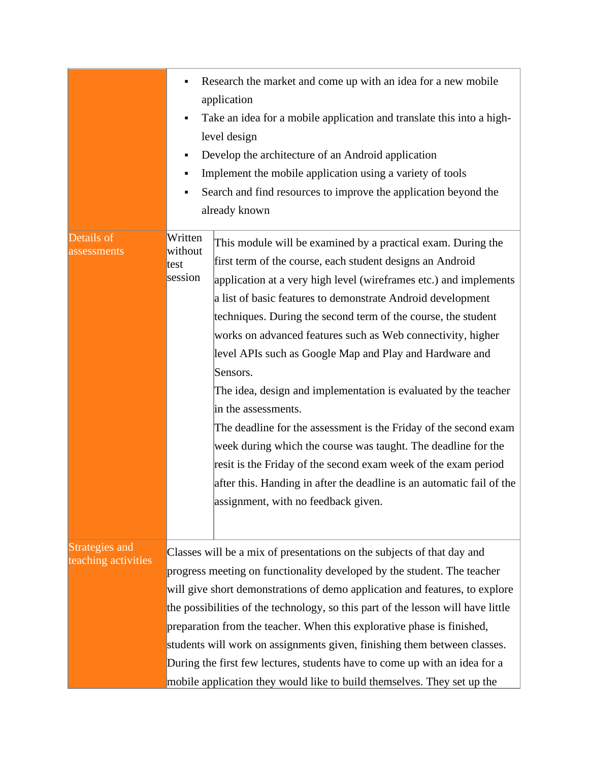|                                       | ٠<br>٠                                | Research the market and come up with an idea for a new mobile<br>application<br>Take an idea for a mobile application and translate this into a high-<br>level design<br>Develop the architecture of an Android application<br>Implement the mobile application using a variety of tools<br>Search and find resources to improve the application beyond the<br>already known                                                                                                                                                                                                                                                                                                                                                                                                                                                                                                          |
|---------------------------------------|---------------------------------------|---------------------------------------------------------------------------------------------------------------------------------------------------------------------------------------------------------------------------------------------------------------------------------------------------------------------------------------------------------------------------------------------------------------------------------------------------------------------------------------------------------------------------------------------------------------------------------------------------------------------------------------------------------------------------------------------------------------------------------------------------------------------------------------------------------------------------------------------------------------------------------------|
| Details of<br>assessments             | Written<br>without<br>test<br>session | This module will be examined by a practical exam. During the<br>first term of the course, each student designs an Android<br>application at a very high level (wireframes etc.) and implements<br>a list of basic features to demonstrate Android development<br>techniques. During the second term of the course, the student<br>works on advanced features such as Web connectivity, higher<br>level APIs such as Google Map and Play and Hardware and<br>Sensors.<br>The idea, design and implementation is evaluated by the teacher<br>in the assessments.<br>The deadline for the assessment is the Friday of the second exam<br>week during which the course was taught. The deadline for the<br>resit is the Friday of the second exam week of the exam period<br>after this. Handing in after the deadline is an automatic fail of the<br>assignment, with no feedback given. |
| Strategies and<br>teaching activities |                                       | Classes will be a mix of presentations on the subjects of that day and<br>progress meeting on functionality developed by the student. The teacher<br>will give short demonstrations of demo application and features, to explore<br>the possibilities of the technology, so this part of the lesson will have little<br>preparation from the teacher. When this explorative phase is finished,<br>students will work on assignments given, finishing them between classes.<br>During the first few lectures, students have to come up with an idea for a<br>mobile application they would like to build themselves. They set up the                                                                                                                                                                                                                                                   |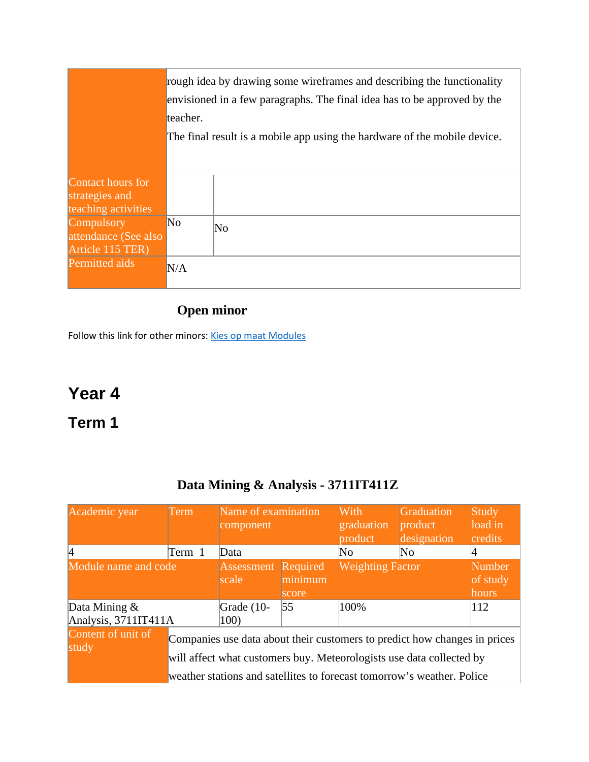|                                                            | rough idea by drawing some wireframes and describing the functionality<br>envisioned in a few paragraphs. The final idea has to be approved by the<br>teacher. |                                                                           |  |  |
|------------------------------------------------------------|----------------------------------------------------------------------------------------------------------------------------------------------------------------|---------------------------------------------------------------------------|--|--|
|                                                            |                                                                                                                                                                | The final result is a mobile app using the hardware of the mobile device. |  |  |
| Contact hours for<br>strategies and<br>teaching activities |                                                                                                                                                                |                                                                           |  |  |
| Compulsory<br>attendance (See also<br>Article 115 TER)     | N <sub>o</sub>                                                                                                                                                 | No                                                                        |  |  |
| Permitted aids                                             | N/A                                                                                                                                                            |                                                                           |  |  |

#### **Open minor**

Follow this link for other minors: [Kies op maat Modules](https://www.kiesopmaat.nl/modules/?org=Inholland&lang=en&type=m)

# **Year 4**

## **Term 1**

| Academic year                              | Term                                                                                                                                                                                                                        | Name of examination<br>component |                              | With<br>graduation<br>product | Graduation<br>product<br>designation | Study<br>load in<br>credits        |
|--------------------------------------------|-----------------------------------------------------------------------------------------------------------------------------------------------------------------------------------------------------------------------------|----------------------------------|------------------------------|-------------------------------|--------------------------------------|------------------------------------|
| $\vert 4$                                  | Term 1                                                                                                                                                                                                                      | Data                             |                              | $\overline{\text{No}}$        | $\overline{\text{No}}$               |                                    |
| Module name and code                       |                                                                                                                                                                                                                             | Assessment<br>scale              | Required<br>minimum<br>score | <b>Weighting Factor</b>       |                                      | <b>Number</b><br>of study<br>hours |
| Data Mining $\&$<br>Analysis, $3711IT411A$ |                                                                                                                                                                                                                             | Grade $(10-$<br>100)             | 55                           | 100%                          |                                      | 112                                |
| Content of unit of<br>study                | Companies use data about their customers to predict how changes in prices<br>will affect what customers buy. Meteorologists use data collected by<br>weather stations and satellites to forecast tomorrow's weather. Police |                                  |                              |                               |                                      |                                    |

#### **Data Mining & Analysis - 3711IT411Z**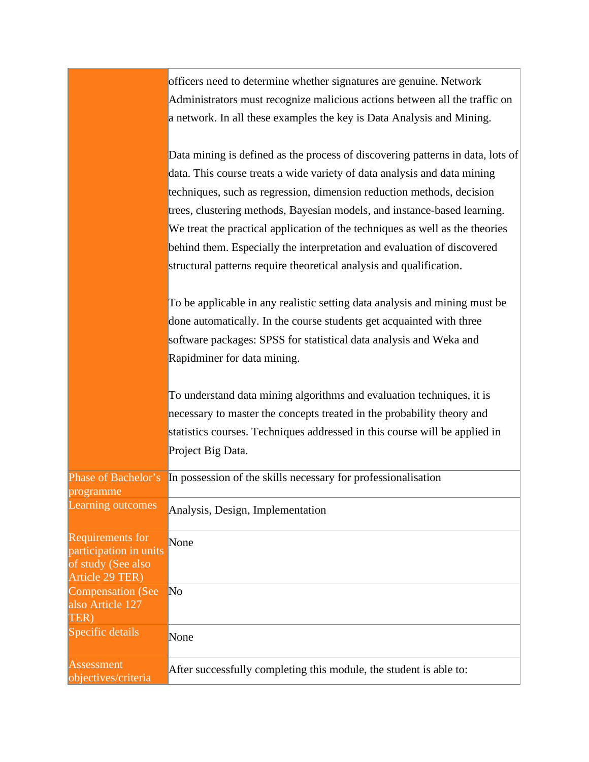|                                                                                     | officers need to determine whether signatures are genuine. Network<br>Administrators must recognize malicious actions between all the traffic on<br>a network. In all these examples the key is Data Analysis and Mining.                                                                                                                                                                                                                                                                                                                         |
|-------------------------------------------------------------------------------------|---------------------------------------------------------------------------------------------------------------------------------------------------------------------------------------------------------------------------------------------------------------------------------------------------------------------------------------------------------------------------------------------------------------------------------------------------------------------------------------------------------------------------------------------------|
|                                                                                     | Data mining is defined as the process of discovering patterns in data, lots of<br>data. This course treats a wide variety of data analysis and data mining<br>techniques, such as regression, dimension reduction methods, decision<br>trees, clustering methods, Bayesian models, and instance-based learning.<br>We treat the practical application of the techniques as well as the theories<br>behind them. Especially the interpretation and evaluation of discovered<br>structural patterns require theoretical analysis and qualification. |
|                                                                                     | To be applicable in any realistic setting data analysis and mining must be<br>done automatically. In the course students get acquainted with three<br>software packages: SPSS for statistical data analysis and Weka and<br>Rapidminer for data mining.                                                                                                                                                                                                                                                                                           |
|                                                                                     | To understand data mining algorithms and evaluation techniques, it is<br>necessary to master the concepts treated in the probability theory and<br>statistics courses. Techniques addressed in this course will be applied in<br>Project Big Data.                                                                                                                                                                                                                                                                                                |
| Phase of Bachelor's<br>programme<br>Learning outcomes                               | In possession of the skills necessary for professionalisation<br>Analysis, Design, Implementation                                                                                                                                                                                                                                                                                                                                                                                                                                                 |
| Requirements for<br>participation in units<br>of study (See also<br>Article 29 TER) | None                                                                                                                                                                                                                                                                                                                                                                                                                                                                                                                                              |
| <b>Compensation (See</b><br>also Article 127<br>TER)                                | No                                                                                                                                                                                                                                                                                                                                                                                                                                                                                                                                                |
| Specific details                                                                    | None                                                                                                                                                                                                                                                                                                                                                                                                                                                                                                                                              |
| <b>Assessment</b><br>objectives/criteria                                            | After successfully completing this module, the student is able to:                                                                                                                                                                                                                                                                                                                                                                                                                                                                                |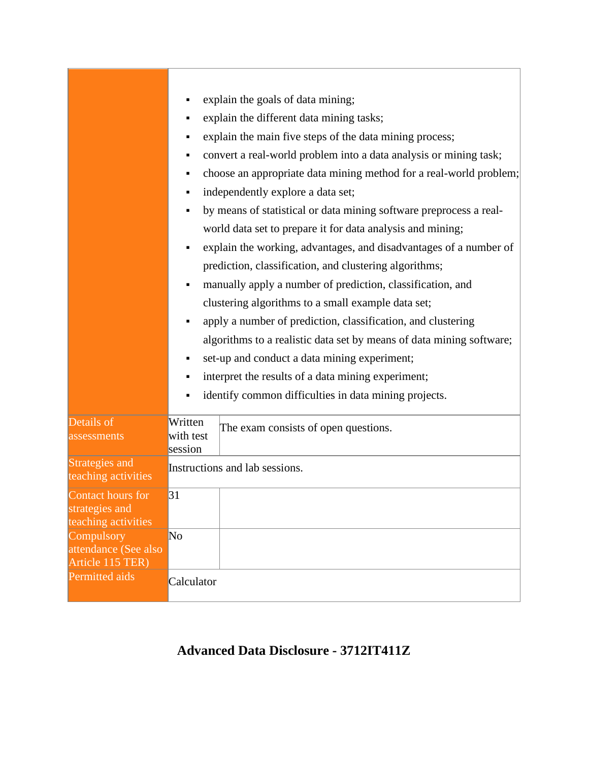|                                                            |                                 | explain the goals of data mining;                                    |
|------------------------------------------------------------|---------------------------------|----------------------------------------------------------------------|
|                                                            |                                 | explain the different data mining tasks;                             |
|                                                            |                                 | explain the main five steps of the data mining process;              |
|                                                            |                                 | convert a real-world problem into a data analysis or mining task;    |
|                                                            |                                 | choose an appropriate data mining method for a real-world problem;   |
|                                                            |                                 | independently explore a data set;                                    |
|                                                            |                                 | by means of statistical or data mining software preprocess a real-   |
|                                                            |                                 | world data set to prepare it for data analysis and mining;           |
|                                                            |                                 | explain the working, advantages, and disadvantages of a number of    |
|                                                            |                                 | prediction, classification, and clustering algorithms;               |
|                                                            |                                 | manually apply a number of prediction, classification, and           |
|                                                            |                                 | clustering algorithms to a small example data set;                   |
|                                                            |                                 | apply a number of prediction, classification, and clustering         |
|                                                            |                                 | algorithms to a realistic data set by means of data mining software; |
|                                                            |                                 | set-up and conduct a data mining experiment;                         |
|                                                            |                                 | interpret the results of a data mining experiment;                   |
|                                                            |                                 | identify common difficulties in data mining projects.                |
| Details of<br>assessments                                  | Written<br>with test<br>session | The exam consists of open questions.                                 |
| <b>Strategies and</b><br>teaching activities               |                                 | Instructions and lab sessions.                                       |
| Contact hours for<br>strategies and<br>teaching activities | 31                              |                                                                      |
| Compulsory<br>attendance (See also<br>Article 115 TER)     | No                              |                                                                      |
| Permitted aids                                             | Calculator                      |                                                                      |

#### **Advanced Data Disclosure - 3712IT411Z**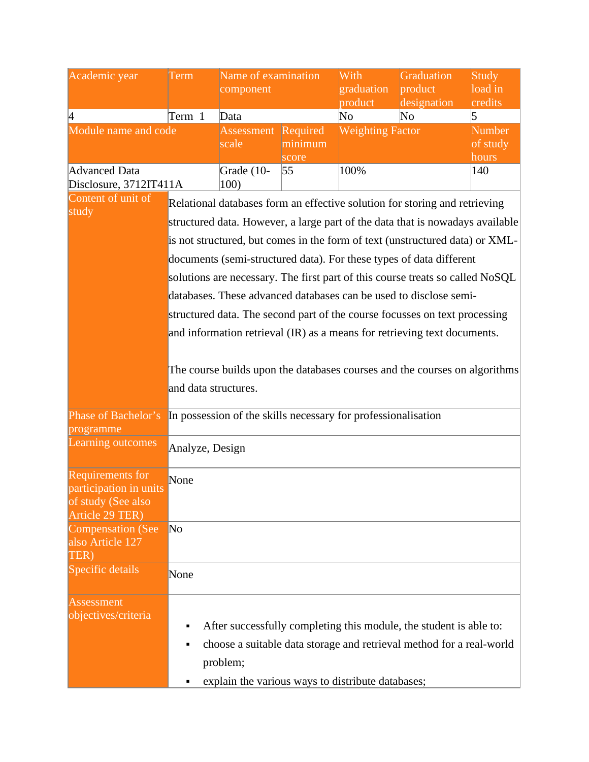| Academic year                                                           | Term                                                                                                                                                                                                                                 | Name of examination<br>component                              |                              | With<br>graduation<br>product | Graduation<br>product<br>designation                                                                                                                          | Study<br>load in<br>credits        |
|-------------------------------------------------------------------------|--------------------------------------------------------------------------------------------------------------------------------------------------------------------------------------------------------------------------------------|---------------------------------------------------------------|------------------------------|-------------------------------|---------------------------------------------------------------------------------------------------------------------------------------------------------------|------------------------------------|
| 4                                                                       | Term 1                                                                                                                                                                                                                               | Data                                                          |                              | No                            | No                                                                                                                                                            | 5                                  |
| Module name and code                                                    |                                                                                                                                                                                                                                      | Assessment<br>scale                                           | Required<br>minimum<br>score | <b>Weighting Factor</b>       |                                                                                                                                                               | <b>Number</b><br>of study<br>hours |
| Advanced Data<br>Disclosure, 3712IT411A                                 |                                                                                                                                                                                                                                      | Grade (10-<br>100)                                            | 55                           | 100%                          |                                                                                                                                                               | 140                                |
| Content of unit of<br>study                                             |                                                                                                                                                                                                                                      |                                                               |                              |                               | Relational databases form an effective solution for storing and retrieving                                                                                    |                                    |
|                                                                         |                                                                                                                                                                                                                                      |                                                               |                              |                               | structured data. However, a large part of the data that is nowadays available<br>is not structured, but comes in the form of text (unstructured data) or XML- |                                    |
|                                                                         |                                                                                                                                                                                                                                      |                                                               |                              |                               | documents (semi-structured data). For these types of data different                                                                                           |                                    |
|                                                                         |                                                                                                                                                                                                                                      |                                                               |                              |                               | solutions are necessary. The first part of this course treats so called NoSQL<br>databases. These advanced databases can be used to disclose semi-            |                                    |
|                                                                         | structured data. The second part of the course focusses on text processing<br>and information retrieval (IR) as a means for retrieving text documents.<br>The course builds upon the databases courses and the courses on algorithms |                                                               |                              |                               |                                                                                                                                                               |                                    |
|                                                                         |                                                                                                                                                                                                                                      |                                                               |                              |                               |                                                                                                                                                               |                                    |
|                                                                         |                                                                                                                                                                                                                                      |                                                               |                              |                               |                                                                                                                                                               |                                    |
|                                                                         | and data structures.                                                                                                                                                                                                                 |                                                               |                              |                               |                                                                                                                                                               |                                    |
| Phase of Bachelor's<br>programme                                        |                                                                                                                                                                                                                                      | In possession of the skills necessary for professionalisation |                              |                               |                                                                                                                                                               |                                    |
| <b>Learning outcomes</b>                                                | Analyze, Design                                                                                                                                                                                                                      |                                                               |                              |                               |                                                                                                                                                               |                                    |
| Requirements for<br>participation in units<br>of study (See also        | None                                                                                                                                                                                                                                 |                                                               |                              |                               |                                                                                                                                                               |                                    |
| Article 29 TER)<br><b>Compensation (See</b><br>also Article 127<br>TER) | No                                                                                                                                                                                                                                   |                                                               |                              |                               |                                                                                                                                                               |                                    |
| Specific details                                                        | None                                                                                                                                                                                                                                 |                                                               |                              |                               |                                                                                                                                                               |                                    |
| Assessment<br>objectives/criteria                                       | ٠                                                                                                                                                                                                                                    | problem;<br>explain the various ways to distribute databases; |                              |                               | After successfully completing this module, the student is able to:<br>choose a suitable data storage and retrieval method for a real-world                    |                                    |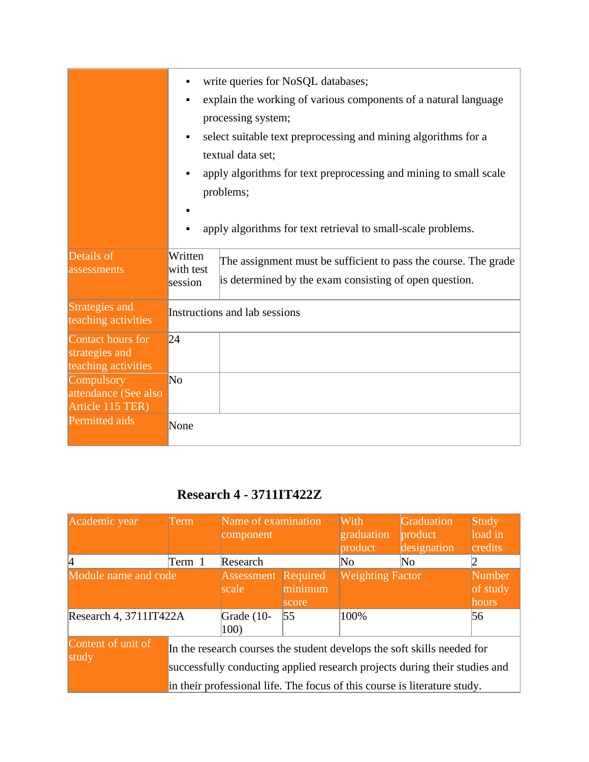|                                                            |                                 | write queries for NoSQL databases;<br>explain the working of various components of a natural language<br>processing system;<br>select suitable text preprocessing and mining algorithms for a<br>textual data set;<br>apply algorithms for text preprocessing and mining to small scale<br>problems;<br>apply algorithms for text retrieval to small-scale problems. |
|------------------------------------------------------------|---------------------------------|----------------------------------------------------------------------------------------------------------------------------------------------------------------------------------------------------------------------------------------------------------------------------------------------------------------------------------------------------------------------|
| Details of<br>assessments                                  | Written<br>with test<br>session | The assignment must be sufficient to pass the course. The grade<br>is determined by the exam consisting of open question.                                                                                                                                                                                                                                            |
| Strategies and<br>teaching activities                      |                                 | Instructions and lab sessions                                                                                                                                                                                                                                                                                                                                        |
| Contact hours for<br>strategies and<br>teaching activities | 24                              |                                                                                                                                                                                                                                                                                                                                                                      |
| Compulsory<br>attendance (See also<br>Article 115 TER)     | No                              |                                                                                                                                                                                                                                                                                                                                                                      |
| Permitted aids                                             | None                            |                                                                                                                                                                                                                                                                                                                                                                      |

#### **Research 4 - 3711IT422Z**

| Academic year               | Term.                                                                                                                                                 | Name of examination<br>component                                          |                              | With<br>graduation<br>product | Graduation<br>product<br>designation | Study<br>load in<br>credits        |
|-----------------------------|-------------------------------------------------------------------------------------------------------------------------------------------------------|---------------------------------------------------------------------------|------------------------------|-------------------------------|--------------------------------------|------------------------------------|
| 4                           | Term 1                                                                                                                                                | Research                                                                  |                              | No                            | No                                   |                                    |
| Module name and code        |                                                                                                                                                       | Assessment<br>scale                                                       | Required<br>minimum<br>score | <b>Weighting Factor</b>       |                                      | <b>Number</b><br>of study<br>hours |
| Research 4, 3711IT422A      |                                                                                                                                                       | Grade (10-<br>100)                                                        | $\vert 55$                   | 100%                          |                                      | 56                                 |
| Content of unit of<br>study | In the research courses the student develops the soft skills needed for<br>successfully conducting applied research projects during their studies and |                                                                           |                              |                               |                                      |                                    |
|                             |                                                                                                                                                       | in their professional life. The focus of this course is literature study. |                              |                               |                                      |                                    |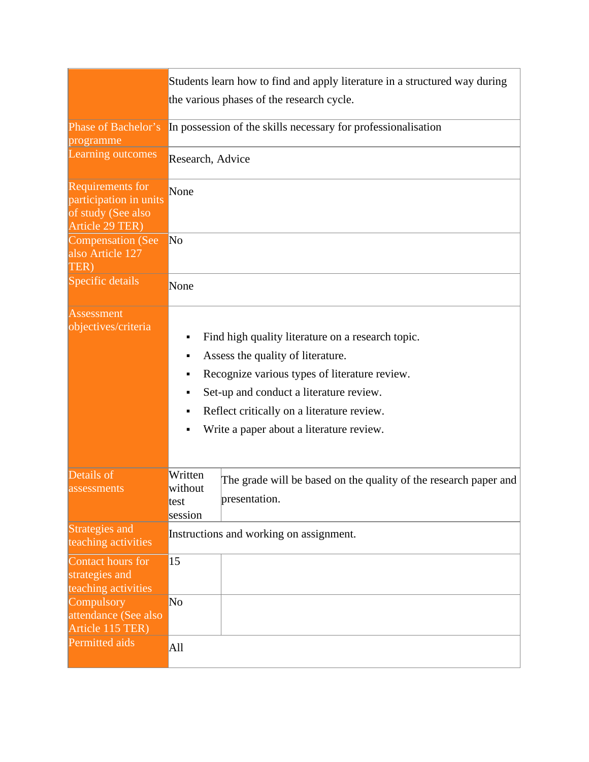|                                                                                     | Students learn how to find and apply literature in a structured way during<br>the various phases of the research cycle. |                                                                                                                                                                                                                                                                              |  |  |  |
|-------------------------------------------------------------------------------------|-------------------------------------------------------------------------------------------------------------------------|------------------------------------------------------------------------------------------------------------------------------------------------------------------------------------------------------------------------------------------------------------------------------|--|--|--|
| Phase of Bachelor's<br>programme                                                    |                                                                                                                         | In possession of the skills necessary for professionalisation                                                                                                                                                                                                                |  |  |  |
| Learning outcomes                                                                   | Research, Advice                                                                                                        |                                                                                                                                                                                                                                                                              |  |  |  |
| Requirements for<br>participation in units<br>of study (See also<br>Article 29 TER) | None                                                                                                                    |                                                                                                                                                                                                                                                                              |  |  |  |
| <b>Compensation (See</b><br>also Article 127<br>TER)                                | No                                                                                                                      |                                                                                                                                                                                                                                                                              |  |  |  |
| Specific details                                                                    | None                                                                                                                    |                                                                                                                                                                                                                                                                              |  |  |  |
| <b>Assessment</b><br>objectives/criteria                                            | ■                                                                                                                       | Find high quality literature on a research topic.<br>Assess the quality of literature.<br>Recognize various types of literature review.<br>Set-up and conduct a literature review.<br>Reflect critically on a literature review.<br>Write a paper about a literature review. |  |  |  |
| Details of<br>assessments                                                           | Written<br>without<br>test<br>session                                                                                   | The grade will be based on the quality of the research paper and<br>presentation.                                                                                                                                                                                            |  |  |  |
| Strategies and<br>teaching activities                                               | Instructions and working on assignment.                                                                                 |                                                                                                                                                                                                                                                                              |  |  |  |
| Contact hours for<br>strategies and<br>teaching activities                          | 15                                                                                                                      |                                                                                                                                                                                                                                                                              |  |  |  |
| Compulsory<br>attendance (See also<br>Article 115 TER)                              | No                                                                                                                      |                                                                                                                                                                                                                                                                              |  |  |  |
| Permitted aids                                                                      | All                                                                                                                     |                                                                                                                                                                                                                                                                              |  |  |  |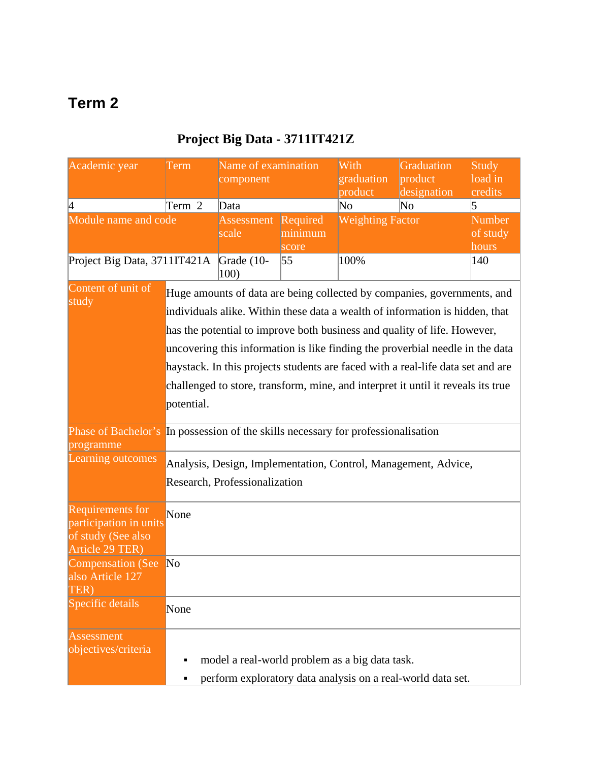## **Term 2**

## **Project Big Data - 3711IT421Z**

| Academic year                                                                                                                        | Term       | Name of examination<br>component               |                              | With<br>graduation<br>product | Graduation<br>product<br>designation                                                                                                                                                                                                                                                                                                                                                                                                                                                        | Study<br>load in<br>credits |
|--------------------------------------------------------------------------------------------------------------------------------------|------------|------------------------------------------------|------------------------------|-------------------------------|---------------------------------------------------------------------------------------------------------------------------------------------------------------------------------------------------------------------------------------------------------------------------------------------------------------------------------------------------------------------------------------------------------------------------------------------------------------------------------------------|-----------------------------|
| 4                                                                                                                                    | Term 2     | Data                                           |                              | $\rm No$                      | $\overline{\text{No}}$                                                                                                                                                                                                                                                                                                                                                                                                                                                                      | 5                           |
| Module name and code                                                                                                                 |            | Assessment<br>scale                            | Required<br>minimum<br>score | <b>Weighting Factor</b>       |                                                                                                                                                                                                                                                                                                                                                                                                                                                                                             | Number<br>of study<br>hours |
| Project Big Data, 3711IT421A                                                                                                         |            | Grade (10-<br>100)                             | 55                           | 100%                          |                                                                                                                                                                                                                                                                                                                                                                                                                                                                                             | 140                         |
| Content of unit of<br>study                                                                                                          | potential. |                                                |                              |                               | Huge amounts of data are being collected by companies, governments, and<br>individuals alike. Within these data a wealth of information is hidden, that<br>has the potential to improve both business and quality of life. However,<br>uncovering this information is like finding the proverbial needle in the data<br>haystack. In this projects students are faced with a real-life data set and are<br>challenged to store, transform, mine, and interpret it until it reveals its true |                             |
| Phase of Bachelor's In possession of the skills necessary for professionalisation<br>programme<br><b>Learning outcomes</b>           |            | Research, Professionalization                  |                              |                               | Analysis, Design, Implementation, Control, Management, Advice,                                                                                                                                                                                                                                                                                                                                                                                                                              |                             |
| Requirements for<br>participation in units<br>of study (See also<br>Article 29 TER)<br>Compensation (See<br>also Article 127<br>TER) | None<br>No |                                                |                              |                               |                                                                                                                                                                                                                                                                                                                                                                                                                                                                                             |                             |
| Specific details                                                                                                                     | None       |                                                |                              |                               |                                                                                                                                                                                                                                                                                                                                                                                                                                                                                             |                             |
| Assessment<br>objectives/criteria                                                                                                    | ٠<br>٠     | model a real-world problem as a big data task. |                              |                               | perform exploratory data analysis on a real-world data set.                                                                                                                                                                                                                                                                                                                                                                                                                                 |                             |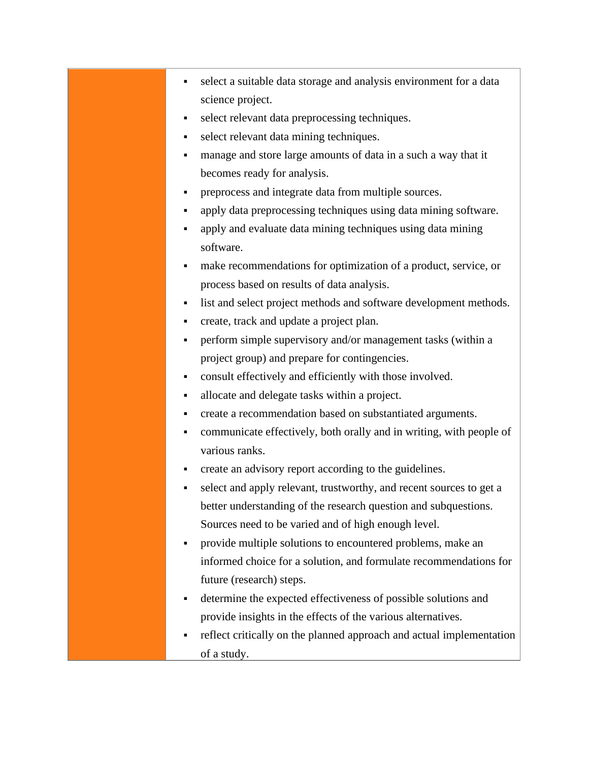- select a suitable data storage and analysis environment for a data science project.
- select relevant data preprocessing techniques.
- select relevant data mining techniques.
- manage and store large amounts of data in a such a way that it becomes ready for analysis.
- preprocess and integrate data from multiple sources.
- apply data preprocessing techniques using data mining software.
- apply and evaluate data mining techniques using data mining software.
- make recommendations for optimization of a product, service, or process based on results of data analysis.
- list and select project methods and software development methods.
- create, track and update a project plan.
- perform simple supervisory and/or management tasks (within a project group) and prepare for contingencies.
- consult effectively and efficiently with those involved.
- allocate and delegate tasks within a project.
- create a recommendation based on substantiated arguments.
- communicate effectively, both orally and in writing, with people of various ranks.
- create an advisory report according to the guidelines.
- select and apply relevant, trustworthy, and recent sources to get a better understanding of the research question and subquestions. Sources need to be varied and of high enough level.
- provide multiple solutions to encountered problems, make an informed choice for a solution, and formulate recommendations for future (research) steps.
- determine the expected effectiveness of possible solutions and provide insights in the effects of the various alternatives.
- reflect critically on the planned approach and actual implementation of a study.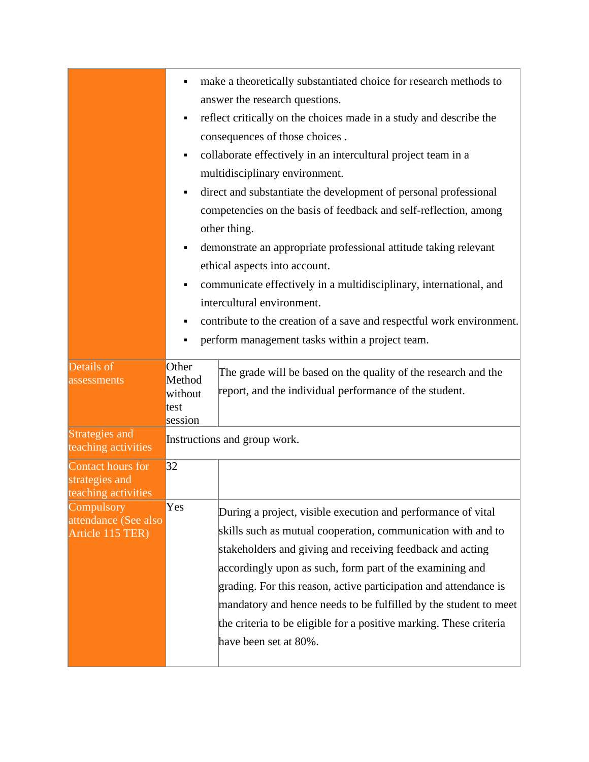|                                                            | ٠<br>٠<br>٠<br>٠<br>٠<br>٠                    | make a theoretically substantiated choice for research methods to<br>answer the research questions.<br>reflect critically on the choices made in a study and describe the<br>consequences of those choices.<br>collaborate effectively in an intercultural project team in a<br>multidisciplinary environment.<br>direct and substantiate the development of personal professional<br>competencies on the basis of feedback and self-reflection, among<br>other thing.<br>demonstrate an appropriate professional attitude taking relevant<br>ethical aspects into account.<br>communicate effectively in a multidisciplinary, international, and<br>intercultural environment.<br>contribute to the creation of a save and respectful work environment.<br>perform management tasks within a project team. |
|------------------------------------------------------------|-----------------------------------------------|-------------------------------------------------------------------------------------------------------------------------------------------------------------------------------------------------------------------------------------------------------------------------------------------------------------------------------------------------------------------------------------------------------------------------------------------------------------------------------------------------------------------------------------------------------------------------------------------------------------------------------------------------------------------------------------------------------------------------------------------------------------------------------------------------------------|
| Details of<br>assessments                                  | Other<br>Method<br>without<br>test<br>session | The grade will be based on the quality of the research and the<br>report, and the individual performance of the student.                                                                                                                                                                                                                                                                                                                                                                                                                                                                                                                                                                                                                                                                                    |
| Strategies and<br>teaching activities                      |                                               | Instructions and group work.                                                                                                                                                                                                                                                                                                                                                                                                                                                                                                                                                                                                                                                                                                                                                                                |
| Contact hours for<br>strategies and<br>teaching activities | 32                                            |                                                                                                                                                                                                                                                                                                                                                                                                                                                                                                                                                                                                                                                                                                                                                                                                             |
| Compulsory<br>attendance (See also<br>Article 115 TER)     | Yes                                           | During a project, visible execution and performance of vital<br>skills such as mutual cooperation, communication with and to<br>stakeholders and giving and receiving feedback and acting<br>accordingly upon as such, form part of the examining and<br>grading. For this reason, active participation and attendance is<br>mandatory and hence needs to be fulfilled by the student to meet<br>the criteria to be eligible for a positive marking. These criteria<br>have been set at 80%.                                                                                                                                                                                                                                                                                                                |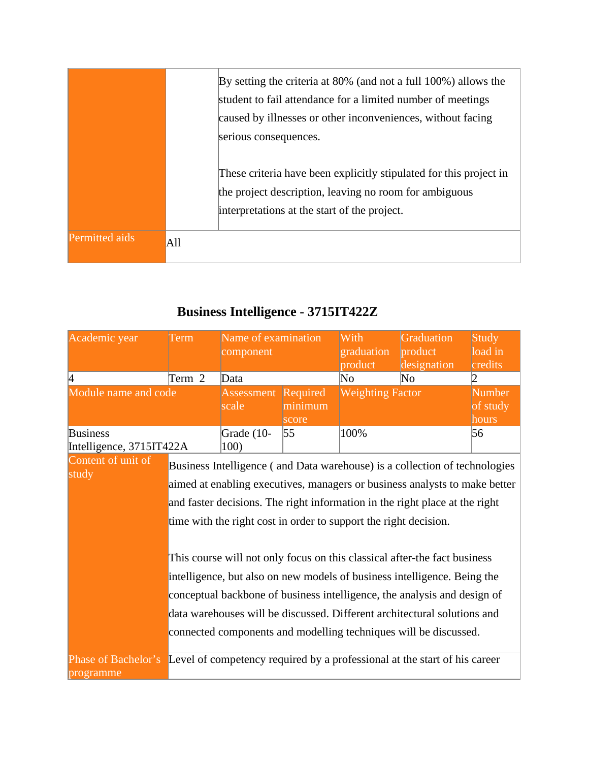|                | By setting the criteria at 80% (and not a full 100%) allows the<br>student to fail attendance for a limited number of meetings<br>caused by illnesses or other inconveniences, without facing<br>serious consequences. |
|----------------|------------------------------------------------------------------------------------------------------------------------------------------------------------------------------------------------------------------------|
|                | These criteria have been explicitly stipulated for this project in<br>the project description, leaving no room for ambiguous<br>interpretations at the start of the project.                                           |
| Permitted aids | All                                                                                                                                                                                                                    |

## **Business Intelligence - 3715IT422Z**

| Academic year                               | Term   | Name of examination<br>component                                                                                                                                                                                                                                                                                                                                                                                                                                                                                                                                                                                                                                                                 |                              | With<br>graduation<br>product | Graduation<br>product<br>designation                                      | Study<br>load in<br>credits        |
|---------------------------------------------|--------|--------------------------------------------------------------------------------------------------------------------------------------------------------------------------------------------------------------------------------------------------------------------------------------------------------------------------------------------------------------------------------------------------------------------------------------------------------------------------------------------------------------------------------------------------------------------------------------------------------------------------------------------------------------------------------------------------|------------------------------|-------------------------------|---------------------------------------------------------------------------|------------------------------------|
| 4                                           | Term 2 | Data                                                                                                                                                                                                                                                                                                                                                                                                                                                                                                                                                                                                                                                                                             |                              | No                            | $\overline{\text{No}}$                                                    | 2                                  |
| Module name and code                        |        | Assessment<br>scale                                                                                                                                                                                                                                                                                                                                                                                                                                                                                                                                                                                                                                                                              | Required<br>minimum<br>score | <b>Weighting Factor</b>       |                                                                           | <b>Number</b><br>of study<br>hours |
| <b>Business</b><br>Intelligence, 3715IT422A |        | Grade (10-<br>100)                                                                                                                                                                                                                                                                                                                                                                                                                                                                                                                                                                                                                                                                               | 55                           | 100%                          |                                                                           | 56                                 |
| Content of unit of<br>study                 |        | Business Intelligence (and Data warehouse) is a collection of technologies<br>aimed at enabling executives, managers or business analysts to make better<br>and faster decisions. The right information in the right place at the right<br>time with the right cost in order to support the right decision.<br>This course will not only focus on this classical after-the fact business<br>intelligence, but also on new models of business intelligence. Being the<br>conceptual backbone of business intelligence, the analysis and design of<br>data warehouses will be discussed. Different architectural solutions and<br>connected components and modelling techniques will be discussed. |                              |                               |                                                                           |                                    |
| Phase of Bachelor's<br>programme            |        |                                                                                                                                                                                                                                                                                                                                                                                                                                                                                                                                                                                                                                                                                                  |                              |                               | Level of competency required by a professional at the start of his career |                                    |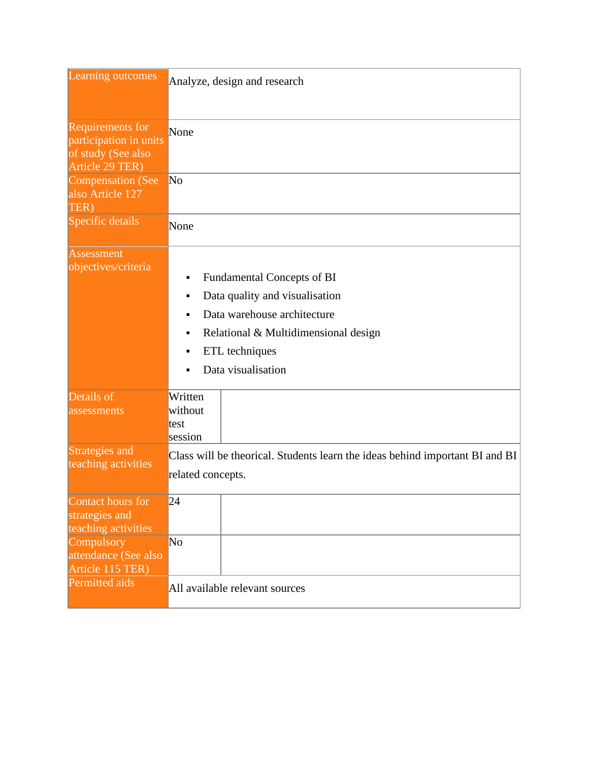| Learning outcomes                                                                   | Analyze, design and research                                                                                                                                                                           |  |  |  |
|-------------------------------------------------------------------------------------|--------------------------------------------------------------------------------------------------------------------------------------------------------------------------------------------------------|--|--|--|
| Requirements for<br>participation in units<br>of study (See also<br>Article 29 TER) | None                                                                                                                                                                                                   |  |  |  |
| Compensation (See<br>also Article 127<br>TER)                                       | No                                                                                                                                                                                                     |  |  |  |
| Specific details                                                                    | None                                                                                                                                                                                                   |  |  |  |
| Assessment<br>objectives/criteria                                                   | <b>Fundamental Concepts of BI</b><br>٠<br>Data quality and visualisation<br>٠<br>Data warehouse architecture<br>Relational & Multidimensional design<br>٠<br>ETL techniques<br>Data visualisation<br>٠ |  |  |  |
| Details of<br>assessments                                                           | Written<br>without<br>test<br>session                                                                                                                                                                  |  |  |  |
| Strategies and<br>teaching activities                                               | Class will be theorical. Students learn the ideas behind important BI and BI<br>related concepts.                                                                                                      |  |  |  |
| Contact hours for<br>strategies and<br>teaching activities                          | 24                                                                                                                                                                                                     |  |  |  |
| Compulsory<br>attendance (See also<br>Article 115 TER)                              | No                                                                                                                                                                                                     |  |  |  |
| Permitted aids                                                                      | All available relevant sources                                                                                                                                                                         |  |  |  |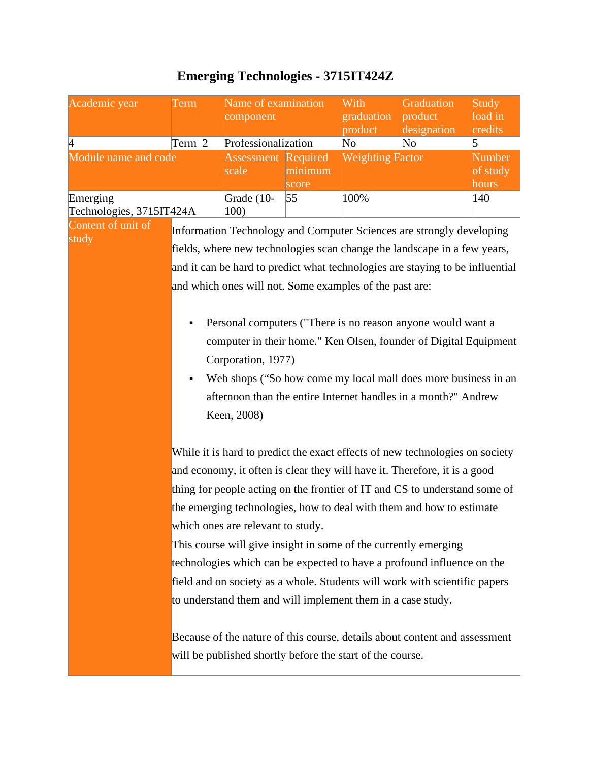| Academic year                        | Term                                                                                                                                                 | Name of examination<br>component                                                                 |                  | With<br>graduation<br>product | Graduation<br>product<br>designation                                                                                                                                                                                                                                                                                                                                                                                                                                                                                                       | Study<br>load in<br>credits |  |
|--------------------------------------|------------------------------------------------------------------------------------------------------------------------------------------------------|--------------------------------------------------------------------------------------------------|------------------|-------------------------------|--------------------------------------------------------------------------------------------------------------------------------------------------------------------------------------------------------------------------------------------------------------------------------------------------------------------------------------------------------------------------------------------------------------------------------------------------------------------------------------------------------------------------------------------|-----------------------------|--|
| 4                                    | Term 2                                                                                                                                               | Professionalization                                                                              |                  | No                            | No                                                                                                                                                                                                                                                                                                                                                                                                                                                                                                                                         | 5                           |  |
| Module name and code                 |                                                                                                                                                      | <b>Assessment Required</b><br>scale                                                              | minimum<br>score | <b>Weighting Factor</b>       |                                                                                                                                                                                                                                                                                                                                                                                                                                                                                                                                            | Number<br>of study<br>hours |  |
| Emerging<br>Technologies, 3715IT424A |                                                                                                                                                      | Grade (10-<br>100)                                                                               | 55               | 100%                          |                                                                                                                                                                                                                                                                                                                                                                                                                                                                                                                                            | 140                         |  |
| Content of unit of<br>study          |                                                                                                                                                      | and which ones will not. Some examples of the past are:<br>Corporation, 1977)                    |                  |                               | Information Technology and Computer Sciences are strongly developing<br>fields, where new technologies scan change the landscape in a few years,<br>and it can be hard to predict what technologies are staying to be influential<br>Personal computers ("There is no reason anyone would want a<br>computer in their home." Ken Olsen, founder of Digital Equipment                                                                                                                                                                       |                             |  |
|                                      | Web shops ("So how come my local mall does more business in an<br>٠<br>afternoon than the entire Internet handles in a month?" Andrew<br>Keen, 2008) |                                                                                                  |                  |                               |                                                                                                                                                                                                                                                                                                                                                                                                                                                                                                                                            |                             |  |
|                                      |                                                                                                                                                      | which ones are relevant to study.<br>to understand them and will implement them in a case study. |                  |                               | While it is hard to predict the exact effects of new technologies on society<br>and economy, it often is clear they will have it. Therefore, it is a good<br>thing for people acting on the frontier of IT and CS to understand some of<br>the emerging technologies, how to deal with them and how to estimate<br>This course will give insight in some of the currently emerging<br>technologies which can be expected to have a profound influence on the<br>field and on society as a whole. Students will work with scientific papers |                             |  |
|                                      | Because of the nature of this course, details about content and assessment<br>will be published shortly before the start of the course.              |                                                                                                  |                  |                               |                                                                                                                                                                                                                                                                                                                                                                                                                                                                                                                                            |                             |  |

## **Emerging Technologies - 3715IT424Z**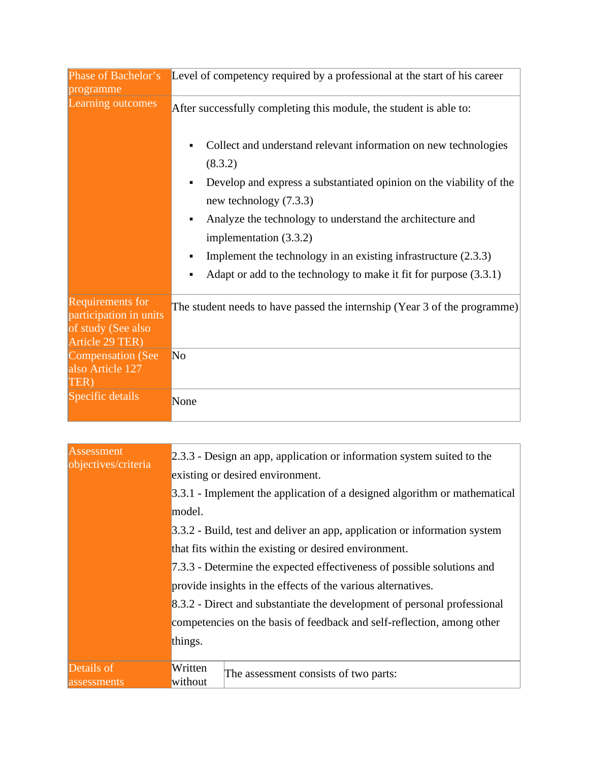| Phase of Bachelor's<br>programme                                                    | Level of competency required by a professional at the start of his career                                                             |
|-------------------------------------------------------------------------------------|---------------------------------------------------------------------------------------------------------------------------------------|
| Learning outcomes                                                                   | After successfully completing this module, the student is able to:<br>Collect and understand relevant information on new technologies |
|                                                                                     | (8.3.2)                                                                                                                               |
|                                                                                     | Develop and express a substantiated opinion on the viability of the<br>new technology (7.3.3)                                         |
|                                                                                     | Analyze the technology to understand the architecture and<br>٠<br>implementation (3.3.2)                                              |
|                                                                                     | Implement the technology in an existing infrastructure $(2.3.3)$<br>٠                                                                 |
|                                                                                     | Adapt or add to the technology to make it fit for purpose (3.3.1)<br>٠                                                                |
| Requirements for<br>participation in units<br>of study (See also<br>Article 29 TER) | The student needs to have passed the internship (Year 3 of the programme)                                                             |
| <b>Compensation (See</b><br>also Article 127<br>TER)                                | No                                                                                                                                    |
| Specific details                                                                    | None                                                                                                                                  |
|                                                                                     |                                                                                                                                       |
| Assessment<br>objectives/criteria                                                   | 2.3.3 - Design an app, application or information system suited to the<br>existing or desired environment.                            |
|                                                                                     | 3.3.1 - Implement the application of a designed algorithm or mathematical<br>lmodel .                                                 |

3.3.2 - Build, test and deliver an app, application or information system that fits within the existing or desired environment.

7.3.3 - Determine the expected effectiveness of possible solutions and provide insights in the effects of the various alternatives.

8.3.2 - Direct and substantiate the development of personal professional competencies on the basis of feedback and self-reflection, among other things.

| Details of  | Written | The assessment consists of two parts: |
|-------------|---------|---------------------------------------|
| assessments | without |                                       |
|             |         |                                       |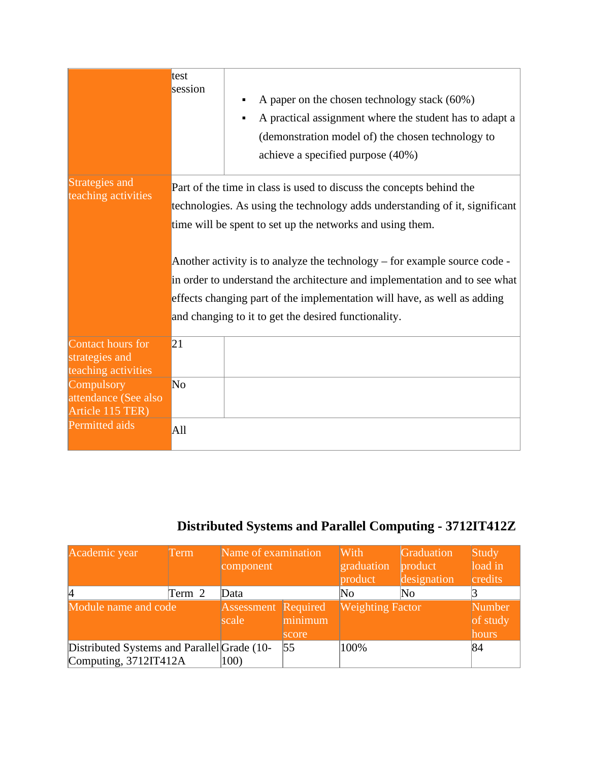|                                                                                                                                               | test<br>session                                                                                                                                                                                                                                                                                                                                                                                                                                                                                                 | A paper on the chosen technology stack (60%)<br>A practical assignment where the student has to adapt a<br>(demonstration model of) the chosen technology to<br>achieve a specified purpose (40%) |  |
|-----------------------------------------------------------------------------------------------------------------------------------------------|-----------------------------------------------------------------------------------------------------------------------------------------------------------------------------------------------------------------------------------------------------------------------------------------------------------------------------------------------------------------------------------------------------------------------------------------------------------------------------------------------------------------|---------------------------------------------------------------------------------------------------------------------------------------------------------------------------------------------------|--|
| Strategies and<br>teaching activities                                                                                                         | Part of the time in class is used to discuss the concepts behind the<br>technologies. As using the technology adds understanding of it, significant<br>time will be spent to set up the networks and using them.<br>Another activity is to analyze the technology – for example source code -<br>in order to understand the architecture and implementation and to see what<br>effects changing part of the implementation will have, as well as adding<br>and changing to it to get the desired functionality. |                                                                                                                                                                                                   |  |
| Contact hours for<br>strategies and<br>teaching activities<br>Compulsory<br>attendance (See also<br>Article 115 TER)<br><b>Permitted aids</b> | 21<br>No<br>All                                                                                                                                                                                                                                                                                                                                                                                                                                                                                                 |                                                                                                                                                                                                   |  |

# **Distributed Systems and Parallel Computing - 3712IT412Z**

| Academic year                                                        | Term   | Name of examination<br>component    |                  | <b>With</b><br>graduation<br>product | Graduation<br>product<br>designation | Study<br>load in<br>credits        |
|----------------------------------------------------------------------|--------|-------------------------------------|------------------|--------------------------------------|--------------------------------------|------------------------------------|
| $\vert 4 \vert$                                                      | Term 2 | Data                                |                  | No                                   | $\overline{\text{No}}$               |                                    |
| Module name and code                                                 |        | <b>Assessment</b> Required<br>scale | minimum<br>score | <b>Weighting Factor</b>              |                                      | <b>Number</b><br>of study<br>hours |
| Distributed Systems and Parallel Grade (10-<br>Computing, 3712IT412A |        | 100)                                | $\overline{55}$  | 100%                                 |                                      | 84                                 |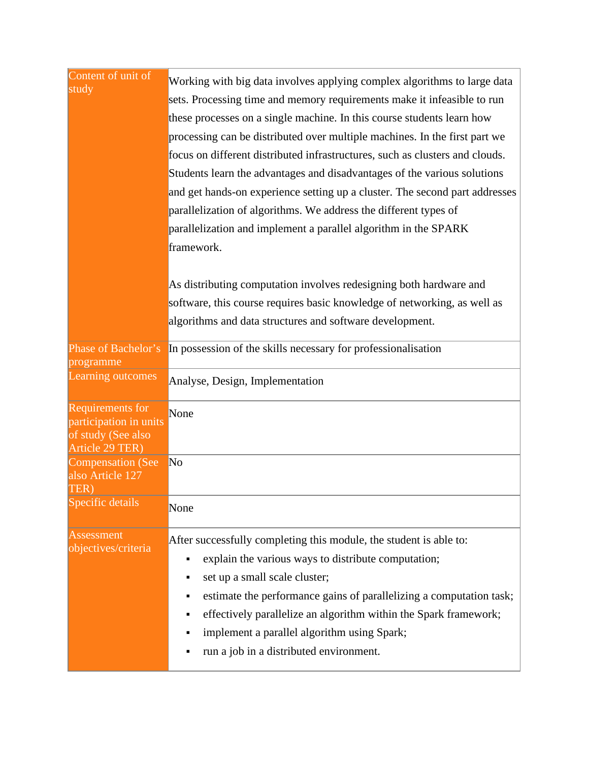| Content of unit of<br>study                                                         | Working with big data involves applying complex algorithms to large data<br>sets. Processing time and memory requirements make it infeasible to run<br>these processes on a single machine. In this course students learn how<br>processing can be distributed over multiple machines. In the first part we<br>focus on different distributed infrastructures, such as clusters and clouds.<br>Students learn the advantages and disadvantages of the various solutions<br>and get hands-on experience setting up a cluster. The second part addresses<br>parallelization of algorithms. We address the different types of<br>parallelization and implement a parallel algorithm in the SPARK<br>framework.<br>As distributing computation involves redesigning both hardware and<br>software, this course requires basic knowledge of networking, as well as |  |  |  |  |  |
|-------------------------------------------------------------------------------------|---------------------------------------------------------------------------------------------------------------------------------------------------------------------------------------------------------------------------------------------------------------------------------------------------------------------------------------------------------------------------------------------------------------------------------------------------------------------------------------------------------------------------------------------------------------------------------------------------------------------------------------------------------------------------------------------------------------------------------------------------------------------------------------------------------------------------------------------------------------|--|--|--|--|--|
|                                                                                     | algorithms and data structures and software development.                                                                                                                                                                                                                                                                                                                                                                                                                                                                                                                                                                                                                                                                                                                                                                                                      |  |  |  |  |  |
| Phase of Bachelor's<br>programme                                                    | In possession of the skills necessary for professionalisation<br>Analyse, Design, Implementation                                                                                                                                                                                                                                                                                                                                                                                                                                                                                                                                                                                                                                                                                                                                                              |  |  |  |  |  |
| Learning outcomes                                                                   |                                                                                                                                                                                                                                                                                                                                                                                                                                                                                                                                                                                                                                                                                                                                                                                                                                                               |  |  |  |  |  |
| Requirements for<br>participation in units<br>of study (See also<br>Article 29 TER) | None                                                                                                                                                                                                                                                                                                                                                                                                                                                                                                                                                                                                                                                                                                                                                                                                                                                          |  |  |  |  |  |
| <b>Compensation (See</b><br>also Article 127<br>TER)                                | No                                                                                                                                                                                                                                                                                                                                                                                                                                                                                                                                                                                                                                                                                                                                                                                                                                                            |  |  |  |  |  |
| Specific details                                                                    | None                                                                                                                                                                                                                                                                                                                                                                                                                                                                                                                                                                                                                                                                                                                                                                                                                                                          |  |  |  |  |  |
| Assessment<br>objectives/criteria                                                   | After successfully completing this module, the student is able to:<br>explain the various ways to distribute computation;<br>set up a small scale cluster;<br>estimate the performance gains of parallelizing a computation task;<br>effectively parallelize an algorithm within the Spark framework;<br>implement a parallel algorithm using Spark;<br>run a job in a distributed environment.                                                                                                                                                                                                                                                                                                                                                                                                                                                               |  |  |  |  |  |